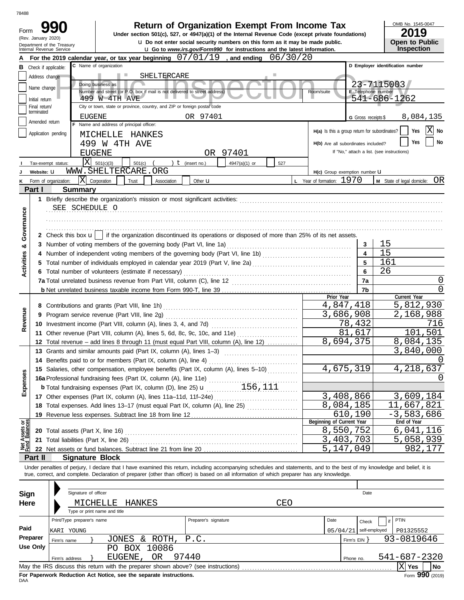| 78488                   |                               |                                               |                                                                                                                                                                                                                                                                                                                          |                                                                                      |               |          |     |                                               |                     |                                            |           |  |  |
|-------------------------|-------------------------------|-----------------------------------------------|--------------------------------------------------------------------------------------------------------------------------------------------------------------------------------------------------------------------------------------------------------------------------------------------------------------------------|--------------------------------------------------------------------------------------|---------------|----------|-----|-----------------------------------------------|---------------------|--------------------------------------------|-----------|--|--|
| Form                    |                               |                                               | Under section 501(c), 527, or 4947(a)(1) of the Internal Revenue Code (except private foundations)                                                                                                                                                                                                                       | <b>Return of Organization Exempt From Income Tax</b>                                 |               |          |     |                                               |                     | OMB No. 1545-0047<br>20                    | 19        |  |  |
|                         | (Rev. January 2020)           | Department of the Treasury                    |                                                                                                                                                                                                                                                                                                                          | <b>u</b> Do not enter social security numbers on this form as it may be made public. |               |          |     |                                               |                     | <b>Open to Public</b>                      |           |  |  |
|                         |                               | Internal Revenue Service                      |                                                                                                                                                                                                                                                                                                                          | <b>u</b> Go to www.irs.gov/Form990 for instructions and the latest information.      |               |          |     |                                               |                     | Inspection                                 |           |  |  |
|                         |                               |                                               | For the 2019 calendar year, or tax year beginning $07/01/19$ , and ending                                                                                                                                                                                                                                                |                                                                                      |               | 06/30/20 |     |                                               |                     |                                            |           |  |  |
|                         | <b>B</b> Check if applicable: |                                               | C Name of organization                                                                                                                                                                                                                                                                                                   |                                                                                      |               |          |     |                                               |                     | D Employer identification number           |           |  |  |
|                         | Address change                |                                               | SHELTERCARE<br>ш                                                                                                                                                                                                                                                                                                         |                                                                                      |               |          |     |                                               |                     |                                            |           |  |  |
|                         | Name change                   |                                               | Doing business as<br>Number and street (or P.O. box if mail is not delivered to street address)                                                                                                                                                                                                                          |                                                                                      |               |          |     | Room/suite                                    |                     | 23-7115003<br>E Telephone number           |           |  |  |
|                         | Initial return                |                                               | 499 W 4TH AVE                                                                                                                                                                                                                                                                                                            |                                                                                      |               |          |     |                                               |                     | 541-686-1262                               |           |  |  |
|                         | Final return/                 |                                               | City or town, state or province, country, and ZIP or foreign postal code                                                                                                                                                                                                                                                 |                                                                                      |               |          |     |                                               |                     |                                            |           |  |  |
|                         | terminated                    | EUGENE                                        |                                                                                                                                                                                                                                                                                                                          | OR 97401                                                                             |               |          |     |                                               | G Gross receipts \$ |                                            | 8,084,135 |  |  |
|                         | Amended return                |                                               | F Name and address of principal officer:                                                                                                                                                                                                                                                                                 |                                                                                      |               |          |     |                                               |                     |                                            |           |  |  |
|                         | Application pending           |                                               | MICHELLE<br>HANKES                                                                                                                                                                                                                                                                                                       |                                                                                      |               |          |     | H(a) Is this a group return for subordinates? |                     | Yes                                        | ΙX<br>No  |  |  |
|                         |                               | 499                                           | W 4TH AVE                                                                                                                                                                                                                                                                                                                |                                                                                      |               |          |     | H(b) Are all subordinates included?           |                     | Yes                                        | No        |  |  |
|                         |                               |                                               | <b>EUGENE</b>                                                                                                                                                                                                                                                                                                            |                                                                                      | OR 97401      |          |     |                                               |                     | If "No," attach a list. (see instructions) |           |  |  |
|                         |                               | $\overline{\mathbf{X}}$<br>Tax-exempt status: | 501(c)(3)<br>501(c)                                                                                                                                                                                                                                                                                                      | $t$ (insert no.)                                                                     | 4947(a)(1) or | 527      |     |                                               |                     |                                            |           |  |  |
|                         | Website: U                    |                                               | WWW.SHELTERCARE.ORG                                                                                                                                                                                                                                                                                                      |                                                                                      |               |          |     | H(c) Group exemption number LI                |                     |                                            |           |  |  |
| Κ                       |                               | lxl<br>Form of organization:                  | Corporation<br>Trust<br>Association                                                                                                                                                                                                                                                                                      | Other <b>u</b>                                                                       |               |          |     | L Year of formation: 1970                     |                     | M State of legal domicile:                 | OR        |  |  |
|                         | Part I                        | <b>Summary</b>                                |                                                                                                                                                                                                                                                                                                                          |                                                                                      |               |          |     |                                               |                     |                                            |           |  |  |
|                         |                               |                                               |                                                                                                                                                                                                                                                                                                                          |                                                                                      |               |          |     |                                               |                     |                                            |           |  |  |
|                         |                               | SEE SCHEDULE O                                |                                                                                                                                                                                                                                                                                                                          |                                                                                      |               |          |     |                                               |                     |                                            |           |  |  |
|                         |                               |                                               |                                                                                                                                                                                                                                                                                                                          |                                                                                      |               |          |     |                                               |                     |                                            |           |  |  |
|                         |                               |                                               |                                                                                                                                                                                                                                                                                                                          |                                                                                      |               |          |     |                                               |                     |                                            |           |  |  |
| Governance              |                               | 2 Check this box <b>u</b>                     | if the organization discontinued its operations or disposed of more than 25% of its net assets.                                                                                                                                                                                                                          |                                                                                      |               |          |     |                                               |                     |                                            |           |  |  |
| త                       |                               |                                               | 3 Number of voting members of the governing body (Part VI, line 1a)                                                                                                                                                                                                                                                      |                                                                                      |               |          |     |                                               | 3                   | 15                                         |           |  |  |
|                         |                               |                                               |                                                                                                                                                                                                                                                                                                                          |                                                                                      |               |          |     |                                               | 4                   | 15                                         |           |  |  |
| Activities              |                               |                                               |                                                                                                                                                                                                                                                                                                                          |                                                                                      |               |          |     |                                               | 5                   | 161                                        |           |  |  |
|                         |                               |                                               | 6 Total number of volunteers (estimate if necessary)                                                                                                                                                                                                                                                                     |                                                                                      |               |          |     |                                               | 6                   | 26                                         |           |  |  |
|                         |                               |                                               | 7a Total unrelated business revenue from Part VIII, column (C), line 12                                                                                                                                                                                                                                                  |                                                                                      |               |          |     |                                               | 7a                  |                                            | 0         |  |  |
|                         |                               |                                               |                                                                                                                                                                                                                                                                                                                          |                                                                                      |               |          |     |                                               | 7b                  |                                            | O         |  |  |
|                         |                               |                                               |                                                                                                                                                                                                                                                                                                                          |                                                                                      |               |          |     | Prior Year<br>4,847,418                       |                     | Current Year<br>5,812,930                  |           |  |  |
|                         |                               |                                               | 9 Program service revenue (Part VIII, line 2g)                                                                                                                                                                                                                                                                           |                                                                                      |               |          |     | 3,686,908                                     |                     | 2,168,988                                  |           |  |  |
| Revenue                 |                               |                                               |                                                                                                                                                                                                                                                                                                                          |                                                                                      | 78,432        |          | 716 |                                               |                     |                                            |           |  |  |
|                         |                               |                                               | 11 Other revenue (Part VIII, column (A), lines 5, 6d, 8c, 9c, 10c, and 11e)                                                                                                                                                                                                                                              |                                                                                      |               |          |     | 81                                            | 617                 | 101                                        | 501       |  |  |
|                         |                               |                                               | 12 Total revenue - add lines 8 through 11 (must equal Part VIII, column (A), line 12)                                                                                                                                                                                                                                    |                                                                                      |               |          |     | 8,694,375                                     |                     | 8,084,135                                  |           |  |  |
|                         |                               |                                               | 13 Grants and similar amounts paid (Part IX, column (A), lines 1-3)                                                                                                                                                                                                                                                      |                                                                                      |               |          |     |                                               |                     | <u>3,840,000</u>                           |           |  |  |
|                         |                               |                                               | 14 Benefits paid to or for members (Part IX, column (A), line 4)                                                                                                                                                                                                                                                         |                                                                                      |               |          |     |                                               |                     |                                            |           |  |  |
|                         |                               |                                               | 15 Salaries, other compensation, employee benefits (Part IX, column (A), lines 5-10)                                                                                                                                                                                                                                     |                                                                                      |               |          |     | 4,675,319                                     |                     | 4, 218, 637                                |           |  |  |
| Expenses                |                               |                                               |                                                                                                                                                                                                                                                                                                                          |                                                                                      |               |          |     |                                               |                     | $\left( \right)$                           |           |  |  |
|                         |                               |                                               | <b>16a</b> Professional fundraising fees (Part IX, column (A), line 11e) $\ldots$ 156, 111                                                                                                                                                                                                                               |                                                                                      |               |          |     |                                               |                     |                                            |           |  |  |
|                         |                               |                                               |                                                                                                                                                                                                                                                                                                                          |                                                                                      |               |          |     |                                               | 3,408,866           |                                            | 3,609,184 |  |  |
|                         |                               |                                               | 18 Total expenses. Add lines 13-17 (must equal Part IX, column (A), line 25)                                                                                                                                                                                                                                             |                                                                                      |               |          |     | 8,084,185                                     |                     | 11                                         | ,667,821  |  |  |
|                         |                               |                                               |                                                                                                                                                                                                                                                                                                                          |                                                                                      |               |          |     |                                               | 610,190             | $-3,583,686$                               |           |  |  |
|                         |                               |                                               |                                                                                                                                                                                                                                                                                                                          |                                                                                      |               |          |     | Beginning of Current Year                     |                     | End of Year                                |           |  |  |
| Assets or<br>1 Balances |                               | 20 Total assets (Part X, line 16)             |                                                                                                                                                                                                                                                                                                                          |                                                                                      |               |          |     | 8,550,752                                     |                     | 6,041,116                                  |           |  |  |
|                         |                               | 21 Total liabilities (Part X, line 26)        |                                                                                                                                                                                                                                                                                                                          |                                                                                      |               |          |     |                                               | 3,403,703           | 5,058,939                                  |           |  |  |
|                         |                               |                                               |                                                                                                                                                                                                                                                                                                                          |                                                                                      |               |          |     | 5,147,049                                     |                     |                                            | 982,177   |  |  |
|                         | Part II                       | <b>Signature Block</b>                        |                                                                                                                                                                                                                                                                                                                          |                                                                                      |               |          |     |                                               |                     |                                            |           |  |  |
|                         |                               |                                               | Under penalties of perjury, I declare that I have examined this return, including accompanying schedules and statements, and to the best of my knowledge and belief, it is<br>true, correct, and complete. Declaration of preparer (other than officer) is based on all information of which preparer has any knowledge. |                                                                                      |               |          |     |                                               |                     |                                            |           |  |  |
|                         |                               |                                               |                                                                                                                                                                                                                                                                                                                          |                                                                                      |               |          |     |                                               |                     |                                            |           |  |  |
|                         |                               | Signature of officer                          |                                                                                                                                                                                                                                                                                                                          |                                                                                      |               |          |     |                                               | Date                |                                            |           |  |  |
| <b>Sign</b>             |                               |                                               |                                                                                                                                                                                                                                                                                                                          |                                                                                      |               |          |     |                                               |                     |                                            |           |  |  |
| Here                    |                               |                                               | HANKES<br>MICHELLE<br>Type or print name and title                                                                                                                                                                                                                                                                       |                                                                                      |               | CEO      |     |                                               |                     |                                            |           |  |  |
|                         |                               | Print/Type preparer's name                    |                                                                                                                                                                                                                                                                                                                          | Preparer's signature                                                                 |               |          |     | Date                                          |                     | PTIN                                       |           |  |  |
| Paid                    |                               |                                               |                                                                                                                                                                                                                                                                                                                          |                                                                                      |               |          |     |                                               | Check               | if                                         |           |  |  |
|                         | Preparer                      | KARI YOUNG                                    |                                                                                                                                                                                                                                                                                                                          | 05/04/21<br>self-employed                                                            | P01325552     |          |     |                                               |                     |                                            |           |  |  |
|                         | <b>Use Only</b>               | Firm's name                                   | JONES & ROTH,                                                                                                                                                                                                                                                                                                            | Firm's EIN }                                                                         | 93-0819646    |          |     |                                               |                     |                                            |           |  |  |
|                         |                               |                                               | PO BOX 10086<br>EUGENE, OR                                                                                                                                                                                                                                                                                               | 97440                                                                                |               |          |     |                                               |                     | 541-687-2320                               |           |  |  |
|                         |                               | Firm's address                                |                                                                                                                                                                                                                                                                                                                          |                                                                                      |               |          |     |                                               | Phone no.           | $\mathbf{X}$ Yes                           | No        |  |  |
|                         |                               |                                               |                                                                                                                                                                                                                                                                                                                          |                                                                                      |               |          |     |                                               |                     |                                            |           |  |  |

| Sign     |                           | Signature of officer       |  |                                                                                   |                              |  |          |                         | Date          |              |                                    |           |
|----------|---------------------------|----------------------------|--|-----------------------------------------------------------------------------------|------------------------------|--|----------|-------------------------|---------------|--------------|------------------------------------|-----------|
| Here     | MICHELLE<br>CEO<br>HANKES |                            |  |                                                                                   |                              |  |          |                         |               |              |                                    |           |
|          |                           |                            |  | Type or print name and title                                                      |                              |  |          |                         |               |              |                                    |           |
|          |                           | Print/Type preparer's name |  |                                                                                   | Preparer's signature<br>Date |  |          |                         | Check         | PTIN         |                                    |           |
| Paid     | KARI YOUNG                |                            |  |                                                                                   |                              |  | 05/04/21 |                         | self-employed | P01325552    |                                    |           |
| Preparer | Firm's name               |                            |  | JONES & ROTH, P.C.                                                                |                              |  |          | Firm's $EIN$ $\uparrow$ |               | 93-0819646   |                                    |           |
| Use Only |                           |                            |  | PO BOX 10086                                                                      |                              |  |          |                         |               |              |                                    |           |
|          |                           | Firm's address             |  | EUGENE, OR                                                                        | 97440                        |  |          | Phone no.               |               | 541-687-2320 |                                    |           |
|          |                           |                            |  | May the IRS discuss this return with the preparer shown above? (see instructions) |                              |  |          |                         |               | Yes          |                                    | <b>No</b> |
|          |                           |                            |  |                                                                                   |                              |  |          |                         |               |              | $\mathbf{A} \mathbf{A} \mathbf{A}$ |           |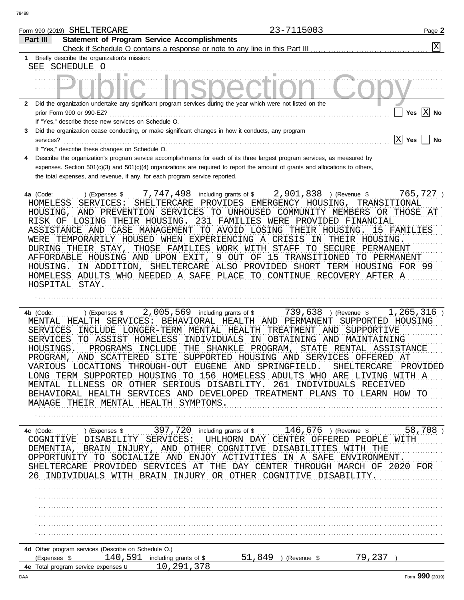|                                                            | Form 990 (2019) SHELTERCARE                                                                                                                                                                                                                                                                                                                                                                                                                                                                                                                                       | 23-7115003                                                                                                                                                                                                                                                                                                                                                                     | Page 2                                 |
|------------------------------------------------------------|-------------------------------------------------------------------------------------------------------------------------------------------------------------------------------------------------------------------------------------------------------------------------------------------------------------------------------------------------------------------------------------------------------------------------------------------------------------------------------------------------------------------------------------------------------------------|--------------------------------------------------------------------------------------------------------------------------------------------------------------------------------------------------------------------------------------------------------------------------------------------------------------------------------------------------------------------------------|----------------------------------------|
| Part III                                                   | <b>Statement of Program Service Accomplishments</b>                                                                                                                                                                                                                                                                                                                                                                                                                                                                                                               |                                                                                                                                                                                                                                                                                                                                                                                | X                                      |
|                                                            | Check if Schedule O contains a response or note to any line in this Part III                                                                                                                                                                                                                                                                                                                                                                                                                                                                                      |                                                                                                                                                                                                                                                                                                                                                                                |                                        |
| 1                                                          | Briefly describe the organization's mission:<br>SEE SCHEDULE O                                                                                                                                                                                                                                                                                                                                                                                                                                                                                                    |                                                                                                                                                                                                                                                                                                                                                                                |                                        |
|                                                            |                                                                                                                                                                                                                                                                                                                                                                                                                                                                                                                                                                   |                                                                                                                                                                                                                                                                                                                                                                                |                                        |
| $\mathbf{2}$                                               | Did the organization undertake any significant program services during the year which were not listed on the<br>prior Form 990 or 990-EZ?<br>If "Yes," describe these new services on Schedule O.                                                                                                                                                                                                                                                                                                                                                                 |                                                                                                                                                                                                                                                                                                                                                                                | $\mathbf{X}$ No<br>Yes                 |
| 3<br>services?                                             | Did the organization cease conducting, or make significant changes in how it conducts, any program<br>If "Yes," describe these changes on Schedule O.                                                                                                                                                                                                                                                                                                                                                                                                             |                                                                                                                                                                                                                                                                                                                                                                                | x <br>Yes<br>No                        |
| 4                                                          | Describe the organization's program service accomplishments for each of its three largest program services, as measured by<br>expenses. Section 501(c)(3) and 501(c)(4) organizations are required to report the amount of grants and allocations to others,<br>the total expenses, and revenue, if any, for each program service reported.                                                                                                                                                                                                                       |                                                                                                                                                                                                                                                                                                                                                                                |                                        |
| 4a (Code:<br>HOMELESS<br>HOUSING,<br>HOUSING.              | 7,747,498<br>including grants of \$<br>) (Expenses \$<br>SERVICES:<br>SHELTERCARE<br>RISK OF LOSING THEIR HOUSING.<br>ASSISTANCE AND CASE MANAGEMENT<br>WERE TEMPORARILY HOUSED WHEN EXPERIENCING A CRISIS IN THEIR HOUSING.<br>DURING THEIR STAY,<br>AFFORDABLE HOUSING AND UPON EXIT<br>HOMELESS ADULTS WHO NEEDED A SAFE PLACE TO CONTINUE RECOVERY AFTER A<br>HOSPITAL STAY.                                                                                                                                                                                  | 2,901,838<br>) (Revenue \$<br>PROVIDES EMERGENCY HOUSING,<br>AND PREVENTION SERVICES TO UNHOUSED COMMUNITY MEMBERS OR THOSE AT<br>231 FAMILIES WERE PROVIDED FINANCIAL<br>TO AVOID LOSING THEIR HOUSING.<br>THOSE FAMILIES WORK WITH STAFF TO SECURE<br>PERMANENT<br>9 OUT OF 15 TRANSITIONED TO PERMANENT<br>IN ADDITION, SHELTERCARE ALSO PROVIDED SHORT TERM HOUSING FOR 99 | 765,727<br>TRANSITIONAL<br>15 FAMILIES |
| 4b (Code:<br>SERVICES<br>SERVICES<br>HOUSINGS.<br>PROGRAM, | 2,005,569<br>including grants of \$<br>) (Expenses $$$<br>MENTAL HEALTH SERVICES:<br>BEHAVIORAL HEALTH AND<br>INCLUDE LONGER-TERM MENTAL HEALTH<br>TO ASSIST HOMELESS<br>INDIVIDUALS<br>PROGRAMS<br>INCLUDE<br>VARIOUS LOCATIONS THROUGH-OUT EUGENE AND SPRINGFIELD. SHELTERCARE PROVIDED<br>LONG TERM SUPPORTED HOUSING TO 156 HOMELESS ADULTS WHO ARE LIVING WITH A<br>MENTAL ILLNESS OR OTHER SERIOUS DISABILITY. 261 INDIVIDUALS RECEIVED<br>BEHAVIORAL HEALTH SERVICES AND DEVELOPED TREATMENT PLANS TO LEARN HOW TO<br>MANAGE THEIR MENTAL HEALTH SYMPTOMS. | 739,638<br>) (Revenue \$<br>PERMANENT<br>TREATMENT AND<br>SUPPORTIVE<br>IN OBTAINING AND<br>MAINTAINING<br>THE SHANKLE PROGRAM,<br>STATE RENTAL ASSISTANCE<br>AND SCATTERED SITE SUPPORTED HOUSING AND SERVICES OFFERED AT                                                                                                                                                     | 1,265,316)<br>SUPPORTED HOUSING        |
|                                                            | 4c (Code:  ) (Expenses \$  397, 720 including grants of \$  146, 676 ) (Revenue \$  58, 708 )<br>COGNITIVE DISABILITY SERVICES: UHLHORN DAY CENTER OFFERED PEOPLE WITH<br>DEMENTIA, BRAIN INJURY, AND OTHER COGNITIVE DISABILITIES WITH THE<br>OPPORTUNITY TO SOCIALIZE AND ENJOY ACTIVITIES IN A SAFE ENVIRONMENT.<br>SHELTERCARE PROVIDED SERVICES AT THE DAY CENTER THROUGH MARCH OF 2020 FOR<br>26 INDIVIDUALS WITH BRAIN INJURY OR OTHER COGNITIVE DISABILITY.                                                                                               |                                                                                                                                                                                                                                                                                                                                                                                |                                        |
|                                                            |                                                                                                                                                                                                                                                                                                                                                                                                                                                                                                                                                                   |                                                                                                                                                                                                                                                                                                                                                                                |                                        |

| 4d Other program services (Describe on Schedule O.) |        |                        |          |         |  |  |  |  |  |  |  |  |
|-----------------------------------------------------|--------|------------------------|----------|---------|--|--|--|--|--|--|--|--|
| (Expenses                                           | 40 591 | including grants of \$ | 'Revenue |         |  |  |  |  |  |  |  |  |
| <b>4e</b> Total program service expenses <b>u</b>   |        |                        |          |         |  |  |  |  |  |  |  |  |
|                                                     |        |                        |          | $- - -$ |  |  |  |  |  |  |  |  |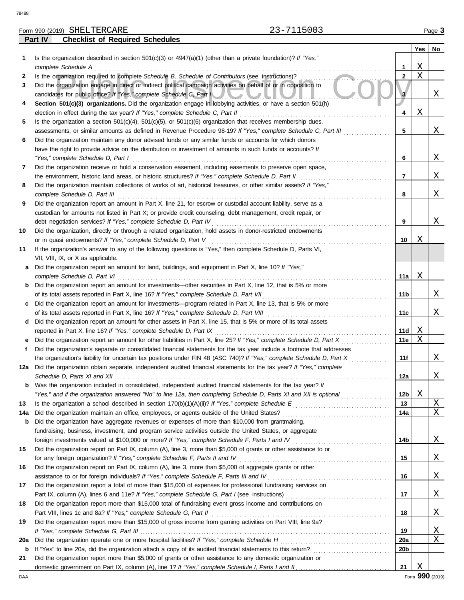**Part IV Checklist of Required Schedules**

| SHELTERCARE<br>Form 990 (2019)        | $F \wedge \wedge$<br>−<br>. —<br>0 U U J | Page |
|---------------------------------------|------------------------------------------|------|
| ___<br>$\sim$ $\sim$<br>.<br>---<br>. |                                          |      |

|     |                                                                                                                                                                                                               |                 | Yes | No |
|-----|---------------------------------------------------------------------------------------------------------------------------------------------------------------------------------------------------------------|-----------------|-----|----|
| 1   | Is the organization described in section $501(c)(3)$ or $4947(a)(1)$ (other than a private foundation)? If "Yes,"                                                                                             |                 |     |    |
|     | complete Schedule A                                                                                                                                                                                           | 1               | Χ   |    |
| 2   | Is the organization required to complete Schedule B, Schedule of Contributors (see instructions)?                                                                                                             | $\overline{2}$  | X   |    |
| 3   | Did the organization engage in direct or indirect political campaign activities on behalf of or in opposition to                                                                                              |                 |     |    |
|     | candidates for public office? If "Yes," complete Schedule C, Part I                                                                                                                                           |                 |     | Χ  |
| 4   | Section 501(c)(3) organizations. Did the organization engage in lobbying activities, or have a section 501(h)                                                                                                 |                 |     |    |
|     | election in effect during the tax year? If "Yes," complete Schedule C, Part II                                                                                                                                | 4               | Χ   |    |
| 5   | Is the organization a section $501(c)(4)$ , $501(c)(5)$ , or $501(c)(6)$ organization that receives membership dues,                                                                                          |                 |     |    |
|     | assessments, or similar amounts as defined in Revenue Procedure 98-19? If "Yes," complete Schedule C, Part III                                                                                                | 5               |     | Χ  |
| 6   | Did the organization maintain any donor advised funds or any similar funds or accounts for which donors                                                                                                       |                 |     |    |
|     | have the right to provide advice on the distribution or investment of amounts in such funds or accounts? If                                                                                                   |                 |     |    |
|     | "Yes," complete Schedule D, Part I                                                                                                                                                                            | 6               |     | Χ  |
| 7   | Did the organization receive or hold a conservation easement, including easements to preserve open space,                                                                                                     |                 |     | Χ  |
|     | the environment, historic land areas, or historic structures? If "Yes," complete Schedule D, Part II                                                                                                          | 7               |     |    |
| 8   | Did the organization maintain collections of works of art, historical treasures, or other similar assets? If "Yes,"<br>complete Schedule D, Part III                                                          | 8               |     | Χ  |
| 9   | Did the organization report an amount in Part X, line 21, for escrow or custodial account liability, serve as a                                                                                               |                 |     |    |
|     | custodian for amounts not listed in Part X; or provide credit counseling, debt management, credit repair, or                                                                                                  |                 |     |    |
|     | debt negotiation services? If "Yes," complete Schedule D, Part IV                                                                                                                                             | 9               |     | Χ  |
| 10  | Did the organization, directly or through a related organization, hold assets in donor-restricted endowments                                                                                                  |                 |     |    |
|     | or in quasi endowments? If "Yes," complete Schedule D, Part V                                                                                                                                                 | 10              | Χ   |    |
| 11  | If the organization's answer to any of the following questions is "Yes," then complete Schedule D, Parts VI,                                                                                                  |                 |     |    |
|     | VII, VIII, IX, or X as applicable.                                                                                                                                                                            |                 |     |    |
| а   | Did the organization report an amount for land, buildings, and equipment in Part X, line 10? If "Yes,"                                                                                                        |                 |     |    |
|     | complete Schedule D, Part VI                                                                                                                                                                                  | 11a             | Χ   |    |
| b   | Did the organization report an amount for investments—other securities in Part X, line 12, that is 5% or more                                                                                                 |                 |     |    |
|     | of its total assets reported in Part X, line 16? If "Yes," complete Schedule D, Part VII                                                                                                                      | 11b             |     | Х  |
| c   | Did the organization report an amount for investments—program related in Part X, line 13, that is 5% or more                                                                                                  |                 |     |    |
|     | of its total assets reported in Part X, line 16? If "Yes," complete Schedule D, Part VIII                                                                                                                     | 11c             |     | Х  |
| d   | Did the organization report an amount for other assets in Part X, line 15, that is 5% or more of its total assets                                                                                             |                 |     |    |
|     | reported in Part X, line 16? If "Yes," complete Schedule D, Part IX                                                                                                                                           | 11d             | Χ   |    |
|     | Did the organization report an amount for other liabilities in Part X, line 25? If "Yes," complete Schedule D, Part X                                                                                         | 11e             | X   |    |
| f   | Did the organization's separate or consolidated financial statements for the tax year include a footnote that addresses                                                                                       |                 |     |    |
|     | the organization's liability for uncertain tax positions under FIN 48 (ASC 740)? If "Yes," complete Schedule D, Part X                                                                                        | 11f             |     | Χ  |
| 12a | Did the organization obtain separate, independent audited financial statements for the tax year? If "Yes," complete                                                                                           |                 |     |    |
|     |                                                                                                                                                                                                               | 12a             |     | Χ  |
|     | Was the organization included in consolidated, independent audited financial statements for the tax year? If                                                                                                  |                 |     |    |
|     | "Yes," and if the organization answered "No" to line 12a, then completing Schedule D, Parts XI and XII is optional <i>manimining</i>                                                                          | 12b             | Χ   |    |
| 13  |                                                                                                                                                                                                               | 13              |     | Χ  |
| 14a | Did the organization maintain an office, employees, or agents outside of the United States?                                                                                                                   | 14a             |     | Χ  |
| b   | Did the organization have aggregate revenues or expenses of more than \$10,000 from grantmaking,<br>fundraising, business, investment, and program service activities outside the United States, or aggregate |                 |     |    |
|     | foreign investments valued at \$100,000 or more? If "Yes," complete Schedule F, Parts I and IV                                                                                                                | 14b             |     | Χ  |
| 15  | Did the organization report on Part IX, column (A), line 3, more than \$5,000 of grants or other assistance to or                                                                                             |                 |     |    |
|     | for any foreign organization? If "Yes," complete Schedule F, Parts II and IV                                                                                                                                  | 15              |     | Χ  |
| 16  | Did the organization report on Part IX, column (A), line 3, more than \$5,000 of aggregate grants or other                                                                                                    |                 |     |    |
|     | assistance to or for foreign individuals? If "Yes," complete Schedule F, Parts III and IV                                                                                                                     | 16              |     | Χ  |
| 17  | Did the organization report a total of more than \$15,000 of expenses for professional fundraising services on                                                                                                |                 |     |    |
|     |                                                                                                                                                                                                               | 17              |     | Χ  |
| 18  | Did the organization report more than \$15,000 total of fundraising event gross income and contributions on                                                                                                   |                 |     |    |
|     | Part VIII, lines 1c and 8a? If "Yes," complete Schedule G, Part II                                                                                                                                            | 18              |     | Χ  |
| 19  | Did the organization report more than \$15,000 of gross income from gaming activities on Part VIII, line 9a?                                                                                                  |                 |     |    |
|     |                                                                                                                                                                                                               | 19              |     | Χ  |
| 20a | Did the organization operate one or more hospital facilities? If "Yes," complete Schedule H                                                                                                                   | 20a             |     | Χ  |
| b   | If "Yes" to line 20a, did the organization attach a copy of its audited financial statements to this return?                                                                                                  | 20 <sub>b</sub> |     |    |
| 21  | Did the organization report more than \$5,000 of grants or other assistance to any domestic organization or                                                                                                   |                 |     |    |
|     |                                                                                                                                                                                                               | 21              | Χ   |    |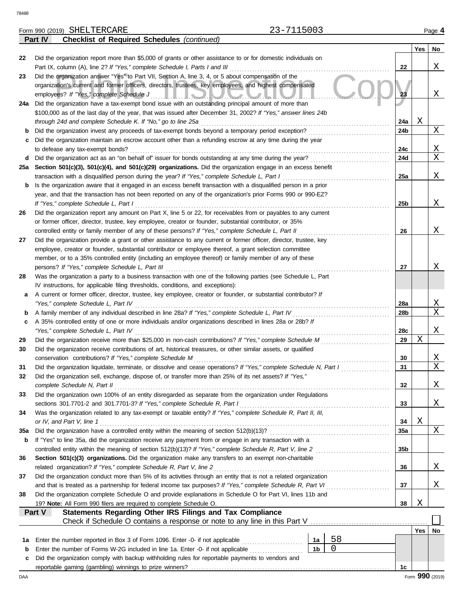**Part IV Checklist of Required Schedules** *(continued)*

|     |                                                                                                                                                                                                                   |                |    |                 | Yes | No              |  |
|-----|-------------------------------------------------------------------------------------------------------------------------------------------------------------------------------------------------------------------|----------------|----|-----------------|-----|-----------------|--|
| 22  | Did the organization report more than \$5,000 of grants or other assistance to or for domestic individuals on                                                                                                     |                |    |                 |     |                 |  |
|     | Part IX, column (A), line 2? If "Yes," complete Schedule I, Parts I and III                                                                                                                                       |                |    | 22              |     | Χ               |  |
| 23  | Did the organization answer "Yes" to Part VII, Section A, line 3, 4, or 5 about compensation of the                                                                                                               |                |    |                 |     |                 |  |
|     | organization's current and former officers, directors, trustees, key employees, and highest compensated                                                                                                           |                |    |                 |     |                 |  |
|     | employees? If "Yes," complete Schedule J<br><u> HELOICO CONTR</u>                                                                                                                                                 |                |    | 23              |     | Χ               |  |
|     | 24a Did the organization have a tax-exempt bond issue with an outstanding principal amount of more than                                                                                                           |                |    |                 |     |                 |  |
|     | \$100,000 as of the last day of the year, that was issued after December 31, 2002? If "Yes," answer lines 24b                                                                                                     |                |    |                 |     |                 |  |
|     | through 24d and complete Schedule K. If "No," go to line 25a                                                                                                                                                      |                |    | 24a             | Χ   |                 |  |
| b   | Did the organization invest any proceeds of tax-exempt bonds beyond a temporary period exception?                                                                                                                 |                |    | 24b             |     | Χ               |  |
| c   | Did the organization maintain an escrow account other than a refunding escrow at any time during the year                                                                                                         |                |    |                 |     |                 |  |
|     | to defease any tax-exempt bonds?                                                                                                                                                                                  |                |    | 24c             |     | Χ<br>X          |  |
|     | d Did the organization act as an "on behalf of" issuer for bonds outstanding at any time during the year?                                                                                                         |                |    | 24d             |     |                 |  |
|     | 25a Section 501(c)(3), 501(c)(4), and 501(c)(29) organizations. Did the organization engage in an excess benefit                                                                                                  |                |    | <b>25a</b>      |     | Χ               |  |
| b   | transaction with a disqualified person during the year? If "Yes," complete Schedule L, Part I<br>Is the organization aware that it engaged in an excess benefit transaction with a disqualified person in a prior |                |    |                 |     |                 |  |
|     | year, and that the transaction has not been reported on any of the organization's prior Forms 990 or 990-EZ?                                                                                                      |                |    |                 |     |                 |  |
|     | If "Yes," complete Schedule L, Part I                                                                                                                                                                             |                |    | 25b             |     | Χ               |  |
| 26  | Did the organization report any amount on Part X, line 5 or 22, for receivables from or payables to any current                                                                                                   |                |    |                 |     |                 |  |
|     | or former officer, director, trustee, key employee, creator or founder, substantial contributor, or 35%                                                                                                           |                |    |                 |     |                 |  |
|     | controlled entity or family member of any of these persons? If "Yes," complete Schedule L, Part II                                                                                                                |                |    | 26              |     | Χ               |  |
| 27  | Did the organization provide a grant or other assistance to any current or former officer, director, trustee, key                                                                                                 |                |    |                 |     |                 |  |
|     | employee, creator or founder, substantial contributor or employee thereof, a grant selection committee                                                                                                            |                |    |                 |     |                 |  |
|     | member, or to a 35% controlled entity (including an employee thereof) or family member of any of these                                                                                                            |                |    |                 |     |                 |  |
|     | persons? If "Yes," complete Schedule L, Part III                                                                                                                                                                  |                |    |                 |     |                 |  |
| 28  | Was the organization a party to a business transaction with one of the following parties (see Schedule L, Part                                                                                                    |                |    |                 |     |                 |  |
|     | IV instructions, for applicable filing thresholds, conditions, and exceptions):                                                                                                                                   |                |    |                 |     |                 |  |
| a   | A current or former officer, director, trustee, key employee, creator or founder, or substantial contributor? If                                                                                                  |                |    |                 |     |                 |  |
|     | "Yes," complete Schedule L, Part IV                                                                                                                                                                               |                |    | 28a             |     | Χ               |  |
| b   | A family member of any individual described in line 28a? If "Yes," complete Schedule L, Part IV                                                                                                                   |                |    |                 |     | X               |  |
| c   | A 35% controlled entity of one or more individuals and/or organizations described in lines 28a or 28b? If                                                                                                         |                |    |                 |     |                 |  |
|     | "Yes," complete Schedule L, Part IV                                                                                                                                                                               |                |    | 28c             |     | Χ               |  |
| 29  | Did the organization receive more than \$25,000 in non-cash contributions? If "Yes," complete Schedule M                                                                                                          |                |    | 29              | X   |                 |  |
| 30  | Did the organization receive contributions of art, historical treasures, or other similar assets, or qualified                                                                                                    |                |    |                 |     |                 |  |
|     | conservation contributions? If "Yes," complete Schedule M                                                                                                                                                         |                |    | 30              |     | Χ               |  |
| 31  | Did the organization liquidate, terminate, or dissolve and cease operations? If "Yes," complete Schedule N, Part I                                                                                                |                |    | 31              |     | X               |  |
| 32  | Did the organization sell, exchange, dispose of, or transfer more than 25% of its net assets? If "Yes,"                                                                                                           |                |    |                 |     |                 |  |
|     | complete Schedule N, Part II                                                                                                                                                                                      |                |    | 32              |     | Χ               |  |
| 33  | Did the organization own 100% of an entity disregarded as separate from the organization under Regulations                                                                                                        |                |    |                 |     |                 |  |
|     | sections 301.7701-2 and 301.7701-3? If "Yes," complete Schedule R, Part I                                                                                                                                         |                |    | 33              |     | Χ               |  |
| 34  | Was the organization related to any tax-exempt or taxable entity? If "Yes," complete Schedule R, Part II, III,                                                                                                    |                |    |                 |     |                 |  |
|     | or IV, and Part V, line 1                                                                                                                                                                                         |                |    | 34              | Χ   |                 |  |
| 35a | If "Yes" to line 35a, did the organization receive any payment from or engage in any transaction with a                                                                                                           |                |    | 35a             |     | Χ               |  |
| b   |                                                                                                                                                                                                                   |                |    | 35 <sub>b</sub> |     |                 |  |
| 36  | Section 501(c)(3) organizations. Did the organization make any transfers to an exempt non-charitable                                                                                                              |                |    |                 |     |                 |  |
|     | related organization? If "Yes," complete Schedule R, Part V, line 2                                                                                                                                               |                |    | 36              |     | Χ               |  |
| 37  | Did the organization conduct more than 5% of its activities through an entity that is not a related organization                                                                                                  |                |    |                 |     |                 |  |
|     |                                                                                                                                                                                                                   |                |    | 37              |     | Χ               |  |
| 38  | Did the organization complete Schedule O and provide explanations in Schedule O for Part VI, lines 11b and                                                                                                        |                |    |                 |     |                 |  |
|     | 19? Note: All Form 990 filers are required to complete Schedule O.                                                                                                                                                |                |    | 38              | Χ   |                 |  |
|     | Statements Regarding Other IRS Filings and Tax Compliance<br>Part V                                                                                                                                               |                |    |                 |     |                 |  |
|     |                                                                                                                                                                                                                   |                |    |                 |     |                 |  |
|     |                                                                                                                                                                                                                   |                |    |                 | Yes | No              |  |
| 1a  | Enter the number reported in Box 3 of Form 1096. Enter -0- if not applicable                                                                                                                                      | 1a             | 58 |                 |     |                 |  |
| b   | Enter the number of Forms W-2G included in line 1a. Enter -0- if not applicable                                                                                                                                   | 1 <sub>b</sub> | 0  |                 |     |                 |  |
| c   | Did the organization comply with backup withholding rules for reportable payments to vendors and                                                                                                                  |                |    |                 |     |                 |  |
|     |                                                                                                                                                                                                                   |                |    | 1c              |     |                 |  |
| DAA |                                                                                                                                                                                                                   |                |    |                 |     | Form 990 (2019) |  |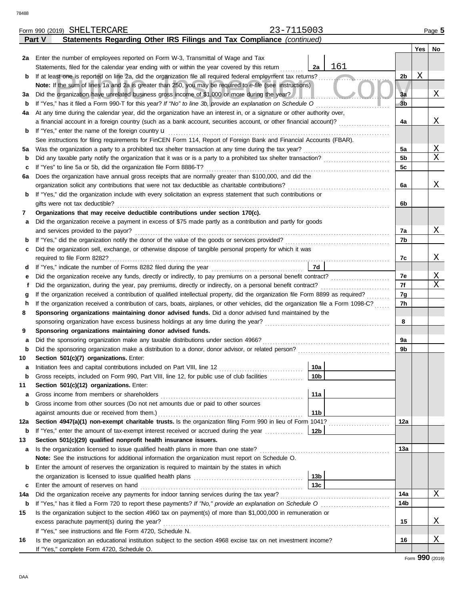|     | 23-7115003<br>Form 990 (2019) SHELTERCARE                                                                                          |                 |                |     | Page 5 |
|-----|------------------------------------------------------------------------------------------------------------------------------------|-----------------|----------------|-----|--------|
|     | Statements Regarding Other IRS Filings and Tax Compliance (continued)<br>Part V                                                    |                 |                |     |        |
|     |                                                                                                                                    |                 |                | Yes | No     |
| 2a  | Enter the number of employees reported on Form W-3, Transmittal of Wage and Tax                                                    |                 |                |     |        |
|     | Statements, filed for the calendar year ending with or within the year covered by this return                                      | 161<br>2a       |                |     |        |
| b   | If at least one is reported on line 2a, did the organization file all required federal employment tax returns?                     |                 | 2 <sub>b</sub> | Χ   |        |
|     | Note: If the sum of lines 1a and 2a is greater than 250, you may be required to e-file (see instructions)                          |                 |                |     |        |
| За  | Did the organization have unrelated business gross income of \$1,000 or more during the year?                                      |                 | 3a             |     | Χ      |
| b   | If "Yes," has it filed a Form 990-T for this year? If "No" to line 3b, provide an explanation on Schedule O                        |                 | 3 <sub>b</sub> |     |        |
| 4a  | At any time during the calendar year, did the organization have an interest in, or a signature or other authority over,            |                 |                |     |        |
|     | a financial account in a foreign country (such as a bank account, securities account, or other financial account)?                 |                 | 4a             |     | Χ      |
| b   | If "Yes," enter the name of the foreign country <b>u</b>                                                                           |                 |                |     |        |
|     | See instructions for filing requirements for FinCEN Form 114, Report of Foreign Bank and Financial Accounts (FBAR).                |                 |                |     |        |
| 5a  | Was the organization a party to a prohibited tax shelter transaction at any time during the tax year?                              |                 | 5a             |     | Χ      |
| b   |                                                                                                                                    |                 | 5b             |     | X      |
| c   | If "Yes" to line 5a or 5b, did the organization file Form 8886-T?                                                                  |                 | 5c             |     |        |
| 6а  | Does the organization have annual gross receipts that are normally greater than \$100,000, and did the                             |                 |                |     |        |
|     | organization solicit any contributions that were not tax deductible as charitable contributions?                                   |                 | 6a             |     | Χ      |
| b   | If "Yes," did the organization include with every solicitation an express statement that such contributions or                     |                 |                |     |        |
|     | gifts were not tax deductible?                                                                                                     |                 | 6b             |     |        |
| 7   | Organizations that may receive deductible contributions under section 170(c).                                                      |                 |                |     |        |
| а   | Did the organization receive a payment in excess of \$75 made partly as a contribution and partly for goods                        |                 |                |     |        |
|     | and services provided to the payor?                                                                                                |                 | 7a             |     | Χ      |
| b   |                                                                                                                                    |                 | 7b             |     |        |
| c   | Did the organization sell, exchange, or otherwise dispose of tangible personal property for which it was                           |                 |                |     |        |
|     |                                                                                                                                    |                 | 7c             |     | Χ      |
| d   |                                                                                                                                    | 7d              |                |     |        |
| е   |                                                                                                                                    |                 | 7e             |     | Χ      |
| f   | Did the organization, during the year, pay premiums, directly or indirectly, on a personal benefit contract?                       |                 | 7f             |     | X      |
| g   | If the organization received a contribution of qualified intellectual property, did the organization file Form 8899 as required?   |                 | 7g             |     |        |
| h   | If the organization received a contribution of cars, boats, airplanes, or other vehicles, did the organization file a Form 1098-C? |                 | 7h             |     |        |
| 8   | Sponsoring organizations maintaining donor advised funds. Did a donor advised fund maintained by the                               |                 |                |     |        |
|     |                                                                                                                                    |                 | 8              |     |        |
| 9   | Sponsoring organizations maintaining donor advised funds.                                                                          |                 |                |     |        |
| а   | Did the sponsoring organization make any taxable distributions under section 4966?                                                 |                 | 9a             |     |        |
| b   |                                                                                                                                    |                 | 9b             |     |        |
| 10  | Section 501(c)(7) organizations. Enter:                                                                                            |                 |                |     |        |
|     | Initiation fees and capital contributions included on Part VIII, line 12 [11] [11] [11] [12] [11] [11] [12] [1                     | 10a             |                |     |        |
| b   | Gross receipts, included on Form 990, Part VIII, line 12, for public use of club facilities                                        | 10 <sub>b</sub> |                |     |        |
| 11  | Section 501(c)(12) organizations. Enter:                                                                                           |                 |                |     |        |
| а   | Gross income from members or shareholders                                                                                          | 11a             |                |     |        |
| b   | Gross income from other sources (Do not net amounts due or paid to other sources                                                   |                 |                |     |        |
|     | against amounts due or received from them.)                                                                                        | 11 <sub>b</sub> |                |     |        |
| 12a | Section 4947(a)(1) non-exempt charitable trusts. Is the organization filing Form 990 in lieu of Form 1041?                         |                 | 12a            |     |        |
| b   | If "Yes," enter the amount of tax-exempt interest received or accrued during the year                                              | 12b             |                |     |        |
| 13  | Section 501(c)(29) qualified nonprofit health insurance issuers.                                                                   |                 |                |     |        |
| а   | Is the organization licensed to issue qualified health plans in more than one state?                                               |                 | 13a            |     |        |
|     | Note: See the instructions for additional information the organization must report on Schedule O.                                  |                 |                |     |        |
| b   | Enter the amount of reserves the organization is required to maintain by the states in which                                       |                 |                |     |        |
|     |                                                                                                                                    | 13 <sub>b</sub> |                |     |        |
| c   | Enter the amount of reserves on hand                                                                                               | 13c             |                |     |        |
| 14a | Did the organization receive any payments for indoor tanning services during the tax year?                                         |                 | 14a            |     | X      |
| b   | If "Yes," has it filed a Form 720 to report these payments? If "No," provide an explanation on Schedule O                          |                 | 14b            |     |        |
| 15  | Is the organization subject to the section 4960 tax on payment(s) of more than \$1,000,000 in remuneration or                      |                 |                |     |        |
|     | excess parachute payment(s) during the year?                                                                                       |                 | 15             |     | Χ      |
|     | If "Yes," see instructions and file Form 4720, Schedule N.                                                                         |                 |                |     |        |
| 16  | Is the organization an educational institution subject to the section 4968 excise tax on net investment income?                    |                 | 16             |     | Χ      |
|     | If "Yes," complete Form 4720, Schedule O.                                                                                          |                 |                |     |        |
|     |                                                                                                                                    |                 |                |     |        |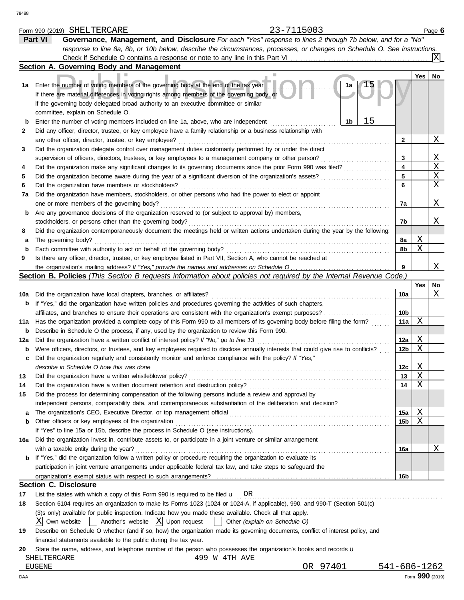|             | 23-7115003<br>Form 990 (2019) SHELTERCARE                                                                                           |                 |     | Page 6          |
|-------------|-------------------------------------------------------------------------------------------------------------------------------------|-----------------|-----|-----------------|
|             | Governance, Management, and Disclosure For each "Yes" response to lines 2 through 7b below, and for a "No"<br>Part VI               |                 |     |                 |
|             | response to line 8a, 8b, or 10b below, describe the circumstances, processes, or changes on Schedule O. See instructions.           |                 |     |                 |
|             | Check if Schedule O contains a response or note to any line in this Part VI                                                         |                 |     | X               |
|             | Section A. Governing Body and Management                                                                                            |                 |     |                 |
|             |                                                                                                                                     |                 | Yes | <b>No</b>       |
| 1а          | $\sqrt{15}$<br>Enter the number of voting members of the governing body at the end of the tax year<br>1a                            |                 |     |                 |
|             | If there are material differences in voting rights among members of the governing body, or                                          |                 |     |                 |
|             | if the governing body delegated broad authority to an executive committee or similar                                                |                 |     |                 |
|             | committee, explain on Schedule O.                                                                                                   |                 |     |                 |
|             | 15<br>1b<br>Enter the number of voting members included on line 1a, above, who are independent                                      |                 |     |                 |
| $\mathbf b$ |                                                                                                                                     |                 |     |                 |
| 2           | Did any officer, director, trustee, or key employee have a family relationship or a business relationship with                      |                 |     |                 |
|             | any other officer, director, trustee, or key employee?                                                                              | 2               |     | Χ               |
| 3           | Did the organization delegate control over management duties customarily performed by or under the direct                           |                 |     |                 |
|             | supervision of officers, directors, trustees, or key employees to a management company or other person?                             | 3               |     | Χ               |
| 4           | Did the organization make any significant changes to its governing documents since the prior Form 990 was filed?                    | 4               |     | X               |
| 5           | Did the organization become aware during the year of a significant diversion of the organization's assets?                          | 5               |     | Χ               |
| 6           | Did the organization have members or stockholders?                                                                                  | 6               |     | Χ               |
| 7a          | Did the organization have members, stockholders, or other persons who had the power to elect or appoint                             |                 |     |                 |
|             | one or more members of the governing body?                                                                                          | 7a              |     | Χ               |
| b           | Are any governance decisions of the organization reserved to (or subject to approval by) members,                                   |                 |     |                 |
|             | stockholders, or persons other than the governing body?                                                                             | 7b              |     | Χ               |
| 8           | Did the organization contemporaneously document the meetings held or written actions undertaken during the year by the following:   |                 |     |                 |
| а           | The governing body?                                                                                                                 | 8a              | Χ   |                 |
| b           | Each committee with authority to act on behalf of the governing body?                                                               | 8b              | Χ   |                 |
| 9           | Is there any officer, director, trustee, or key employee listed in Part VII, Section A, who cannot be reached at                    |                 |     |                 |
|             |                                                                                                                                     | 9               |     | Χ               |
|             | Section B. Policies (This Section B requests information about policies not required by the Internal Revenue Code.)                 |                 |     |                 |
|             |                                                                                                                                     |                 | Yes | No              |
| 10a         | Did the organization have local chapters, branches, or affiliates?                                                                  | 10a             |     | Χ               |
| b           | If "Yes," did the organization have written policies and procedures governing the activities of such chapters,                      |                 |     |                 |
|             | affiliates, and branches to ensure their operations are consistent with the organization's exempt purposes?                         | 10 <sub>b</sub> |     |                 |
|             |                                                                                                                                     | 11a             | Χ   |                 |
| 11a         | Has the organization provided a complete copy of this Form 990 to all members of its governing body before filing the form?         |                 |     |                 |
| b           | Describe in Schedule O the process, if any, used by the organization to review this Form 990.                                       |                 | Χ   |                 |
| 12a         | Did the organization have a written conflict of interest policy? If "No," go to line 13                                             | 12a             |     |                 |
| b           | Were officers, directors, or trustees, and key employees required to disclose annually interests that could give rise to conflicts? | 12 <sub>b</sub> | Χ   |                 |
| c           | Did the organization regularly and consistently monitor and enforce compliance with the policy? If "Yes,"                           |                 |     |                 |
|             | describe in Schedule O how this was done                                                                                            | 12c             | Χ   |                 |
| 13          | Did the organization have a written whistleblower policy?                                                                           | 13              | X   |                 |
| 14          | Did the organization have a written document retention and destruction policy?                                                      | 14              | Χ   |                 |
| 15          | Did the process for determining compensation of the following persons include a review and approval by                              |                 |     |                 |
|             | independent persons, comparability data, and contemporaneous substantiation of the deliberation and decision?                       |                 |     |                 |
| a           |                                                                                                                                     | 15a             | Χ   |                 |
| b           | Other officers or key employees of the organization                                                                                 | 15b             | Χ   |                 |
|             | If "Yes" to line 15a or 15b, describe the process in Schedule O (see instructions).                                                 |                 |     |                 |
| 16a         | Did the organization invest in, contribute assets to, or participate in a joint venture or similar arrangement                      |                 |     |                 |
|             | with a taxable entity during the year?                                                                                              | 16a             |     | Χ               |
| b           | If "Yes," did the organization follow a written policy or procedure requiring the organization to evaluate its                      |                 |     |                 |
|             | participation in joint venture arrangements under applicable federal tax law, and take steps to safeguard the                       |                 |     |                 |
|             |                                                                                                                                     | 16b             |     |                 |
|             | <b>Section C. Disclosure</b>                                                                                                        |                 |     |                 |
| 17          | List the states with which a copy of this Form 990 is required to be filed $\mathbf{u}$ OR                                          |                 |     |                 |
| 18          | Section 6104 requires an organization to make its Forms 1023 (1024 or 1024-A, if applicable), 990, and 990-T (Section 501(c)        |                 |     |                 |
|             | (3)s only) available for public inspection. Indicate how you made these available. Check all that apply.                            |                 |     |                 |
|             | X Own website<br>$\vert$ Another's website $\vert X \vert$ Upon request<br>Other (explain on Schedule O)                            |                 |     |                 |
|             |                                                                                                                                     |                 |     |                 |
| 19          | Describe on Schedule O whether (and if so, how) the organization made its governing documents, conflict of interest policy, and     |                 |     |                 |
|             | financial statements available to the public during the tax year.                                                                   |                 |     |                 |
| 20          | State the name, address, and telephone number of the person who possesses the organization's books and records u                    |                 |     |                 |
|             | SHELTERCARE<br>499 W 4TH AVE                                                                                                        |                 |     |                 |
|             | OR 97401<br><b>EUGENE</b>                                                                                                           | 541-686-1262    |     |                 |
| DAA         |                                                                                                                                     |                 |     | Form 990 (2019) |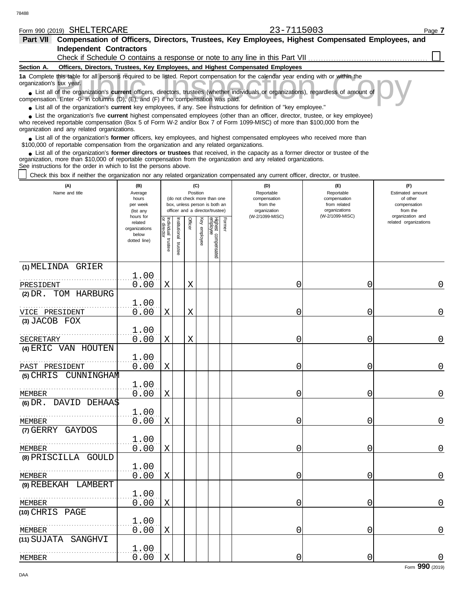| Form 990 (2019) SHELTERCARE                                                                                                                                                                                                                                                                                                 |                                     |                    |              |         |                 |                                                              |        | 23-7115003                                                                      |                                                   | Page 7                                              |
|-----------------------------------------------------------------------------------------------------------------------------------------------------------------------------------------------------------------------------------------------------------------------------------------------------------------------------|-------------------------------------|--------------------|--------------|---------|-----------------|--------------------------------------------------------------|--------|---------------------------------------------------------------------------------|---------------------------------------------------|-----------------------------------------------------|
| Part VII Compensation of Officers, Directors, Trustees, Key Employees, Highest Compensated Employees, and                                                                                                                                                                                                                   |                                     |                    |              |         |                 |                                                              |        |                                                                                 |                                                   |                                                     |
| <b>Independent Contractors</b>                                                                                                                                                                                                                                                                                              |                                     |                    |              |         |                 |                                                              |        |                                                                                 |                                                   |                                                     |
|                                                                                                                                                                                                                                                                                                                             |                                     |                    |              |         |                 |                                                              |        | Check if Schedule O contains a response or note to any line in this Part VII.   |                                                   |                                                     |
| Section A.                                                                                                                                                                                                                                                                                                                  |                                     |                    |              |         |                 |                                                              |        | Officers, Directors, Trustees, Key Employees, and Highest Compensated Employees |                                                   |                                                     |
| 1a Complete this table for all persons required to be listed. Report compensation for the calendar year ending with or within the<br>organization's tax year.                                                                                                                                                               |                                     |                    |              |         |                 |                                                              |        |                                                                                 |                                                   |                                                     |
| • List all of the organization's current officers, directors, trustees (whether individuals or organizations), regardless of amount of<br>compensation. Enter -0- in columns (D), (E), and (F) if no compensation was paid.                                                                                                 |                                     |                    |              |         |                 |                                                              |        |                                                                                 |                                                   |                                                     |
| • List all of the organization's current key employees, if any. See instructions for definition of "key employee."                                                                                                                                                                                                          |                                     |                    |              |         |                 |                                                              |        |                                                                                 |                                                   |                                                     |
| List the organization's five current highest compensated employees (other than an officer, director, trustee, or key employee)<br>who received reportable compensation (Box 5 of Form W-2 and/or Box 7 of Form 1099-MISC) of more than \$100,000 from the<br>organization and any related organizations.                    |                                     |                    |              |         |                 |                                                              |        |                                                                                 |                                                   |                                                     |
| • List all of the organization's former officers, key employees, and highest compensated employees who received more than<br>\$100,000 of reportable compensation from the organization and any related organizations.                                                                                                      |                                     |                    |              |         |                 |                                                              |        |                                                                                 |                                                   |                                                     |
| List all of the organization's former directors or trustees that received, in the capacity as a former director or trustee of the<br>organization, more than \$10,000 of reportable compensation from the organization and any related organizations.<br>See instructions for the order in which to list the persons above. |                                     |                    |              |         |                 |                                                              |        |                                                                                 |                                                   |                                                     |
| Check this box if neither the organization nor any related organization compensated any current officer, director, or trustee.                                                                                                                                                                                              |                                     |                    |              |         |                 |                                                              |        |                                                                                 |                                                   |                                                     |
| (A)<br>Name and title                                                                                                                                                                                                                                                                                                       | (B)<br>Average<br>hours<br>per week |                    |              |         | (C)<br>Position | (do not check more than one<br>box, unless person is both an |        | (D)<br>Reportable<br>compensation<br>from the                                   | (F)<br>Reportable<br>compensation<br>from related | (F)<br>Estimated amount<br>of other<br>compensation |
|                                                                                                                                                                                                                                                                                                                             | (list any<br>hours for              |                    |              |         |                 | officer and a director/trustee)                              |        | organization<br>(W-2/1099-MISC)                                                 | organizations<br>(W-2/1099-MISC)                  | from the<br>organization and                        |
|                                                                                                                                                                                                                                                                                                                             | related                             | Individual trustee |              | Officer | Key             | Highest compensated<br>employee                              | Former |                                                                                 |                                                   | related organizations                               |
|                                                                                                                                                                                                                                                                                                                             | organizations<br>below              |                    | nstitutional |         | employee        |                                                              |        |                                                                                 |                                                   |                                                     |
|                                                                                                                                                                                                                                                                                                                             | dotted line)                        |                    | trustee      |         |                 |                                                              |        |                                                                                 |                                                   |                                                     |
|                                                                                                                                                                                                                                                                                                                             |                                     |                    |              |         |                 |                                                              |        |                                                                                 |                                                   |                                                     |
| (1) MELINDA GRIER                                                                                                                                                                                                                                                                                                           |                                     |                    |              |         |                 |                                                              |        |                                                                                 |                                                   |                                                     |
|                                                                                                                                                                                                                                                                                                                             | 1.00                                |                    |              |         |                 |                                                              |        |                                                                                 |                                                   |                                                     |
| PRESIDENT                                                                                                                                                                                                                                                                                                                   | 0.00                                | Χ                  |              | X       |                 |                                                              |        | 0                                                                               | 0                                                 | 0                                                   |
| (2) DR. TOM HARBURG                                                                                                                                                                                                                                                                                                         |                                     |                    |              |         |                 |                                                              |        |                                                                                 |                                                   |                                                     |
|                                                                                                                                                                                                                                                                                                                             | 1.00                                |                    |              |         |                 |                                                              |        |                                                                                 |                                                   |                                                     |
| VICE PRESIDENT<br>(3) JACOB FOX                                                                                                                                                                                                                                                                                             | 0.00                                | Χ                  |              | X       |                 |                                                              |        | 0                                                                               | 0                                                 | 0                                                   |
|                                                                                                                                                                                                                                                                                                                             | 1.00                                |                    |              |         |                 |                                                              |        |                                                                                 |                                                   |                                                     |
| SECRETARY                                                                                                                                                                                                                                                                                                                   | 0.00                                | Χ                  |              | X       |                 |                                                              |        | 0                                                                               | 0                                                 | 0                                                   |
| (4) ERIC VAN HOUTEN                                                                                                                                                                                                                                                                                                         |                                     |                    |              |         |                 |                                                              |        |                                                                                 |                                                   |                                                     |
|                                                                                                                                                                                                                                                                                                                             | 1.00                                |                    |              |         |                 |                                                              |        |                                                                                 |                                                   |                                                     |
| PAST PRESIDENT                                                                                                                                                                                                                                                                                                              | 0.00                                | $\mathbf X$        |              |         |                 |                                                              |        | ∩                                                                               | 0                                                 | 0                                                   |
| (5) CHRIS CUNNINGHAM                                                                                                                                                                                                                                                                                                        |                                     |                    |              |         |                 |                                                              |        |                                                                                 |                                                   |                                                     |
|                                                                                                                                                                                                                                                                                                                             | 1.00                                |                    |              |         |                 |                                                              |        |                                                                                 |                                                   |                                                     |
| <b>MEMBER</b><br>$(6)$ DR. DAVID DEHAA\$                                                                                                                                                                                                                                                                                    | 0.00                                | Χ                  |              |         |                 |                                                              |        | 0                                                                               | 0                                                 | $\overline{0}$                                      |
|                                                                                                                                                                                                                                                                                                                             | 1.00                                |                    |              |         |                 |                                                              |        |                                                                                 |                                                   |                                                     |
| <b>MEMBER</b>                                                                                                                                                                                                                                                                                                               | 0.00                                | Χ                  |              |         |                 |                                                              |        | 0                                                                               | 0                                                 | $\mathbf 0$                                         |
| (7) GERRY GAYDOS                                                                                                                                                                                                                                                                                                            |                                     |                    |              |         |                 |                                                              |        |                                                                                 |                                                   |                                                     |
|                                                                                                                                                                                                                                                                                                                             | 1.00                                |                    |              |         |                 |                                                              |        |                                                                                 |                                                   |                                                     |
| <b>MEMBER</b>                                                                                                                                                                                                                                                                                                               | 0.00                                | Χ                  |              |         |                 |                                                              |        | 0                                                                               | 0                                                 | $\mathbf 0$                                         |
| (8) PRISCILLA GOULD                                                                                                                                                                                                                                                                                                         |                                     |                    |              |         |                 |                                                              |        |                                                                                 |                                                   |                                                     |
| <b>MEMBER</b>                                                                                                                                                                                                                                                                                                               | 1.00<br>0.00                        | Χ                  |              |         |                 |                                                              |        | 0                                                                               | 0                                                 | $\mathbf 0$                                         |
| (9) REBEKAH LAMBERT                                                                                                                                                                                                                                                                                                         |                                     |                    |              |         |                 |                                                              |        |                                                                                 |                                                   |                                                     |
|                                                                                                                                                                                                                                                                                                                             | 1.00                                |                    |              |         |                 |                                                              |        |                                                                                 |                                                   |                                                     |
| <b>MEMBER</b>                                                                                                                                                                                                                                                                                                               | 0.00                                | Χ                  |              |         |                 |                                                              |        | 0                                                                               | 0                                                 | $\mathbf 0$                                         |
| (10) CHRIS PAGE                                                                                                                                                                                                                                                                                                             |                                     |                    |              |         |                 |                                                              |        |                                                                                 |                                                   |                                                     |
|                                                                                                                                                                                                                                                                                                                             | 1.00                                |                    |              |         |                 |                                                              |        |                                                                                 |                                                   |                                                     |
| <b>MEMBER</b>                                                                                                                                                                                                                                                                                                               | 0.00                                | Χ                  |              |         |                 |                                                              |        | 0                                                                               | 0                                                 | $\mathbf 0$                                         |
| (11) SUJATA SANGHVI                                                                                                                                                                                                                                                                                                         | 1.00                                |                    |              |         |                 |                                                              |        |                                                                                 |                                                   |                                                     |

MEMBER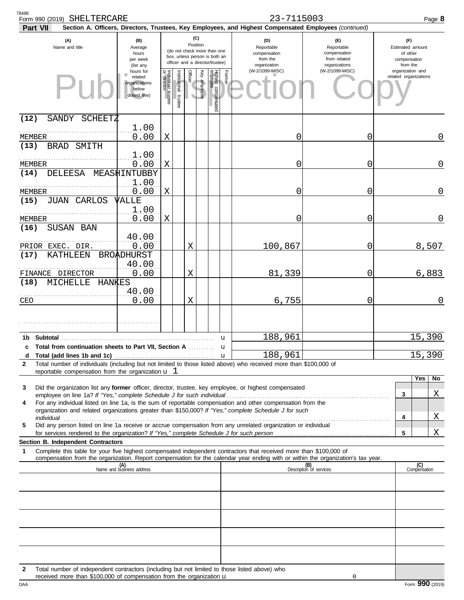| 78488<br>Form 990 (2019) SHELTERCARE<br>Part VII                                                                                                                                                  |                                                                |                                                                                                                    |                       |         |              |                                 |             | 23-7115003<br>Section A. Officers, Directors, Trustees, Key Employees, and Highest Compensated Employees (continued) |                                                                    | Page 8                                                          |
|---------------------------------------------------------------------------------------------------------------------------------------------------------------------------------------------------|----------------------------------------------------------------|--------------------------------------------------------------------------------------------------------------------|-----------------------|---------|--------------|---------------------------------|-------------|----------------------------------------------------------------------------------------------------------------------|--------------------------------------------------------------------|-----------------------------------------------------------------|
| (A)<br>Name and title                                                                                                                                                                             | (B)<br>Average<br>hours<br>per week<br>(list any               | (C)<br>Position<br>(do not check more than one<br>box, unless person is both an<br>officer and a director/trustee) |                       |         |              |                                 |             | (D)<br>Reportable<br>compensation<br>from the<br>organization                                                        | (F)<br>Reportable<br>compensation<br>from related<br>organizations | (F)<br>Estimated amount<br>of other<br>compensation<br>from the |
|                                                                                                                                                                                                   | hours for<br>related<br>organizations<br>below<br>dotted line) | Individual 1<br>trustee                                                                                            | Institutional trustee | Officer | Key employee | Highest compensated<br>employee | Former      | (W-2/1099-MISC)                                                                                                      | (W-2/1099-MISC)                                                    | organization and<br>related organizations                       |
| (12)<br>SANDY<br>SCHEETZ                                                                                                                                                                          |                                                                |                                                                                                                    |                       |         |              |                                 |             |                                                                                                                      |                                                                    |                                                                 |
| MEMBER<br>(13)<br><b>BRAD</b><br>SMITH                                                                                                                                                            | 1.00<br>0.00                                                   | Χ                                                                                                                  |                       |         |              |                                 |             | 0                                                                                                                    | 0                                                                  | 0                                                               |
| MEMBER                                                                                                                                                                                            | 1.00<br>0.00                                                   | X                                                                                                                  |                       |         |              |                                 |             | 0                                                                                                                    | 0                                                                  | 0                                                               |
| <b>DELEESA</b><br>(14)                                                                                                                                                                            | MEASHINTUBBY<br>1.00                                           |                                                                                                                    |                       |         |              |                                 |             |                                                                                                                      |                                                                    |                                                                 |
| MEMBER<br>(15)<br><b>JUAN CARLOS</b>                                                                                                                                                              | 0.00<br>VALLE                                                  | X                                                                                                                  |                       |         |              |                                 |             | 0                                                                                                                    | 0                                                                  | 0                                                               |
| MEMBER<br>(16)                                                                                                                                                                                    | 1.00<br>0.00                                                   | X                                                                                                                  |                       |         |              |                                 |             | 0                                                                                                                    | 0                                                                  | 0                                                               |
| SUSAN BAN<br>PRIOR EXEC. DIR.                                                                                                                                                                     | 40.00<br>0.00                                                  |                                                                                                                    |                       | Χ       |              |                                 |             | 100,867                                                                                                              | 0                                                                  | 8,507                                                           |
| KATHLEEN<br>(17)                                                                                                                                                                                  | <b>BROADHURST</b><br>40.00                                     |                                                                                                                    |                       |         |              |                                 |             |                                                                                                                      | 0                                                                  |                                                                 |
| FINANCE<br>DIRECTOR<br>(18)<br>MICHELLE<br>HANKES                                                                                                                                                 | 0.00<br>40.00                                                  |                                                                                                                    |                       | Χ       |              |                                 |             | 81,339                                                                                                               |                                                                    | 6,883                                                           |
| CEO                                                                                                                                                                                               | 0.00                                                           |                                                                                                                    |                       | Χ       |              |                                 |             | 6,755                                                                                                                | 0                                                                  | 0                                                               |
|                                                                                                                                                                                                   |                                                                |                                                                                                                    |                       |         |              |                                 |             |                                                                                                                      |                                                                    |                                                                 |
| Subtotal<br>1b.<br>c Total from continuation sheets to Part VII, Section A                                                                                                                        |                                                                |                                                                                                                    |                       |         |              |                                 | u<br>u      | 188,961                                                                                                              |                                                                    | 15,390                                                          |
| Total (add lines 1b and 1c)<br>d                                                                                                                                                                  |                                                                |                                                                                                                    |                       |         |              |                                 | $\mathbf u$ | 188,961                                                                                                              |                                                                    | 15,390                                                          |
| Total number of individuals (including but not limited to those listed above) who received more than \$100,000 of<br>$\mathbf{2}$<br>reportable compensation from the organization $\mathbf{u}$ 1 |                                                                |                                                                                                                    |                       |         |              |                                 |             |                                                                                                                      |                                                                    |                                                                 |
|                                                                                                                                                                                                   |                                                                |                                                                                                                    |                       |         |              |                                 |             |                                                                                                                      |                                                                    | Yes<br>No                                                       |
| Did the organization list any former officer, director, trustee, key employee, or highest compensated<br>3                                                                                        |                                                                |                                                                                                                    |                       |         |              |                                 |             |                                                                                                                      |                                                                    | Χ<br>3                                                          |
| For any individual listed on line 1a, is the sum of reportable compensation and other compensation from the<br>4                                                                                  |                                                                |                                                                                                                    |                       |         |              |                                 |             |                                                                                                                      |                                                                    |                                                                 |
| organization and related organizations greater than \$150,000? If "Yes," complete Schedule J for such                                                                                             |                                                                |                                                                                                                    |                       |         |              |                                 |             |                                                                                                                      |                                                                    | Χ<br>4                                                          |
| Did any person listed on line 1a receive or accrue compensation from any unrelated organization or individual<br>5                                                                                |                                                                |                                                                                                                    |                       |         |              |                                 |             |                                                                                                                      |                                                                    |                                                                 |
|                                                                                                                                                                                                   |                                                                |                                                                                                                    |                       |         |              |                                 |             |                                                                                                                      |                                                                    | Χ<br>5                                                          |
| <b>Section B. Independent Contractors</b><br>Complete this table for your five highest compensated independent contractors that received more than \$100,000 of<br>1                              |                                                                |                                                                                                                    |                       |         |              |                                 |             |                                                                                                                      |                                                                    |                                                                 |
| compensation from the organization. Report compensation for the calendar year ending with or within the organization's tax year.                                                                  |                                                                |                                                                                                                    |                       |         |              |                                 |             |                                                                                                                      |                                                                    |                                                                 |
|                                                                                                                                                                                                   | (A)<br>Name and business address                               |                                                                                                                    |                       |         |              |                                 |             |                                                                                                                      | (B)<br>Description of services                                     | (C)<br>Compensation                                             |
|                                                                                                                                                                                                   |                                                                |                                                                                                                    |                       |         |              |                                 |             |                                                                                                                      |                                                                    |                                                                 |
|                                                                                                                                                                                                   |                                                                |                                                                                                                    |                       |         |              |                                 |             |                                                                                                                      |                                                                    |                                                                 |
|                                                                                                                                                                                                   |                                                                |                                                                                                                    |                       |         |              |                                 |             |                                                                                                                      |                                                                    |                                                                 |
|                                                                                                                                                                                                   |                                                                |                                                                                                                    |                       |         |              |                                 |             |                                                                                                                      |                                                                    |                                                                 |
| Total number of independent contractors (including but not limited to those listed above) who<br>$\mathbf{2}$<br>received more than \$100,000 of compensation from the organization $\mathbf u$   |                                                                |                                                                                                                    |                       |         |              |                                 |             |                                                                                                                      | 0                                                                  |                                                                 |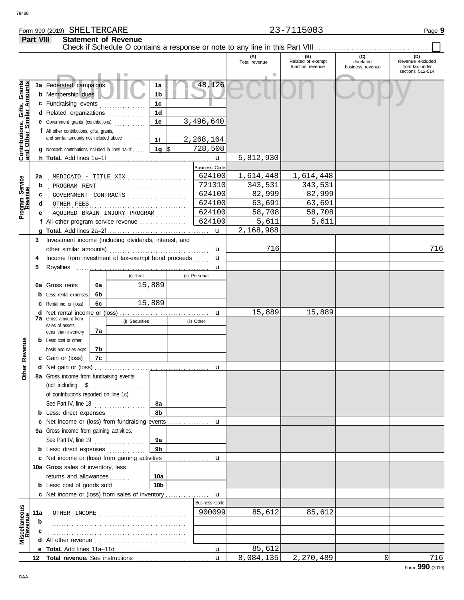# Form 990 (2019) Page **9** SHELTERCARE 23-7115003

|                                                                  | Part VIII                                                                           |                                                                                                                                     |    | <b>Statement of Revenue</b>  |                      |         |                        | Check if Schedule O contains a response or note to any line in this Part VIII |                                              |                                      |                                           |
|------------------------------------------------------------------|-------------------------------------------------------------------------------------|-------------------------------------------------------------------------------------------------------------------------------------|----|------------------------------|----------------------|---------|------------------------|-------------------------------------------------------------------------------|----------------------------------------------|--------------------------------------|-------------------------------------------|
|                                                                  |                                                                                     |                                                                                                                                     |    |                              |                      |         |                        | (A)<br>Total revenue                                                          | (B)<br>Related or exempt<br>function revenue | (C)<br>Unrelated<br>business revenue | (D)<br>Revenue excluded<br>from tax under |
| <b>Contributions, Gifts, Grants</b><br>and Other Similar Amounts |                                                                                     | 1a Federated campaigns<br><b>b</b> Membership dues                                                                                  |    |                              | 1a<br>1b             |         | 48,126                 |                                                                               |                                              |                                      | sections 512-514                          |
|                                                                  | 1 <sub>c</sub><br>c Fundraising events<br>1 <sub>d</sub><br>d Related organizations |                                                                                                                                     |    |                              |                      |         |                        |                                                                               |                                              |                                      |                                           |
|                                                                  |                                                                                     | e Government grants (contributions)<br>f All other contributions, gifts, grants,                                                    |    |                              | 1e                   |         | 3,496,640              |                                                                               |                                              |                                      |                                           |
|                                                                  |                                                                                     | and similar amounts not included above<br>1f<br><b>g</b> Noncash contributions included in lines 1a-1f $\vert$ <b>1g</b> $\vert$ \$ |    |                              | 2,268,164            |         |                        |                                                                               |                                              |                                      |                                           |
|                                                                  |                                                                                     |                                                                                                                                     |    |                              |                      |         | 728,508<br>$\mathbf u$ | 5,812,930                                                                     |                                              |                                      |                                           |
|                                                                  |                                                                                     |                                                                                                                                     |    |                              |                      |         | <b>Business Code</b>   |                                                                               |                                              |                                      |                                           |
|                                                                  | 2a                                                                                  | MEDICAID - TITLE XIX                                                                                                                |    |                              |                      |         | 624100                 | 1,614,448                                                                     | 1,614,448                                    |                                      |                                           |
| Program Service<br>Revenue                                       | b                                                                                   | PROGRAM RENT                                                                                                                        |    |                              | 721310               | 343,531 | 343,531                |                                                                               |                                              |                                      |                                           |
|                                                                  | c                                                                                   |                                                                                                                                     |    | GOVERNMENT CONTRACTS         |                      |         | 624100                 | 82,999                                                                        | 82,999                                       |                                      |                                           |
|                                                                  |                                                                                     | OTHER FEES                                                                                                                          |    |                              |                      |         | 624100                 | 63,691                                                                        | 63,691                                       |                                      |                                           |
|                                                                  |                                                                                     |                                                                                                                                     |    | AQUIRED BRAIN INJURY PROGRAM |                      |         | 624100                 | 58,708                                                                        | 58,708                                       |                                      |                                           |
|                                                                  |                                                                                     | f All other program service revenue                                                                                                 |    |                              |                      |         | 624100                 | 5,611                                                                         | 5,611                                        |                                      |                                           |
|                                                                  |                                                                                     |                                                                                                                                     |    |                              |                      |         | $\mathbf{u}$           | 2,168,988                                                                     |                                              |                                      |                                           |
|                                                                  | 3                                                                                   | Investment income (including dividends, interest, and                                                                               |    |                              |                      |         |                        | 716                                                                           |                                              |                                      |                                           |
|                                                                  |                                                                                     |                                                                                                                                     |    |                              |                      |         | u                      |                                                                               |                                              |                                      | 716                                       |
|                                                                  |                                                                                     | Income from investment of tax-exempt bond proceeds                                                                                  |    |                              |                      |         | u                      |                                                                               |                                              |                                      |                                           |
|                                                                  | 5                                                                                   |                                                                                                                                     |    | (i) Real                     |                      |         | u<br>(ii) Personal     |                                                                               |                                              |                                      |                                           |
|                                                                  |                                                                                     | 6a Gross rents                                                                                                                      | 6а |                              | 15,889               |         |                        |                                                                               |                                              |                                      |                                           |
|                                                                  |                                                                                     | <b>b</b> Less: rental expenses                                                                                                      | 6b |                              |                      |         |                        |                                                                               |                                              |                                      |                                           |
|                                                                  |                                                                                     | <b>c</b> Rental inc. or (loss)                                                                                                      | 6с |                              | 15,889               |         |                        |                                                                               |                                              |                                      |                                           |
|                                                                  |                                                                                     |                                                                                                                                     |    |                              |                      |         | u                      | 15,889                                                                        | 15,889                                       |                                      |                                           |
|                                                                  |                                                                                     | <b>7a</b> Gross amount from                                                                                                         |    | (i) Securities               |                      |         | (ii) Other             |                                                                               |                                              |                                      |                                           |
|                                                                  |                                                                                     | sales of assets<br>other than inventory                                                                                             | 7a |                              |                      |         |                        |                                                                               |                                              |                                      |                                           |
|                                                                  |                                                                                     | <b>b</b> Less: cost or other                                                                                                        |    |                              |                      |         |                        |                                                                               |                                              |                                      |                                           |
|                                                                  |                                                                                     | basis and sales exps.                                                                                                               | 7b |                              |                      |         |                        |                                                                               |                                              |                                      |                                           |
| Revenue                                                          |                                                                                     | c Gain or (loss)                                                                                                                    | 7c |                              |                      |         |                        |                                                                               |                                              |                                      |                                           |
| ē                                                                |                                                                                     |                                                                                                                                     |    |                              |                      |         | u                      |                                                                               |                                              |                                      |                                           |
| ō                                                                |                                                                                     | 8a Gross income from fundraising events                                                                                             |    |                              |                      |         |                        |                                                                               |                                              |                                      |                                           |
|                                                                  |                                                                                     |                                                                                                                                     |    |                              |                      |         |                        |                                                                               |                                              |                                      |                                           |
|                                                                  |                                                                                     | of contributions reported on line 1c).                                                                                              |    |                              |                      |         |                        |                                                                               |                                              |                                      |                                           |
|                                                                  |                                                                                     | See Part IV, line 18                                                                                                                |    |                              | 8а                   |         |                        |                                                                               |                                              |                                      |                                           |
|                                                                  |                                                                                     | <b>b</b> Less: direct expenses <i>minimum</i>                                                                                       |    |                              | 8b                   |         |                        |                                                                               |                                              |                                      |                                           |
|                                                                  |                                                                                     | c Net income or (loss) from fundraising events                                                                                      |    |                              |                      |         | u                      |                                                                               |                                              |                                      |                                           |
|                                                                  |                                                                                     | 9a Gross income from gaming activities.                                                                                             |    |                              |                      |         |                        |                                                                               |                                              |                                      |                                           |
|                                                                  |                                                                                     | See Part IV, line 19                                                                                                                |    |                              | 9а<br>9 <sub>b</sub> |         |                        |                                                                               |                                              |                                      |                                           |
|                                                                  |                                                                                     | <b>b</b> Less: direct expenses <i>minimum</i><br>c Net income or (loss) from gaming activities                                      |    |                              |                      |         |                        |                                                                               |                                              |                                      |                                           |
|                                                                  |                                                                                     |                                                                                                                                     |    |                              |                      |         | u                      |                                                                               |                                              |                                      |                                           |
|                                                                  |                                                                                     | 10a Gross sales of inventory, less<br>returns and allowances<br>10a                                                                 |    |                              |                      |         |                        |                                                                               |                                              |                                      |                                           |
|                                                                  |                                                                                     | <b>b</b> Less: cost of goods sold                                                                                                   |    |                              | 10 <sub>b</sub>      |         |                        |                                                                               |                                              |                                      |                                           |
|                                                                  |                                                                                     | c Net income or (loss) from sales of inventory                                                                                      |    |                              |                      |         | $\mathbf{u}$           |                                                                               |                                              |                                      |                                           |
|                                                                  |                                                                                     |                                                                                                                                     |    |                              |                      |         | <b>Business Code</b>   |                                                                               |                                              |                                      |                                           |
| scellaneous<br>Revenue                                           | 11a                                                                                 | OTHER INCOME                                                                                                                        |    |                              |                      |         | 900099                 | 85,612                                                                        | 85,612                                       |                                      |                                           |
|                                                                  | b                                                                                   |                                                                                                                                     |    |                              |                      |         |                        |                                                                               |                                              |                                      |                                           |
|                                                                  |                                                                                     |                                                                                                                                     |    |                              |                      |         |                        |                                                                               |                                              |                                      |                                           |
|                                                                  |                                                                                     | <b>d</b> All other revenue $\ldots$ $\ldots$ $\ldots$ $\ldots$ $\ldots$ $\ldots$ $\ldots$                                           |    |                              |                      |         |                        |                                                                               |                                              |                                      |                                           |
|                                                                  |                                                                                     |                                                                                                                                     |    |                              |                      |         | $\mathbf u$            | 85,612                                                                        |                                              |                                      |                                           |
|                                                                  | 12                                                                                  |                                                                                                                                     |    |                              |                      |         | $\mathbf{u}$           | 8,084,135                                                                     | 2,270,489                                    | 0                                    | 716                                       |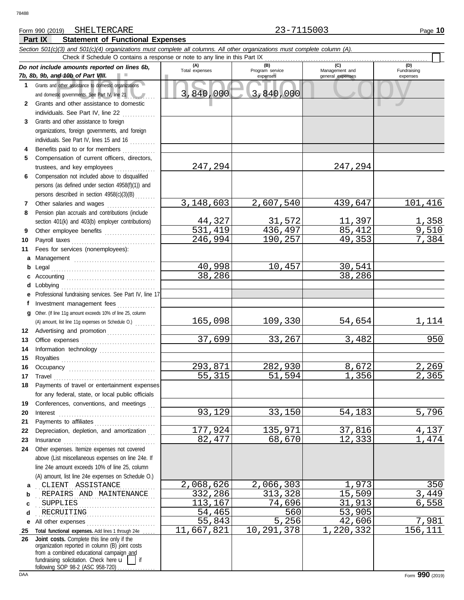# Form 990 (2019) Page **10** SHELTERCARE 23-7115003

**Part IX Statement of Functional Expenses**

### nd 10b of Part VIII.<br>
dother assistance to domestic organizations<br>
and other assistance to domestic<br>
and other assistance to domestic<br>
and other assistance to domestic<br>
and other assistance to domestic *Section 501(c)(3) and 501(c)(4) organizations must complete all columns. All other organizations must complete column (A). Do not include amounts reported on lines 6b, 7b, 8b, 9b, and 10b of Part VIII.* **1 2 3 4 5 6 7 8 9 10 11 a** Management ................................. **b** Legal . . . . . . . . . . . . . . . . . . . . . . . . . . . . . . . . . . . . . . . . . **c** Accounting . . . . . . . . . . . . . . . . . . . . . . . . . . . . . . . . . . . **d** Lobbying . . . . . . . . . . . . . . . . . . . . . . . . . . . . . . . . . . . . . **e** Professional fundraising services. See Part IV, line 17 **f g** Other. (If line 11g amount exceeds 10% of line 25, column **12** Advertising and promotion . . . . . . . . . . . . . . . . . . **13 14 15 16 17 18 19 20 21 22 23 24 a** . . . . . . . . . . . . . . . . . . . . . . . . . . . . . . . . . . . . . . . . . . . . . . . CLIENT ASSISTANCE 2,068,626 2,066,303 1,973 350 **b c d e** All other expenses . . . . . . . . . . . . . . . . . . . . . . . . . . . **25 Total functional expenses.** Add lines 1 through 24e . . . . . **26** Grants and other assistance to domestic organizations and domestic governments. See Part IV, line 21 Grants and other assistance to domestic individuals. See Part IV, line 22 .............. Grants and other assistance to foreign organizations, foreign governments, and foreign individuals. See Part IV, lines 15 and 16 Benefits paid to or for members . . . . . . . . . . . . . Compensation of current officers, directors, trustees, and key employees . . . . . . . . . . . . . . . . Compensation not included above to disqualified persons (as defined under section 4958(f)(1)) and persons described in section 4958(c)(3)(B) . . . . . . . . Other salaries and wages .................... Pension plan accruals and contributions (include section 401(k) and 403(b) employer contributions) Other employee benefits .................... Payroll taxes . . . . . . . . . . . . . . . . . . . . . . . . . . . . . . . . . Fees for services (nonemployees): Investment management fees ............... Office expenses ............................... Information technology ...................... Royalties . . . . . . . . . . . . . . . . . . . . . . . . . . . . . . . . . . . . . Occupancy . . . . . . . . . . . . . . . . . . . . . . . . . . . . . . . . . . Travel . . . . . . . . . . . . . . . . . . . . . . . . . . . . . . . . . . . . . . . . Payments of travel or entertainment expenses for any federal, state, or local public officials Conferences, conventions, and meetings Interest . . . . . . . . . . . . . . . . . . . . . . . . . . . . . . . . . . . . . . Payments to affiliates . . . . . . . . . . . . . . . . . . . . . . . . Depreciation, depletion, and amortization Insurance . . . . . . . . . . . . . . . . . . . . . . . . . . . . . . . . . . . . Other expenses. Itemize expenses not covered above (List miscellaneous expenses on line 24e. If line 24e amount exceeds 10% of line 25, column (A) amount, list line 24e expenses on Schedule O.) fundraising solicitation. Check here  $\mathbf{u}$  | if organization reported in column (B) joint costs from a combined educational campaign and following SOP 98-2 (ASC 958-720) **(A) (B) (C) (D)** Total expenses<br>
expenses Program service<br>
expenses<br>
Program service<br>  $\frac{1}{2}$ <br>  $\frac{1}{2}$ <br>  $\frac{1}{2}$ <br>  $\frac{1}{2}$ <br>  $\frac{1}{2}$ <br>  $\frac{1}{2}$ <br>  $\frac{1}{2}$ <br>  $\frac{1}{2}$ <br>  $\frac{1}{2}$ <br>  $\frac{1}{2}$ <br>  $\frac{1}{2}$ <br>  $\frac{1}{2}$ <br>  $\frac{1}{2}$ <br>  $\frac{1}{2}$ <br> expenses general expenses (D)<br>Fundraising expenses REPAIRS AND MAINTENANCE 1999 1999 1999 15,509 15,509 15,449 15,509 15,509 15,509 15,509 15,509 15,509 15,509 15,509 15,509 15,509 15,509 15,509 15,509 15,509 15,509 15,509 15,509 15,509 15,509 15,509 15,509 15,509 15,509 1 . . . . . . . . . . . . . . . . . . . . . . . . . . . . . . . . . . . . . . . . . . . . . . . SUPPLIES 113,167 74,696 31,913 6,558 . . . . . . . . . . . . . . . . . . . . . . . . . . . . . . . . . . . . . . . . . . . . . . . RECRUITING 54,465 560 53,905 Check if Schedule O contains a response or note to any line in this Part IX **Joint costs.** Complete this line only if the (A) amount, list line 11g expenses on Schedule O.) ....... 3,840,000 3,840,000 247,294 247,294 3,148,603 2,607,540 439,647 101,416 <u>44,327 31,572 11,397 1,358</u><br>31,419 436,497 85,412 9,510 <u>531,419 436,497 85,412 9,510</u><br>246,994 190,257 49,353 7,384 246,994 40,998 10,457 30,541<br>38,286 38,286 38,286 165,098 109,330 54,654 1,114 <mark>37,699</mark> 33,267 3,482 950 293,871 282,930 8,672 2,269<br>55,315 51,594 1,356 2,365 <mark>55,315 51,594 1,356</mark> 2,365 93,129 33,150 54,183 5,796 177,924 135,971 37,816 4,137<br>82,477 68,670 12,333 1,474 82,477 68,670 12,333 1,474 55,843 5,256 42,606 7,981 11,667,821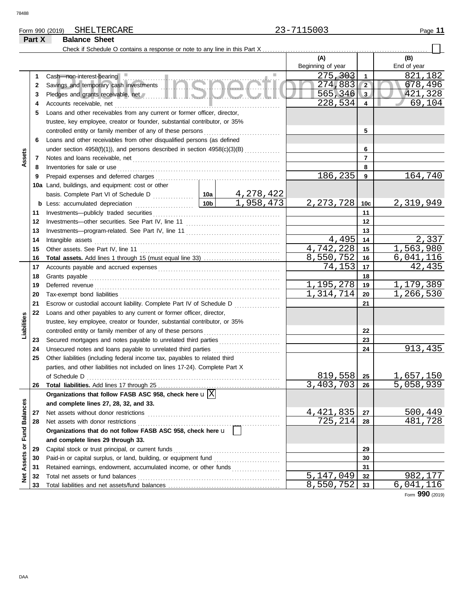# Form 990 (2019) Page **11** SHELTERCARE 23-7115003

# **Part X Balance Sheet**

|                             |    |                                                                                                                                                                                                                                     |           | (A)               |            | (B)              |
|-----------------------------|----|-------------------------------------------------------------------------------------------------------------------------------------------------------------------------------------------------------------------------------------|-----------|-------------------|------------|------------------|
|                             |    |                                                                                                                                                                                                                                     |           | Beginning of year |            | End of year      |
|                             | 1  | Cash-non-interest-bearing                                                                                                                                                                                                           |           | 275,303           | 1          | 821,182          |
|                             | 2  | Cash—non-interest-bearing<br>Savings and temporary cash investments                                                                                                                                                                 |           | 274,883           | $\sqrt{2}$ | 678,496          |
|                             | 3  |                                                                                                                                                                                                                                     |           | 565,346           | 3          | 421,328          |
|                             | 4  | Accounts receivable, net                                                                                                                                                                                                            | 228,534   | $\overline{4}$    | 69,104     |                  |
|                             | 5  | Loans and other receivables from any current or former officer, director,                                                                                                                                                           |           |                   |            |                  |
|                             |    | trustee, key employee, creator or founder, substantial contributor, or 35%                                                                                                                                                          |           |                   |            |                  |
|                             |    |                                                                                                                                                                                                                                     |           | 5                 |            |                  |
|                             | 6  | Loans and other receivables from other disqualified persons (as defined                                                                                                                                                             |           |                   |            |                  |
|                             |    | under section 4958(f)(1)), and persons described in section 4958(c)(3)(B)                                                                                                                                                           |           |                   | 6          |                  |
| Assets                      | 7  |                                                                                                                                                                                                                                     |           |                   | 7          |                  |
|                             | 8  |                                                                                                                                                                                                                                     |           |                   | 8          |                  |
|                             | 9  | Inventories for sale or use <i>continuous continuous continuous</i> continuous continuous continuous continuous continuous continuous continuous continuous continuous continuous continuous continuous continuous continuous conti |           | 186,235           | 9          | 164,740          |
|                             |    | 10a Land, buildings, and equipment: cost or other                                                                                                                                                                                   |           |                   |            |                  |
|                             |    |                                                                                                                                                                                                                                     |           |                   |            |                  |
|                             |    | basis. Complete Part VI of Schedule D<br><b>10a</b> 4, 278, 422<br><b>10b</b> 1, 958, 473                                                                                                                                           |           | 2, 273, 728       | 10c        | 2,319,949        |
|                             |    |                                                                                                                                                                                                                                     |           |                   | 11         |                  |
|                             | 11 |                                                                                                                                                                                                                                     |           | 12                |            |                  |
|                             | 12 |                                                                                                                                                                                                                                     |           |                   |            |                  |
|                             | 13 |                                                                                                                                                                                                                                     |           | 4,495             | 13         | 2,337            |
|                             | 14 | Intangible assets                                                                                                                                                                                                                   |           | 4,742,228         | 14         | 1,563,980        |
|                             | 15 |                                                                                                                                                                                                                                     |           |                   | 15         |                  |
|                             | 16 |                                                                                                                                                                                                                                     |           | 8,550,752         | 16         | 6,041,116        |
|                             | 17 |                                                                                                                                                                                                                                     | 74,153    | 17                | 42,435     |                  |
|                             | 18 |                                                                                                                                                                                                                                     |           |                   | 18         |                  |
|                             | 19 |                                                                                                                                                                                                                                     | 1,195,278 | 19                | 1,179,389  |                  |
|                             | 20 |                                                                                                                                                                                                                                     | 1,314,714 | 20                | 1,266,530  |                  |
|                             | 21 | Escrow or custodial account liability. Complete Part IV of Schedule D                                                                                                                                                               |           | 21                |            |                  |
|                             | 22 | Loans and other payables to any current or former officer, director,                                                                                                                                                                |           |                   |            |                  |
| Liabilities                 |    | trustee, key employee, creator or founder, substantial contributor, or 35%                                                                                                                                                          |           |                   |            |                  |
|                             |    |                                                                                                                                                                                                                                     |           |                   | 22         |                  |
|                             | 23 | Secured mortgages and notes payable to unrelated third parties [111] Secured mortgages and notes payable to unrelated third parties                                                                                                 |           |                   | 23         |                  |
|                             | 24 |                                                                                                                                                                                                                                     |           |                   | 24         | 913,435          |
|                             | 25 | Other liabilities (including federal income tax, payables to related third                                                                                                                                                          |           |                   |            |                  |
|                             |    | parties, and other liabilities not included on lines 17-24). Complete Part X                                                                                                                                                        |           |                   |            |                  |
|                             |    |                                                                                                                                                                                                                                     |           | $819,558$ 25      |            | <u>1,657,150</u> |
|                             | 26 |                                                                                                                                                                                                                                     |           | <u>3,403,703 </u> | 26         | <u>5,058,939</u> |
|                             |    | Organizations that follow FASB ASC 958, check here $\mathbf{u}[\overline{X}]$                                                                                                                                                       |           |                   |            |                  |
|                             |    | and complete lines 27, 28, 32, and 33.                                                                                                                                                                                              |           |                   |            |                  |
|                             | 27 | Net assets without donor restrictions                                                                                                                                                                                               |           | 4,421,835         | 27         | 500,449          |
|                             | 28 |                                                                                                                                                                                                                                     |           | 725,214           | 28         | 481,728          |
|                             |    | Organizations that do not follow FASB ASC 958, check here u                                                                                                                                                                         |           |                   |            |                  |
|                             |    | and complete lines 29 through 33.                                                                                                                                                                                                   |           |                   |            |                  |
|                             | 29 | Capital stock or trust principal, or current funds                                                                                                                                                                                  |           | 29                |            |                  |
|                             | 30 |                                                                                                                                                                                                                                     |           |                   | 30         |                  |
| Net Assets or Fund Balances | 31 | Retained earnings, endowment, accumulated income, or other funds                                                                                                                                                                    |           |                   | 31         |                  |
|                             | 32 | Total net assets or fund balances                                                                                                                                                                                                   |           | 5,147,049         | 32         | 982,177          |
|                             | 33 |                                                                                                                                                                                                                                     |           | 8,550,752         | 33         | 6,041,116        |
|                             |    |                                                                                                                                                                                                                                     |           |                   |            | Form 990 (2019)  |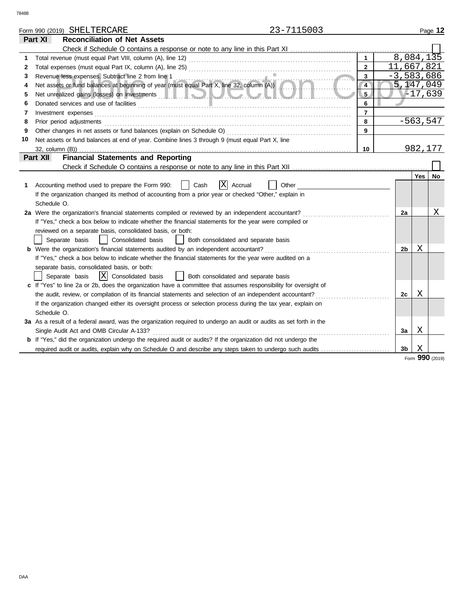|    |                                                                                                                                                                 | Form 990 (2019) SHELTERCARE                                                                                                                                                                                                          | 23-7115003 |                |  |                |            | Page 12      |  |  |
|----|-----------------------------------------------------------------------------------------------------------------------------------------------------------------|--------------------------------------------------------------------------------------------------------------------------------------------------------------------------------------------------------------------------------------|------------|----------------|--|----------------|------------|--------------|--|--|
|    | Part XI                                                                                                                                                         | <b>Reconciliation of Net Assets</b>                                                                                                                                                                                                  |            |                |  |                |            |              |  |  |
|    |                                                                                                                                                                 |                                                                                                                                                                                                                                      |            |                |  |                |            |              |  |  |
| 1. |                                                                                                                                                                 |                                                                                                                                                                                                                                      |            | $\mathbf{1}$   |  | 8,084,135      |            |              |  |  |
| 2  |                                                                                                                                                                 |                                                                                                                                                                                                                                      |            | $\mathbf{2}$   |  | 11,667,821     |            |              |  |  |
| 3  | $\mathbf{3}$<br>Revenue less expenses. Subtract line 2 from line 1<br>Net assets or fund balances at beginning of year (must equal Part X, line 32, column (A)) |                                                                                                                                                                                                                                      |            |                |  |                |            | $-3,583,686$ |  |  |
| 4  |                                                                                                                                                                 |                                                                                                                                                                                                                                      |            | $\overline{4}$ |  | 5,147,049      |            |              |  |  |
| 5  |                                                                                                                                                                 | Net unrealized gains (losses) on investments <b>with a contract to the contract of the contract of the contract of the contract of the contract of the contract of the contract of the contract of the contract of the contract </b> |            | 5 <sub>1</sub> |  |                | $V-17,639$ |              |  |  |
| 6  |                                                                                                                                                                 | Donated services and use of facilities <b>constructs</b> and the service of the service of the service of the service of the service of the service of the service of the service of the service of the service of the service of t  |            | 6              |  |                |            |              |  |  |
| 7  |                                                                                                                                                                 | Investment expenses                                                                                                                                                                                                                  |            | $\overline{7}$ |  |                |            |              |  |  |
| 8  |                                                                                                                                                                 | Prior period adjustments                                                                                                                                                                                                             |            | 8              |  |                | $-563,547$ |              |  |  |
| 9  |                                                                                                                                                                 | Other changes in net assets or fund balances (explain on Schedule O)                                                                                                                                                                 |            | $\overline{9}$ |  |                |            |              |  |  |
| 10 |                                                                                                                                                                 | Net assets or fund balances at end of year. Combine lines 3 through 9 (must equal Part X, line                                                                                                                                       |            |                |  |                |            |              |  |  |
|    | 32, column (B))                                                                                                                                                 |                                                                                                                                                                                                                                      |            | 10             |  |                | 982,177    |              |  |  |
|    | Part XII                                                                                                                                                        | <b>Financial Statements and Reporting</b>                                                                                                                                                                                            |            |                |  |                |            |              |  |  |
|    |                                                                                                                                                                 |                                                                                                                                                                                                                                      |            |                |  |                |            |              |  |  |
|    |                                                                                                                                                                 |                                                                                                                                                                                                                                      |            |                |  |                | Yes        | No           |  |  |
| 1. |                                                                                                                                                                 | ΙX<br>Accounting method used to prepare the Form 990:<br>Cash<br>Accrual                                                                                                                                                             | Other      |                |  |                |            |              |  |  |
|    |                                                                                                                                                                 | If the organization changed its method of accounting from a prior year or checked "Other," explain in                                                                                                                                |            |                |  |                |            |              |  |  |
|    | Schedule O.                                                                                                                                                     |                                                                                                                                                                                                                                      |            |                |  |                |            |              |  |  |
|    |                                                                                                                                                                 | 2a Were the organization's financial statements compiled or reviewed by an independent accountant?                                                                                                                                   |            |                |  | 2a             |            | Χ            |  |  |
|    |                                                                                                                                                                 | If "Yes," check a box below to indicate whether the financial statements for the year were compiled or                                                                                                                               |            |                |  |                |            |              |  |  |
|    |                                                                                                                                                                 | reviewed on a separate basis, consolidated basis, or both:                                                                                                                                                                           |            |                |  |                |            |              |  |  |
|    |                                                                                                                                                                 | Separate basis<br>  Consolidated basis<br>  Both consolidated and separate basis                                                                                                                                                     |            |                |  |                |            |              |  |  |
|    |                                                                                                                                                                 | <b>b</b> Were the organization's financial statements audited by an independent accountant?                                                                                                                                          |            |                |  | 2b             | Χ          |              |  |  |
|    |                                                                                                                                                                 | If "Yes," check a box below to indicate whether the financial statements for the year were audited on a                                                                                                                              |            |                |  |                |            |              |  |  |
|    |                                                                                                                                                                 | separate basis, consolidated basis, or both:                                                                                                                                                                                         |            |                |  |                |            |              |  |  |
|    |                                                                                                                                                                 | $ X $ Consolidated basis<br>  Both consolidated and separate basis<br>Separate basis                                                                                                                                                 |            |                |  |                |            |              |  |  |
|    |                                                                                                                                                                 | c If "Yes" to line 2a or 2b, does the organization have a committee that assumes responsibility for oversight of                                                                                                                     |            |                |  |                |            |              |  |  |
|    |                                                                                                                                                                 | the audit, review, or compilation of its financial statements and selection of an independent accountant?                                                                                                                            |            |                |  | 2c             | Χ          |              |  |  |
|    |                                                                                                                                                                 | If the organization changed either its oversight process or selection process during the tax year, explain on                                                                                                                        |            |                |  |                |            |              |  |  |
|    | Schedule O.                                                                                                                                                     |                                                                                                                                                                                                                                      |            |                |  |                |            |              |  |  |
|    |                                                                                                                                                                 | 3a As a result of a federal award, was the organization required to undergo an audit or audits as set forth in the                                                                                                                   |            |                |  |                |            |              |  |  |
|    |                                                                                                                                                                 | Single Audit Act and OMB Circular A-133?                                                                                                                                                                                             |            |                |  | За             | Χ          |              |  |  |
|    |                                                                                                                                                                 | b If "Yes," did the organization undergo the required audit or audits? If the organization did not undergo the                                                                                                                       |            |                |  |                |            |              |  |  |
|    |                                                                                                                                                                 | required audit or audits, explain why on Schedule O and describe any steps taken to undergo such audits                                                                                                                              |            |                |  | 3 <sub>b</sub> | X          |              |  |  |

Form **990** (2019)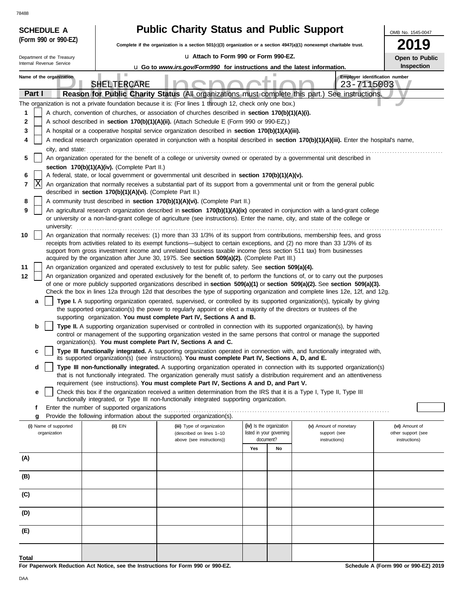| 78488                      |                                                                                                                                            |                                                                                                                                                                                                                                  |                          |    |                                                                                                                                                                                                                                                                |                    |  |  |  |
|----------------------------|--------------------------------------------------------------------------------------------------------------------------------------------|----------------------------------------------------------------------------------------------------------------------------------------------------------------------------------------------------------------------------------|--------------------------|----|----------------------------------------------------------------------------------------------------------------------------------------------------------------------------------------------------------------------------------------------------------------|--------------------|--|--|--|
| <b>SCHEDULE A</b>          |                                                                                                                                            | <b>Public Charity Status and Public Support</b>                                                                                                                                                                                  |                          |    |                                                                                                                                                                                                                                                                | OMB No. 1545-0047  |  |  |  |
| (Form 990 or 990-EZ)       |                                                                                                                                            | Complete if the organization is a section 501(c)(3) organization or a section 4947(a)(1) nonexempt charitable trust.                                                                                                             |                          |    |                                                                                                                                                                                                                                                                | 9                  |  |  |  |
| Department of the Treasury |                                                                                                                                            | La Attach to Form 990 or Form 990-EZ.                                                                                                                                                                                            |                          |    |                                                                                                                                                                                                                                                                | Open to Public     |  |  |  |
| Internal Revenue Service   |                                                                                                                                            | <b>u</b> Go to www.irs.gov/Form990 for instructions and the latest information.                                                                                                                                                  |                          |    |                                                                                                                                                                                                                                                                | Inspection         |  |  |  |
| Name of the organization   | SHELTERCARE                                                                                                                                |                                                                                                                                                                                                                                  |                          |    | Employer identification number<br>23-7115003                                                                                                                                                                                                                   |                    |  |  |  |
| Part I                     |                                                                                                                                            | Reason for Public Charity Status (All organizations must complete this part.)                                                                                                                                                    |                          |    | See instructions.                                                                                                                                                                                                                                              |                    |  |  |  |
|                            |                                                                                                                                            | The organization is not a private foundation because it is: (For lines 1 through 12, check only one box.)                                                                                                                        |                          |    |                                                                                                                                                                                                                                                                |                    |  |  |  |
| 1                          |                                                                                                                                            | A church, convention of churches, or association of churches described in section 170(b)(1)(A)(i).                                                                                                                               |                          |    |                                                                                                                                                                                                                                                                |                    |  |  |  |
| 2                          |                                                                                                                                            | A school described in section 170(b)(1)(A)(ii). (Attach Schedule E (Form 990 or 990-EZ).)                                                                                                                                        |                          |    |                                                                                                                                                                                                                                                                |                    |  |  |  |
| 3<br>4                     |                                                                                                                                            | A hospital or a cooperative hospital service organization described in section 170(b)(1)(A)(iii).                                                                                                                                |                          |    |                                                                                                                                                                                                                                                                |                    |  |  |  |
| city, and state:           | A medical research organization operated in conjunction with a hospital described in section 170(b)(1)(A)(iii). Enter the hospital's name, |                                                                                                                                                                                                                                  |                          |    |                                                                                                                                                                                                                                                                |                    |  |  |  |
| 5                          |                                                                                                                                            | An organization operated for the benefit of a college or university owned or operated by a governmental unit described in                                                                                                        |                          |    |                                                                                                                                                                                                                                                                |                    |  |  |  |
|                            | section 170(b)(1)(A)(iv). (Complete Part II.)                                                                                              |                                                                                                                                                                                                                                  |                          |    |                                                                                                                                                                                                                                                                |                    |  |  |  |
| 6<br> X<br>$\overline{7}$  |                                                                                                                                            | A federal, state, or local government or governmental unit described in section 170(b)(1)(A)(v).<br>An organization that normally receives a substantial part of its support from a governmental unit or from the general public |                          |    |                                                                                                                                                                                                                                                                |                    |  |  |  |
|                            | described in section 170(b)(1)(A)(vi). (Complete Part II.)                                                                                 |                                                                                                                                                                                                                                  |                          |    |                                                                                                                                                                                                                                                                |                    |  |  |  |
| 8                          |                                                                                                                                            | A community trust described in section 170(b)(1)(A)(vi). (Complete Part II.)                                                                                                                                                     |                          |    |                                                                                                                                                                                                                                                                |                    |  |  |  |
| 9<br>university:           |                                                                                                                                            | or university or a non-land-grant college of agriculture (see instructions). Enter the name, city, and state of the college or                                                                                                   |                          |    | An agricultural research organization described in section 170(b)(1)(A)(ix) operated in conjunction with a land-grant college                                                                                                                                  |                    |  |  |  |
| 10                         |                                                                                                                                            |                                                                                                                                                                                                                                  |                          |    | An organization that normally receives: (1) more than 33 1/3% of its support from contributions, membership fees, and gross                                                                                                                                    |                    |  |  |  |
|                            |                                                                                                                                            | receipts from activities related to its exempt functions—subject to certain exceptions, and (2) no more than 33 1/3% of its                                                                                                      |                          |    |                                                                                                                                                                                                                                                                |                    |  |  |  |
|                            |                                                                                                                                            | support from gross investment income and unrelated business taxable income (less section 511 tax) from businesses<br>acquired by the organization after June 30, 1975. See section 509(a)(2). (Complete Part III.)               |                          |    |                                                                                                                                                                                                                                                                |                    |  |  |  |
| 11                         |                                                                                                                                            | An organization organized and operated exclusively to test for public safety. See section 509(a)(4).                                                                                                                             |                          |    |                                                                                                                                                                                                                                                                |                    |  |  |  |
| 12                         |                                                                                                                                            |                                                                                                                                                                                                                                  |                          |    | An organization organized and operated exclusively for the benefit of, to perform the functions of, or to carry out the purposes                                                                                                                               |                    |  |  |  |
|                            |                                                                                                                                            |                                                                                                                                                                                                                                  |                          |    | of one or more publicly supported organizations described in section 509(a)(1) or section 509(a)(2). See section 509(a)(3).<br>Check the box in lines 12a through 12d that describes the type of supporting organization and complete lines 12e, 12f, and 12g. |                    |  |  |  |
| a                          |                                                                                                                                            |                                                                                                                                                                                                                                  |                          |    | Type I. A supporting organization operated, supervised, or controlled by its supported organization(s), typically by giving                                                                                                                                    |                    |  |  |  |
|                            |                                                                                                                                            | the supported organization(s) the power to regularly appoint or elect a majority of the directors or trustees of the                                                                                                             |                          |    |                                                                                                                                                                                                                                                                |                    |  |  |  |
| b                          |                                                                                                                                            | supporting organization. You must complete Part IV, Sections A and B.<br><b>Type II.</b> A supporting organization supervised or controlled in connection with its supported organization(s), by having                          |                          |    |                                                                                                                                                                                                                                                                |                    |  |  |  |
|                            |                                                                                                                                            |                                                                                                                                                                                                                                  |                          |    | control or management of the supporting organization vested in the same persons that control or manage the supported                                                                                                                                           |                    |  |  |  |
|                            |                                                                                                                                            | organization(s). You must complete Part IV, Sections A and C.                                                                                                                                                                    |                          |    |                                                                                                                                                                                                                                                                |                    |  |  |  |
| с                          |                                                                                                                                            | its supported organization(s) (see instructions). You must complete Part IV, Sections A, D, and E.                                                                                                                               |                          |    | Type III functionally integrated. A supporting organization operated in connection with, and functionally integrated with,                                                                                                                                     |                    |  |  |  |
| d                          |                                                                                                                                            |                                                                                                                                                                                                                                  |                          |    | Type III non-functionally integrated. A supporting organization operated in connection with its supported organization(s)                                                                                                                                      |                    |  |  |  |
|                            |                                                                                                                                            | requirement (see instructions). You must complete Part IV, Sections A and D, and Part V.                                                                                                                                         |                          |    | that is not functionally integrated. The organization generally must satisfy a distribution requirement and an attentiveness                                                                                                                                   |                    |  |  |  |
| е                          |                                                                                                                                            | Check this box if the organization received a written determination from the IRS that it is a Type I, Type II, Type III                                                                                                          |                          |    |                                                                                                                                                                                                                                                                |                    |  |  |  |
|                            |                                                                                                                                            | functionally integrated, or Type III non-functionally integrated supporting organization.                                                                                                                                        |                          |    |                                                                                                                                                                                                                                                                |                    |  |  |  |
| f<br>g                     | Enter the number of supported organizations                                                                                                | Provide the following information about the supported organization(s).                                                                                                                                                           |                          |    |                                                                                                                                                                                                                                                                |                    |  |  |  |
| (i) Name of supported      | (ii) EIN                                                                                                                                   | (iii) Type of organization                                                                                                                                                                                                       | (iv) Is the organization |    | (v) Amount of monetary                                                                                                                                                                                                                                         | (vi) Amount of     |  |  |  |
| organization               |                                                                                                                                            | (described on lines 1-10                                                                                                                                                                                                         | listed in your governing |    | support (see                                                                                                                                                                                                                                                   | other support (see |  |  |  |
|                            |                                                                                                                                            | above (see instructions))                                                                                                                                                                                                        | document?<br>Yes         | No | instructions)                                                                                                                                                                                                                                                  | instructions)      |  |  |  |
| (A)                        |                                                                                                                                            |                                                                                                                                                                                                                                  |                          |    |                                                                                                                                                                                                                                                                |                    |  |  |  |
|                            |                                                                                                                                            |                                                                                                                                                                                                                                  |                          |    |                                                                                                                                                                                                                                                                |                    |  |  |  |
| (B)                        |                                                                                                                                            |                                                                                                                                                                                                                                  |                          |    |                                                                                                                                                                                                                                                                |                    |  |  |  |
| (C)                        |                                                                                                                                            |                                                                                                                                                                                                                                  |                          |    |                                                                                                                                                                                                                                                                |                    |  |  |  |
| (D)                        |                                                                                                                                            |                                                                                                                                                                                                                                  |                          |    |                                                                                                                                                                                                                                                                |                    |  |  |  |
| (E)                        |                                                                                                                                            |                                                                                                                                                                                                                                  |                          |    |                                                                                                                                                                                                                                                                |                    |  |  |  |
| <b>Total</b>               |                                                                                                                                            |                                                                                                                                                                                                                                  |                          |    |                                                                                                                                                                                                                                                                |                    |  |  |  |

**For Paperwork Reduction Act Notice, see the Instructions for Form 990 or 990-EZ.**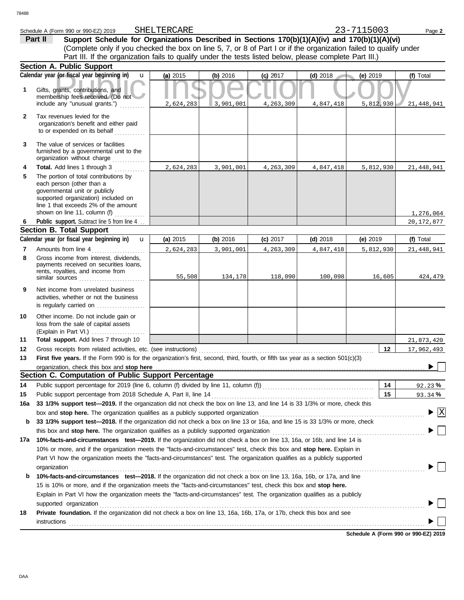|              | Schedule A (Form 990 or 990-EZ) 2019                                                                                                                                                                                        | SHELTERCARE |           |            |            | 23-7115003 | Page 2                               |
|--------------|-----------------------------------------------------------------------------------------------------------------------------------------------------------------------------------------------------------------------------|-------------|-----------|------------|------------|------------|--------------------------------------|
|              | Support Schedule for Organizations Described in Sections 170(b)(1)(A)(iv) and 170(b)(1)(A)(vi)<br>Part II                                                                                                                   |             |           |            |            |            |                                      |
|              | (Complete only if you checked the box on line 5, 7, or 8 of Part I or if the organization failed to qualify under                                                                                                           |             |           |            |            |            |                                      |
|              | Part III. If the organization fails to qualify under the tests listed below, please complete Part III.)                                                                                                                     |             |           |            |            |            |                                      |
|              | <b>Section A. Public Support</b>                                                                                                                                                                                            |             |           |            |            |            |                                      |
|              | Calendar year (or fiscal year beginning in)<br>$\mathbf{u}$                                                                                                                                                                 | (a) 2015    | (b) 2016  | $(c)$ 2017 | $(d)$ 2018 | (e) $2019$ | (f) Total                            |
| 1            | Gifts, grants, contributions, and<br>membership fees received. (Do not<br>include any "unusual grants.")                                                                                                                    | 2,624,283   | 3,901,001 | 4,263,309  | 4,847,418  | 5,812,930  | 21,448,941                           |
| $\mathbf{2}$ | Tax revenues levied for the<br>organization's benefit and either paid                                                                                                                                                       |             |           |            |            |            |                                      |
|              | to or expended on its behalf                                                                                                                                                                                                |             |           |            |            |            |                                      |
| 3            | The value of services or facilities<br>furnished by a governmental unit to the<br>organization without charge                                                                                                               |             |           |            |            |            |                                      |
| 4            | Total. Add lines 1 through 3                                                                                                                                                                                                | 2,624,283   | 3,901,001 | 4,263,309  | 4,847,418  | 5,812,930  | 21,448,941                           |
| 5            | The portion of total contributions by<br>each person (other than a<br>governmental unit or publicly<br>supported organization) included on<br>line 1 that exceeds 2% of the amount<br>shown on line 11, column (f) $\ldots$ |             |           |            |            |            | 1,276,064                            |
| 6            | Public support. Subtract line 5 from line 4                                                                                                                                                                                 |             |           |            |            |            | 20, 172, 877                         |
|              | <b>Section B. Total Support</b>                                                                                                                                                                                             |             |           |            |            |            |                                      |
|              | Calendar year (or fiscal year beginning in)<br>$\mathbf{u}$                                                                                                                                                                 | (a) 2015    | (b) 2016  | (c) 2017   | $(d)$ 2018 | (e) $2019$ | (f) Total                            |
| 7            | Amounts from line 4                                                                                                                                                                                                         | 2,624,283   | 3,901,001 | 4,263,309  | 4,847,418  | 5,812,930  | 21,448,941                           |
| 8            | Gross income from interest, dividends,<br>payments received on securities loans,<br>rents, royalties, and income from<br>similar sources                                                                                    | 55,508      | 134,178   | 118,090    | 100,098    | 16,605     | 424,479                              |
| 9            | Net income from unrelated business<br>activities, whether or not the business<br>is regularly carried on                                                                                                                    |             |           |            |            |            |                                      |
| 10           | Other income. Do not include gain or<br>loss from the sale of capital assets                                                                                                                                                |             |           |            |            |            |                                      |
| 11           | Total support. Add lines 7 through 10                                                                                                                                                                                       |             |           |            |            |            | 21,873,420                           |
| 12           |                                                                                                                                                                                                                             |             |           |            |            | 12         | 17,962,493                           |
| 13           | First five years. If the Form 990 is for the organization's first, second, third, fourth, or fifth tax year as a section 501(c)(3)                                                                                          |             |           |            |            |            | □<br>$\blacktriangleright$           |
|              | organization, check this box and stop here<br>Section C. Computation of Public Support Percentage                                                                                                                           |             |           |            |            |            |                                      |
| 14           | Public support percentage for 2019 (line 6, column (f) divided by line 11, column (f)) [[[[[[[[[[[[[[[[[[[[[[                                                                                                               |             |           |            |            | 14         | 92.23%                               |
| 15           | Public support percentage from 2018 Schedule A, Part II, line 14                                                                                                                                                            |             |           |            |            | 15         | 93.34%                               |
| 16a          | 33 1/3% support test-2019. If the organization did not check the box on line 13, and line 14 is 33 1/3% or more, check this                                                                                                 |             |           |            |            |            |                                      |
|              |                                                                                                                                                                                                                             |             |           |            |            |            | $\blacktriangleright$ $\overline{X}$ |
| b            | 33 1/3% support test-2018. If the organization did not check a box on line 13 or 16a, and line 15 is 33 1/3% or more, check                                                                                                 |             |           |            |            |            |                                      |
|              | this box and stop here. The organization qualifies as a publicly supported organization                                                                                                                                     |             |           |            |            |            |                                      |
| 17a          | 10%-facts-and-circumstances test-2019. If the organization did not check a box on line 13, 16a, or 16b, and line 14 is                                                                                                      |             |           |            |            |            |                                      |
|              | 10% or more, and if the organization meets the "facts-and-circumstances" test, check this box and stop here. Explain in                                                                                                     |             |           |            |            |            |                                      |
|              | Part VI how the organization meets the "facts-and-circumstances" test. The organization qualifies as a publicly supported                                                                                                   |             |           |            |            |            |                                      |
|              | organization                                                                                                                                                                                                                |             |           |            |            |            |                                      |
| b            | 10%-facts-and-circumstances test-2018. If the organization did not check a box on line 13, 16a, 16b, or 17a, and line                                                                                                       |             |           |            |            |            |                                      |
|              | 15 is 10% or more, and if the organization meets the "facts-and-circumstances" test, check this box and stop here.                                                                                                          |             |           |            |            |            |                                      |
|              | Explain in Part VI how the organization meets the "facts-and-circumstances" test. The organization qualifies as a publicly                                                                                                  |             |           |            |            |            |                                      |
|              | supported organization                                                                                                                                                                                                      |             |           |            |            |            |                                      |
| 18           | Private foundation. If the organization did not check a box on line 13, 16a, 16b, 17a, or 17b, check this box and see                                                                                                       |             |           |            |            |            |                                      |
|              | <b>instructions</b>                                                                                                                                                                                                         |             |           |            |            |            |                                      |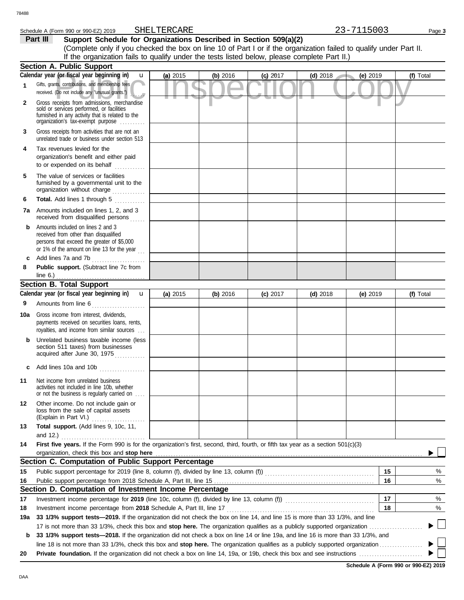### Schedule A (Form 990 or 990-EZ) 2019 SHELTERCARE 23-7115003 Page 3 SHELTERCARE

**Part III** Support Schedule for Organizations Described in Section 509(a)(2) (Complete only if you checked the box on line 10 of Part I or if the organization failed to qualify under Part II. If the organization fails to qualify under the tests listed below, please complete Part II.)

|     | <b>Section A. Public Support</b>                                                                                                                                                                                                              |          |          |            |            |            |                                         |
|-----|-----------------------------------------------------------------------------------------------------------------------------------------------------------------------------------------------------------------------------------------------|----------|----------|------------|------------|------------|-----------------------------------------|
|     | Calendar year (or fiscal year beginning in)<br>u                                                                                                                                                                                              | (a) 2015 | (b) 2016 | $(c)$ 2017 | $(d)$ 2018 | (e) 2019   | (f) Total                               |
| 1   | Gifts, grants, contributions, and membership fees<br>received. (Do not include any "unusual grants.")                                                                                                                                         |          |          |            |            |            |                                         |
| 2   | Gross receipts from admissions, merchandise<br>sold or services performed, or facilities<br>furnished in any activity that is related to the<br>organization's tax-exempt purpose                                                             |          |          |            |            |            |                                         |
| 3   | Gross receipts from activities that are not an<br>unrelated trade or business under section 513                                                                                                                                               |          |          |            |            |            |                                         |
| 4   | Tax revenues levied for the<br>organization's benefit and either paid<br>to or expended on its behalf                                                                                                                                         |          |          |            |            |            |                                         |
| 5   | The value of services or facilities<br>furnished by a governmental unit to the<br>organization without charge                                                                                                                                 |          |          |            |            |            |                                         |
| 6   | Total. Add lines 1 through 5<br>.                                                                                                                                                                                                             |          |          |            |            |            |                                         |
|     | <b>7a</b> Amounts included on lines 1, 2, and 3<br>received from disqualified persons                                                                                                                                                         |          |          |            |            |            |                                         |
| b   | Amounts included on lines 2 and 3<br>received from other than disqualified<br>persons that exceed the greater of \$5,000<br>or 1% of the amount on line 13 for the year                                                                       |          |          |            |            |            |                                         |
| c   | Add lines 7a and 7b                                                                                                                                                                                                                           |          |          |            |            |            |                                         |
| 8   | Public support. (Subtract line 7c from<br>line $6.$ )                                                                                                                                                                                         |          |          |            |            |            |                                         |
|     | <b>Section B. Total Support</b>                                                                                                                                                                                                               |          |          |            |            |            |                                         |
|     | Calendar year (or fiscal year beginning in)<br>$\mathbf{u}$                                                                                                                                                                                   | (a) 2015 | (b) 2016 | $(c)$ 2017 | $(d)$ 2018 | (e) $2019$ | (f) Total                               |
| 9   | Amounts from line 6<br>.                                                                                                                                                                                                                      |          |          |            |            |            |                                         |
| 10a | Gross income from interest, dividends,<br>payments received on securities loans, rents,<br>royalties, and income from similar sources                                                                                                         |          |          |            |            |            |                                         |
| b   | Unrelated business taxable income (less<br>section 511 taxes) from businesses<br>acquired after June 30, 1975                                                                                                                                 |          |          |            |            |            |                                         |
|     | Add lines 10a and 10b                                                                                                                                                                                                                         |          |          |            |            |            |                                         |
| 11  | Net income from unrelated business<br>activities not included in line 10b, whether<br>or not the business is regularly carried on                                                                                                             |          |          |            |            |            |                                         |
| 12  | Other income. Do not include gain or<br>loss from the sale of capital assets<br>(Explain in Part VI.)<br>.                                                                                                                                    |          |          |            |            |            |                                         |
| 13  | Total support. (Add lines 9, 10c, 11,<br>and 12.) $\ldots$                                                                                                                                                                                    |          |          |            |            |            |                                         |
| 14  | First five years. If the Form 990 is for the organization's first, second, third, fourth, or fifth tax year as a section 501(c)(3)                                                                                                            |          |          |            |            |            |                                         |
|     | organization, check this box and stop here <b>contained</b> and the contained and the contained and stop here <b>contained</b> and stop here <b>contained</b> and <b>stop here contained and stop here contained and and stop here contai</b> |          |          |            |            |            |                                         |
|     | Section C. Computation of Public Support Percentage                                                                                                                                                                                           |          |          |            |            |            |                                         |
| 15  |                                                                                                                                                                                                                                               |          |          |            |            | 15         | %                                       |
| 16  |                                                                                                                                                                                                                                               |          |          |            |            | 16         | %                                       |
|     | Section D. Computation of Investment Income Percentage                                                                                                                                                                                        |          |          |            |            |            |                                         |
| 17  | Investment income percentage for 2019 (line 10c, column (f), divided by line 13, column (f)) [[[[[[[[[[[[[[[[[                                                                                                                                |          |          |            |            | 17         | %                                       |
| 18  | Investment income percentage from 2018 Schedule A, Part III, line 17                                                                                                                                                                          |          |          |            |            | 18         | %                                       |
| 19а | 33 1/3% support tests-2019. If the organization did not check the box on line 14, and line 15 is more than 33 1/3%, and line                                                                                                                  |          |          |            |            |            | $\begin{array}{ccc} \hline \end{array}$ |
|     |                                                                                                                                                                                                                                               |          |          |            |            |            |                                         |
| b   | 33 1/3% support tests-2018. If the organization did not check a box on line 14 or line 19a, and line 16 is more than 33 1/3%, and                                                                                                             |          |          |            |            |            | $\overline{\phantom{a}}$                |
| 20  |                                                                                                                                                                                                                                               |          |          |            |            |            |                                         |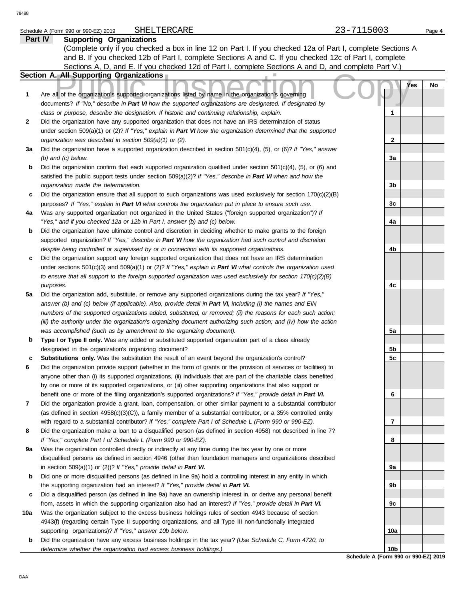### Schedule A (Form 990 or 990-EZ) 2019 SHELTERCARE 23-7115003 Page 4 SHELTERCARE

|     | Part IV<br><b>Supporting Organizations</b>                                                                                                                                                                       |                                 |    |
|-----|------------------------------------------------------------------------------------------------------------------------------------------------------------------------------------------------------------------|---------------------------------|----|
|     | (Complete only if you checked a box in line 12 on Part I. If you checked 12a of Part I, complete Sections A                                                                                                      |                                 |    |
|     | and B. If you checked 12b of Part I, complete Sections A and C. If you checked 12c of Part I, complete                                                                                                           |                                 |    |
|     | Sections A, D, and E. If you checked 12d of Part I, complete Sections A and D, and complete Part V.)                                                                                                             |                                 |    |
|     | Section A. All Supporting Organizations                                                                                                                                                                          |                                 |    |
|     |                                                                                                                                                                                                                  | <b>Yes</b>                      | No |
| 1   | Are all of the organization's supported organizations listed by name in the organization's governing<br>documents? If "No," describe in Part VI how the supported organizations are designated. If designated by |                                 |    |
|     | class or purpose, describe the designation. If historic and continuing relationship, explain.                                                                                                                    | 1                               |    |
| 2   | Did the organization have any supported organization that does not have an IRS determination of status                                                                                                           |                                 |    |
|     | under section 509(a)(1) or (2)? If "Yes," explain in Part VI how the organization determined that the supported                                                                                                  |                                 |    |
|     | organization was described in section 509(a)(1) or (2).                                                                                                                                                          | 2                               |    |
| За  | Did the organization have a supported organization described in section $501(c)(4)$ , (5), or (6)? If "Yes," answer                                                                                              |                                 |    |
|     | $(b)$ and $(c)$ below.                                                                                                                                                                                           | 3a                              |    |
| b   | Did the organization confirm that each supported organization qualified under section $501(c)(4)$ , (5), or (6) and                                                                                              |                                 |    |
|     | satisfied the public support tests under section 509(a)(2)? If "Yes," describe in Part VI when and how the                                                                                                       |                                 |    |
|     | organization made the determination.                                                                                                                                                                             | 3b                              |    |
| с   | Did the organization ensure that all support to such organizations was used exclusively for section $170(c)(2)(B)$                                                                                               |                                 |    |
|     | purposes? If "Yes," explain in Part VI what controls the organization put in place to ensure such use.                                                                                                           | 3c                              |    |
| 4a  | Was any supported organization not organized in the United States ("foreign supported organization")? If                                                                                                         |                                 |    |
|     | "Yes," and if you checked 12a or 12b in Part I, answer (b) and (c) below.                                                                                                                                        | 4a                              |    |
| b   | Did the organization have ultimate control and discretion in deciding whether to make grants to the foreign                                                                                                      |                                 |    |
|     | supported organization? If "Yes," describe in Part VI how the organization had such control and discretion                                                                                                       |                                 |    |
|     | despite being controlled or supervised by or in connection with its supported organizations.                                                                                                                     | 4b                              |    |
| с   | Did the organization support any foreign supported organization that does not have an IRS determination                                                                                                          |                                 |    |
|     | under sections $501(c)(3)$ and $509(a)(1)$ or (2)? If "Yes," explain in Part VI what controls the organization used                                                                                              |                                 |    |
|     | to ensure that all support to the foreign supported organization was used exclusively for section $170(c)(2)(B)$                                                                                                 |                                 |    |
| 5a  | purposes.<br>Did the organization add, substitute, or remove any supported organizations during the tax year? If "Yes,"                                                                                          | 4c                              |    |
|     | answer (b) and (c) below (if applicable). Also, provide detail in Part VI, including (i) the names and EIN                                                                                                       |                                 |    |
|     | numbers of the supported organizations added, substituted, or removed; (ii) the reasons for each such action;                                                                                                    |                                 |    |
|     | (iii) the authority under the organization's organizing document authorizing such action; and (iv) how the action                                                                                                |                                 |    |
|     | was accomplished (such as by amendment to the organizing document).                                                                                                                                              | 5a                              |    |
| b   | Type I or Type II only. Was any added or substituted supported organization part of a class already                                                                                                              |                                 |    |
|     | designated in the organization's organizing document?                                                                                                                                                            | 5b                              |    |
| c   | Substitutions only. Was the substitution the result of an event beyond the organization's control?                                                                                                               | 5c                              |    |
| 6   | Did the organization provide support (whether in the form of grants or the provision of services or facilities) to                                                                                               |                                 |    |
|     | anyone other than (i) its supported organizations, (ii) individuals that are part of the charitable class benefited                                                                                              |                                 |    |
|     | by one or more of its supported organizations, or (iii) other supporting organizations that also support or                                                                                                      |                                 |    |
|     | benefit one or more of the filing organization's supported organizations? If "Yes," provide detail in Part VI.                                                                                                   | 6                               |    |
| 7   | Did the organization provide a grant, loan, compensation, or other similar payment to a substantial contributor                                                                                                  |                                 |    |
|     | (as defined in section $4958(c)(3)(C)$ ), a family member of a substantial contributor, or a 35% controlled entity                                                                                               |                                 |    |
|     | with regard to a substantial contributor? If "Yes," complete Part I of Schedule L (Form 990 or 990-EZ).                                                                                                          | 7                               |    |
| 8   | Did the organization make a loan to a disqualified person (as defined in section 4958) not described in line 7?                                                                                                  |                                 |    |
|     | If "Yes," complete Part I of Schedule L (Form 990 or 990-EZ).                                                                                                                                                    | 8                               |    |
| 9а  | Was the organization controlled directly or indirectly at any time during the tax year by one or more                                                                                                            |                                 |    |
|     | disqualified persons as defined in section 4946 (other than foundation managers and organizations described                                                                                                      |                                 |    |
|     | in section $509(a)(1)$ or $(2)$ ? If "Yes," provide detail in Part VI.                                                                                                                                           | 9а                              |    |
| b   | Did one or more disqualified persons (as defined in line 9a) hold a controlling interest in any entity in which<br>the supporting organization had an interest? If "Yes," provide detail in Part VI.             | 9b                              |    |
| c   | Did a disqualified person (as defined in line 9a) have an ownership interest in, or derive any personal benefit                                                                                                  |                                 |    |
|     | from, assets in which the supporting organization also had an interest? If "Yes," provide detail in Part VI.                                                                                                     | 9c                              |    |
| 10a | Was the organization subject to the excess business holdings rules of section 4943 because of section                                                                                                            |                                 |    |
|     | 4943(f) (regarding certain Type II supporting organizations, and all Type III non-functionally integrated                                                                                                        |                                 |    |
|     | supporting organizations)? If "Yes," answer 10b below.                                                                                                                                                           | 10a                             |    |
| b   | Did the organization have any excess business holdings in the tax year? (Use Schedule C, Form 4720, to                                                                                                           |                                 |    |
|     | determine whether the organization had excess business holdings.)                                                                                                                                                | 10b                             |    |
|     |                                                                                                                                                                                                                  | Cahadula A (Carm 000 as 000 EZ) |    |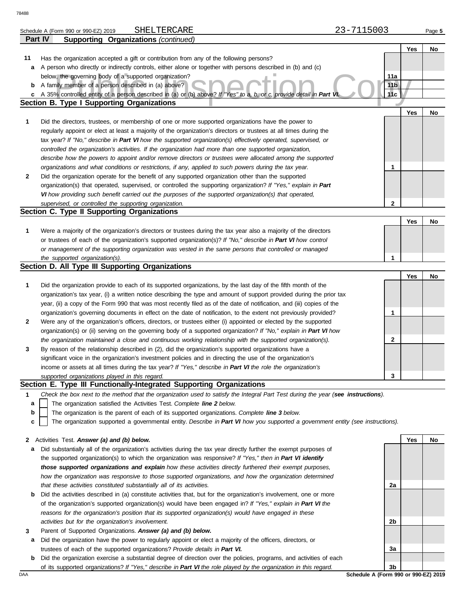|        | SHELTERCARE<br>Schedule A (Form 990 or 990-EZ) 2019                                                                                                                                                         | 23-7115003      |            | Page 5 |
|--------|-------------------------------------------------------------------------------------------------------------------------------------------------------------------------------------------------------------|-----------------|------------|--------|
|        | <b>Supporting Organizations (continued)</b><br>Part IV                                                                                                                                                      |                 |            |        |
|        |                                                                                                                                                                                                             |                 | <b>Yes</b> | No     |
| 11     | Has the organization accepted a gift or contribution from any of the following persons?                                                                                                                     |                 |            |        |
| a      | A person who directly or indirectly controls, either alone or together with persons described in (b) and (c)                                                                                                |                 |            |        |
|        | below, the governing body of a supported organization?                                                                                                                                                      | 11a             |            |        |
|        | <b>b</b> A family member of a person described in (a) above?                                                                                                                                                | 11 <sub>b</sub> |            |        |
| c      | A 35% controlled entity of a person described in (a) or (b) above? If "Yes" to a, b, or c, provide detail in Part VI                                                                                        | 11c             |            |        |
|        | <b>Section B. Type I Supporting Organizations</b>                                                                                                                                                           |                 |            |        |
|        |                                                                                                                                                                                                             |                 | Yes        | No     |
| 1      | Did the directors, trustees, or membership of one or more supported organizations have the power to                                                                                                         |                 |            |        |
|        | regularly appoint or elect at least a majority of the organization's directors or trustees at all times during the                                                                                          |                 |            |        |
|        | tax year? If "No," describe in Part VI how the supported organization(s) effectively operated, supervised, or                                                                                               |                 |            |        |
|        | controlled the organization's activities. If the organization had more than one supported organization,                                                                                                     |                 |            |        |
|        | describe how the powers to appoint and/or remove directors or trustees were allocated among the supported                                                                                                   |                 |            |        |
|        | organizations and what conditions or restrictions, if any, applied to such powers during the tax year.                                                                                                      | 1               |            |        |
| 2      | Did the organization operate for the benefit of any supported organization other than the supported                                                                                                         |                 |            |        |
|        | organization(s) that operated, supervised, or controlled the supporting organization? If "Yes," explain in Part                                                                                             |                 |            |        |
|        | VI how providing such benefit carried out the purposes of the supported organization(s) that operated,                                                                                                      |                 |            |        |
|        | supervised, or controlled the supporting organization.                                                                                                                                                      | $\mathbf 2$     |            |        |
|        | Section C. Type II Supporting Organizations                                                                                                                                                                 |                 |            |        |
|        |                                                                                                                                                                                                             |                 | Yes        | No     |
| 1      | Were a majority of the organization's directors or trustees during the tax year also a majority of the directors                                                                                            |                 |            |        |
|        | or trustees of each of the organization's supported organization(s)? If "No," describe in Part VI how control                                                                                               |                 |            |        |
|        | or management of the supporting organization was vested in the same persons that controlled or managed                                                                                                      |                 |            |        |
|        | the supported organization(s).                                                                                                                                                                              | 1               |            |        |
|        | Section D. All Type III Supporting Organizations                                                                                                                                                            |                 |            |        |
|        |                                                                                                                                                                                                             |                 | Yes        | No     |
| 1      | Did the organization provide to each of its supported organizations, by the last day of the fifth month of the                                                                                              |                 |            |        |
|        | organization's tax year, (i) a written notice describing the type and amount of support provided during the prior tax                                                                                       |                 |            |        |
|        | year, (ii) a copy of the Form 990 that was most recently filed as of the date of notification, and (iii) copies of the                                                                                      |                 |            |        |
|        | organization's governing documents in effect on the date of notification, to the extent not previously provided?                                                                                            | 1               |            |        |
| 2      | Were any of the organization's officers, directors, or trustees either (i) appointed or elected by the supported                                                                                            |                 |            |        |
|        | organization(s) or (ii) serving on the governing body of a supported organization? If "No," explain in Part VI how                                                                                          |                 |            |        |
|        | the organization maintained a close and continuous working relationship with the supported organization(s).                                                                                                 | 2               |            |        |
| 3      | By reason of the relationship described in (2), did the organization's supported organizations have a                                                                                                       |                 |            |        |
|        | significant voice in the organization's investment policies and in directing the use of the organization's                                                                                                  |                 |            |        |
|        | income or assets at all times during the tax year? If "Yes," describe in Part VI the role the organization's                                                                                                |                 |            |        |
|        | supported organizations played in this regard.<br>Section E. Type III Functionally-Integrated Supporting Organizations                                                                                      | 3               |            |        |
|        |                                                                                                                                                                                                             |                 |            |        |
| 1      | Check the box next to the method that the organization used to satisfy the Integral Part Test during the year (see instructions).<br>The organization satisfied the Activities Test. Complete line 2 below. |                 |            |        |
| а<br>b | The organization is the parent of each of its supported organizations. Complete line 3 below.                                                                                                               |                 |            |        |
| c      | The organization supported a governmental entity. Describe in Part VI how you supported a government entity (see instructions).                                                                             |                 |            |        |
|        |                                                                                                                                                                                                             |                 |            |        |
|        | 2 Activities Test. Answer (a) and (b) below.                                                                                                                                                                |                 | Yes        | No     |
| а      | Did substantially all of the organization's activities during the tax year directly further the exempt purposes of                                                                                          |                 |            |        |
|        | the supported organization(s) to which the organization was responsive? If "Yes," then in Part VI identify                                                                                                  |                 |            |        |
|        | those supported organizations and explain how these activities directly furthered their exempt purposes,                                                                                                    |                 |            |        |
|        | how the organization was responsive to those supported organizations, and how the organization determined                                                                                                   |                 |            |        |
|        | that these activities constituted substantially all of its activities.                                                                                                                                      | 2a              |            |        |
| b      | Did the activities described in (a) constitute activities that, but for the organization's involvement, one or more                                                                                         |                 |            |        |

- of the organization's supported organization(s) would have been engaged in? *If "Yes," explain in Part VI the reasons for the organization's position that its supported organization(s) would have engaged in these activities but for the organization's involvement.*
- **3** Parent of Supported Organizations. *Answer (a) and (b) below.*
- **a** Did the organization have the power to regularly appoint or elect a majority of the officers, directors, or trustees of each of the supported organizations? *Provide details in Part VI.*
- **b** Did the organization exercise a substantial degree of direction over the policies, programs, and activities of each of its supported organizations? *If "Yes," describe in Part VI the role played by the organization in this regard.*

DAA **Schedule A (Form 990 or 990-EZ) 2019 3b**

**2b**

**3a**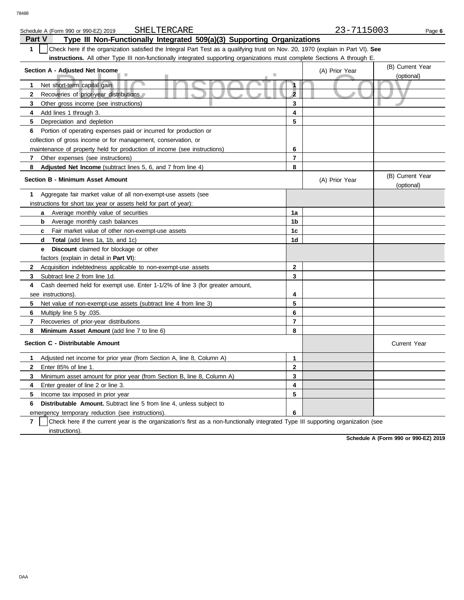| SHELTERCARE<br>Schedule A (Form 990 or 990-EZ) 2019                                                                                   |                | 23-7115003     | Page 6                         |  |  |  |  |  |
|---------------------------------------------------------------------------------------------------------------------------------------|----------------|----------------|--------------------------------|--|--|--|--|--|
| <b>Part V</b><br>Type III Non-Functionally Integrated 509(a)(3) Supporting Organizations                                              |                |                |                                |  |  |  |  |  |
| 1<br>Check here if the organization satisfied the Integral Part Test as a qualifying trust on Nov. 20, 1970 (explain in Part VI). See |                |                |                                |  |  |  |  |  |
| instructions. All other Type III non-functionally integrated supporting organizations must complete Sections A through E.             |                |                |                                |  |  |  |  |  |
| Section A - Adjusted Net Income                                                                                                       |                | (A) Prior Year | (B) Current Year               |  |  |  |  |  |
|                                                                                                                                       |                |                | (optional)                     |  |  |  |  |  |
| Net short-term capital gain<br>1                                                                                                      | $\mathbf{1}$   |                |                                |  |  |  |  |  |
| 2<br>Recoveries of prior-year distributions                                                                                           | $\overline{2}$ |                |                                |  |  |  |  |  |
| 3<br>Other gross income (see instructions)                                                                                            | 3              |                |                                |  |  |  |  |  |
| Add lines 1 through 3.<br>4                                                                                                           | 4              |                |                                |  |  |  |  |  |
| 5<br>Depreciation and depletion                                                                                                       | 5              |                |                                |  |  |  |  |  |
| Portion of operating expenses paid or incurred for production or<br>6                                                                 |                |                |                                |  |  |  |  |  |
| collection of gross income or for management, conservation, or                                                                        |                |                |                                |  |  |  |  |  |
| maintenance of property held for production of income (see instructions)                                                              | 6              |                |                                |  |  |  |  |  |
| 7<br>Other expenses (see instructions)                                                                                                | $\overline{7}$ |                |                                |  |  |  |  |  |
| 8<br>Adjusted Net Income (subtract lines 5, 6, and 7 from line 4)                                                                     | 8              |                |                                |  |  |  |  |  |
| <b>Section B - Minimum Asset Amount</b>                                                                                               |                | (A) Prior Year | (B) Current Year<br>(optional) |  |  |  |  |  |
| 1<br>Aggregate fair market value of all non-exempt-use assets (see                                                                    |                |                |                                |  |  |  |  |  |
| instructions for short tax year or assets held for part of year):                                                                     |                |                |                                |  |  |  |  |  |
| Average monthly value of securities<br>a                                                                                              | 1a             |                |                                |  |  |  |  |  |
| Average monthly cash balances<br>b                                                                                                    | 1b             |                |                                |  |  |  |  |  |
| Fair market value of other non-exempt-use assets<br>c                                                                                 | 1 <sub>c</sub> |                |                                |  |  |  |  |  |
| <b>Total</b> (add lines 1a, 1b, and 1c)<br>d                                                                                          | 1d             |                |                                |  |  |  |  |  |
| <b>Discount</b> claimed for blockage or other<br>е                                                                                    |                |                |                                |  |  |  |  |  |
| factors (explain in detail in Part VI):                                                                                               |                |                |                                |  |  |  |  |  |
| $\mathbf{2}$<br>Acquisition indebtedness applicable to non-exempt-use assets                                                          | $\mathbf{2}$   |                |                                |  |  |  |  |  |
| 3<br>Subtract line 2 from line 1d.                                                                                                    | 3              |                |                                |  |  |  |  |  |
| Cash deemed held for exempt use. Enter 1-1/2% of line 3 (for greater amount,<br>4                                                     |                |                |                                |  |  |  |  |  |
| see instructions).                                                                                                                    | 4              |                |                                |  |  |  |  |  |
| 5<br>Net value of non-exempt-use assets (subtract line 4 from line 3)                                                                 | 5              |                |                                |  |  |  |  |  |
| Multiply line 5 by .035.<br>6                                                                                                         | 6              |                |                                |  |  |  |  |  |
| $\overline{7}$<br>Recoveries of prior-year distributions                                                                              | $\overline{7}$ |                |                                |  |  |  |  |  |
| 8<br>Minimum Asset Amount (add line 7 to line 6)                                                                                      | 8              |                |                                |  |  |  |  |  |
| Section C - Distributable Amount                                                                                                      |                |                | <b>Current Year</b>            |  |  |  |  |  |
| Adjusted net income for prior year (from Section A, line 8, Column A)<br>1                                                            | 1              |                |                                |  |  |  |  |  |
| $\mathbf{2}$<br>Enter 85% of line 1.                                                                                                  | $\mathbf 2$    |                |                                |  |  |  |  |  |
| 3<br>Minimum asset amount for prior year (from Section B, line 8, Column A)                                                           | 3              |                |                                |  |  |  |  |  |
| Enter greater of line 2 or line 3.<br>4                                                                                               | 4              |                |                                |  |  |  |  |  |
| 5<br>Income tax imposed in prior year                                                                                                 | 5              |                |                                |  |  |  |  |  |
| <b>Distributable Amount.</b> Subtract line 5 from line 4, unless subject to<br>6                                                      |                |                |                                |  |  |  |  |  |
| emergency temporary reduction (see instructions).                                                                                     | 6              |                |                                |  |  |  |  |  |

**7** | Check here if the current year is the organization's first as a non-functionally integrated Type III supporting organization (see instructions).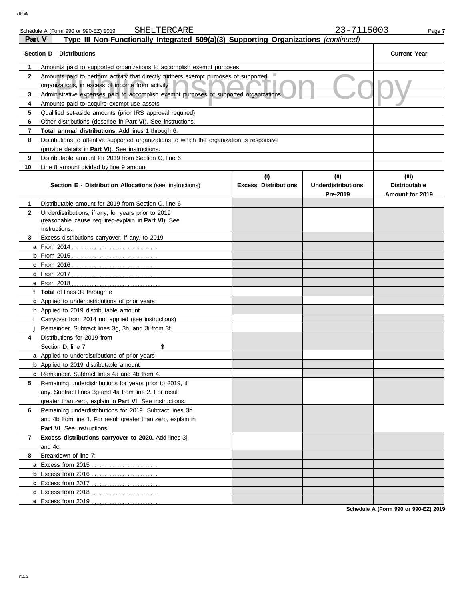| 78488        |                                                                                                                                               |                                    |                                               |                                                  |  |  |  |  |
|--------------|-----------------------------------------------------------------------------------------------------------------------------------------------|------------------------------------|-----------------------------------------------|--------------------------------------------------|--|--|--|--|
|              | SHELTERCARE<br>Schedule A (Form 990 or 990-EZ) 2019                                                                                           |                                    | 23-7115003                                    | Page 7                                           |  |  |  |  |
| Part V       | Type III Non-Functionally Integrated 509(a)(3) Supporting Organizations (continued)                                                           |                                    |                                               |                                                  |  |  |  |  |
|              | <b>Section D - Distributions</b>                                                                                                              |                                    |                                               | <b>Current Year</b>                              |  |  |  |  |
| 1            | Amounts paid to supported organizations to accomplish exempt purposes                                                                         |                                    |                                               |                                                  |  |  |  |  |
| $\mathbf{2}$ | Amounts paid to perform activity that directly furthers exempt purposes of supported<br>organizations, in excess of income from activity      |                                    |                                               |                                                  |  |  |  |  |
| 3            | Administrative expenses paid to accomplish exempt purposes of supported organizations                                                         |                                    |                                               |                                                  |  |  |  |  |
| 4            | Amounts paid to acquire exempt-use assets                                                                                                     |                                    |                                               |                                                  |  |  |  |  |
| 5            | Qualified set-aside amounts (prior IRS approval required)                                                                                     |                                    |                                               |                                                  |  |  |  |  |
| 6            | Other distributions (describe in <b>Part VI</b> ). See instructions.                                                                          |                                    |                                               |                                                  |  |  |  |  |
| 7            | Total annual distributions. Add lines 1 through 6.                                                                                            |                                    |                                               |                                                  |  |  |  |  |
| 8            | Distributions to attentive supported organizations to which the organization is responsive<br>(provide details in Part VI). See instructions. |                                    |                                               |                                                  |  |  |  |  |
| 9            | Distributable amount for 2019 from Section C. line 6                                                                                          |                                    |                                               |                                                  |  |  |  |  |
| 10           | Line 8 amount divided by line 9 amount                                                                                                        |                                    |                                               |                                                  |  |  |  |  |
|              | Section E - Distribution Allocations (see instructions)                                                                                       | (i)<br><b>Excess Distributions</b> | (ii)<br><b>Underdistributions</b><br>Pre-2019 | (iii)<br><b>Distributable</b><br>Amount for 2019 |  |  |  |  |
| 1            | Distributable amount for 2019 from Section C, line 6                                                                                          |                                    |                                               |                                                  |  |  |  |  |
| $\mathbf{2}$ | Underdistributions, if any, for years prior to 2019<br>(reasonable cause required-explain in Part VI). See<br>instructions.                   |                                    |                                               |                                                  |  |  |  |  |
| 3            | Excess distributions carryover, if any, to 2019                                                                                               |                                    |                                               |                                                  |  |  |  |  |
|              |                                                                                                                                               |                                    |                                               |                                                  |  |  |  |  |
|              |                                                                                                                                               |                                    |                                               |                                                  |  |  |  |  |
|              |                                                                                                                                               |                                    |                                               |                                                  |  |  |  |  |
|              | <b>d</b> From $2017$                                                                                                                          |                                    |                                               |                                                  |  |  |  |  |
|              | <b>e</b> From 2018                                                                                                                            |                                    |                                               |                                                  |  |  |  |  |
|              | <b>Total</b> of lines 3a through e                                                                                                            |                                    |                                               |                                                  |  |  |  |  |
|              | g Applied to underdistributions of prior years                                                                                                |                                    |                                               |                                                  |  |  |  |  |
|              | h Applied to 2019 distributable amount                                                                                                        |                                    |                                               |                                                  |  |  |  |  |
|              | Carryover from 2014 not applied (see instructions)                                                                                            |                                    |                                               |                                                  |  |  |  |  |
|              | Remainder. Subtract lines 3g, 3h, and 3i from 3f.                                                                                             |                                    |                                               |                                                  |  |  |  |  |
| 4            | Distributions for 2019 from                                                                                                                   |                                    |                                               |                                                  |  |  |  |  |

and 4c.

**5**

**7 Excess distributions carryover to 2020.** Add lines 3j

**a** Excess from 2015 . . . . . . . . . . . . . . . . . . . . . . . . . . **b** Excess from 2016 . . . . . . . . . . . . . . . . . . . . . . . . . . **c** Excess from 2017 . . . . . . . . . . . . . . . . . . . . . . . . . . . **d** Excess from 2018 . . . . . . . . . . . . . . . . . . . . . . . . . . . **e** Excess from 2019 . . . . . . . . . . . . . . . . . . . . . . . . . . .

Part VI. See instructions.

Breakdown of line 7:

**6** Remaining underdistributions for 2019. Subtract lines 3h

and 4b from line 1. For result greater than zero, explain in

Remaining underdistributions for years prior to 2019, if any. Subtract lines 3g and 4a from line 2. For result greater than zero, explain in **Part VI**. See instructions.

**a** Applied to underdistributions of prior years **b** Applied to 2019 distributable amount **c** Remainder. Subtract lines 4a and 4b from 4.

Section D, line 7: \$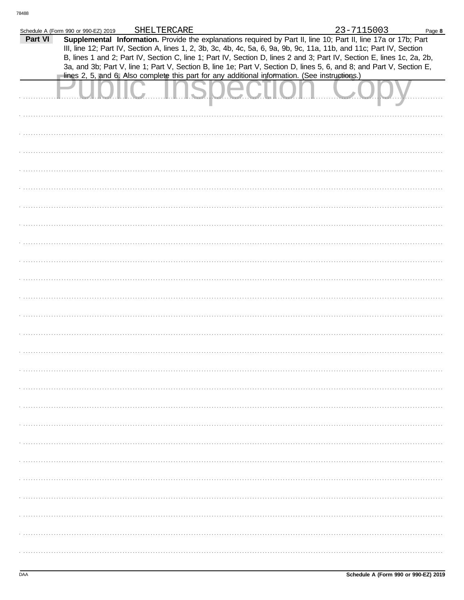|         | Schedule A (Form 990 or 990-EZ) 2019                                                           | SHELTERCARE |  | 23-7115003                                                                                                                                                                                                                              | Page 8 |
|---------|------------------------------------------------------------------------------------------------|-------------|--|-----------------------------------------------------------------------------------------------------------------------------------------------------------------------------------------------------------------------------------------|--------|
| Part VI |                                                                                                |             |  | Supplemental Information. Provide the explanations required by Part II, line 10; Part II, line 17a or 17b; Part<br>III, line 12; Part IV, Section A, lines 1, 2, 3b, 3c, 4b, 4c, 5a, 6, 9a, 9b, 9c, 11a, 11b, and 11c; Part IV, Section |        |
|         |                                                                                                |             |  | B, lines 1 and 2; Part IV, Section C, line 1; Part IV, Section D, lines 2 and 3; Part IV, Section E, lines 1c, 2a, 2b,                                                                                                                  |        |
|         |                                                                                                |             |  | 3a, and 3b; Part V, line 1; Part V, Section B, line 1e; Part V, Section D, lines 5, 6, and 8; and Part V, Section E,                                                                                                                    |        |
|         | lines 2, 5, and 6. Also complete this part for any additional information. (See instructions.) |             |  |                                                                                                                                                                                                                                         |        |
|         |                                                                                                |             |  |                                                                                                                                                                                                                                         |        |
|         |                                                                                                |             |  |                                                                                                                                                                                                                                         |        |
|         |                                                                                                |             |  |                                                                                                                                                                                                                                         |        |
|         |                                                                                                |             |  |                                                                                                                                                                                                                                         |        |
|         |                                                                                                |             |  |                                                                                                                                                                                                                                         |        |
|         |                                                                                                |             |  |                                                                                                                                                                                                                                         |        |
|         |                                                                                                |             |  |                                                                                                                                                                                                                                         |        |
|         |                                                                                                |             |  |                                                                                                                                                                                                                                         |        |
|         |                                                                                                |             |  |                                                                                                                                                                                                                                         |        |
|         |                                                                                                |             |  |                                                                                                                                                                                                                                         |        |
|         |                                                                                                |             |  |                                                                                                                                                                                                                                         |        |
|         |                                                                                                |             |  |                                                                                                                                                                                                                                         |        |
|         |                                                                                                |             |  |                                                                                                                                                                                                                                         |        |
|         |                                                                                                |             |  |                                                                                                                                                                                                                                         |        |
|         |                                                                                                |             |  |                                                                                                                                                                                                                                         |        |
|         |                                                                                                |             |  |                                                                                                                                                                                                                                         |        |
|         |                                                                                                |             |  |                                                                                                                                                                                                                                         |        |
|         |                                                                                                |             |  |                                                                                                                                                                                                                                         |        |
|         |                                                                                                |             |  |                                                                                                                                                                                                                                         |        |
|         |                                                                                                |             |  |                                                                                                                                                                                                                                         |        |
|         |                                                                                                |             |  |                                                                                                                                                                                                                                         |        |
|         |                                                                                                |             |  |                                                                                                                                                                                                                                         |        |
|         |                                                                                                |             |  |                                                                                                                                                                                                                                         |        |
|         |                                                                                                |             |  |                                                                                                                                                                                                                                         |        |
|         |                                                                                                |             |  |                                                                                                                                                                                                                                         |        |
|         |                                                                                                |             |  |                                                                                                                                                                                                                                         |        |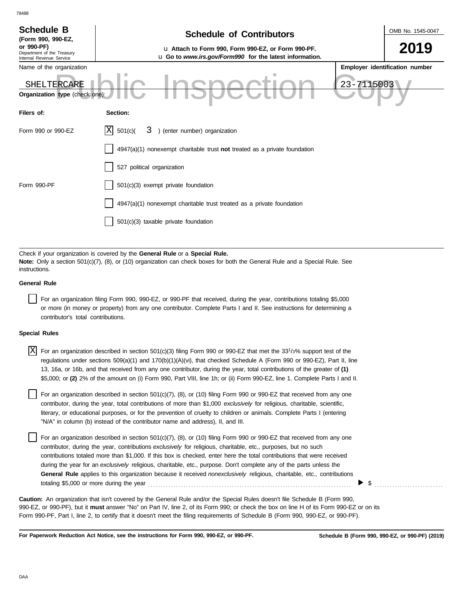| <b>Schedule B</b><br>(Form 990, 990-EZ,<br>or 990-PF)<br>Department of the Treasury<br>Internal Revenue Service | <b>Schedule of Contributors</b><br>u Attach to Form 990, Form 990-EZ, or Form 990-PF.<br>u Go to www.irs.gov/Form990 for the latest information. |            | OMB No. 1545-0047<br>2019      |
|-----------------------------------------------------------------------------------------------------------------|--------------------------------------------------------------------------------------------------------------------------------------------------|------------|--------------------------------|
| Name of the organization                                                                                        |                                                                                                                                                  |            | Employer identification number |
| SHELTERCARE<br>Organization type (check one):                                                                   |                                                                                                                                                  | 23-7115003 |                                |
| Filers of:                                                                                                      | Section:                                                                                                                                         |            |                                |
| Form 990 or 990-EZ                                                                                              | ΙXΙ<br>3 ) (enter number) organization<br>501(c)(                                                                                                |            |                                |
|                                                                                                                 | $4947(a)(1)$ nonexempt charitable trust not treated as a private foundation                                                                      |            |                                |
|                                                                                                                 | 527 political organization                                                                                                                       |            |                                |
| Form 990-PF                                                                                                     | 501(c)(3) exempt private foundation                                                                                                              |            |                                |
|                                                                                                                 | 4947(a)(1) nonexempt charitable trust treated as a private foundation                                                                            |            |                                |
|                                                                                                                 | 501(c)(3) taxable private foundation                                                                                                             |            |                                |

Check if your organization is covered by the **General Rule** or a **Special Rule. Note:** Only a section 501(c)(7), (8), or (10) organization can check boxes for both the General Rule and a Special Rule. See instructions.

## **General Rule**

For an organization filing Form 990, 990-EZ, or 990-PF that received, during the year, contributions totaling \$5,000 or more (in money or property) from any one contributor. Complete Parts I and II. See instructions for determining a contributor's total contributions.

### **Special Rules**

| $X$ For an organization described in section 501(c)(3) filing Form 990 or 990-EZ that met the 33 <sup>1</sup> /3% support test of the |
|---------------------------------------------------------------------------------------------------------------------------------------|
| regulations under sections 509(a)(1) and 170(b)(1)(A)(vi), that checked Schedule A (Form 990 or 990-EZ), Part II, line                |
| 13, 16a, or 16b, and that received from any one contributor, during the year, total contributions of the greater of (1)               |
| \$5,000; or (2) 2% of the amount on (i) Form 990, Part VIII, line 1h; or (ii) Form 990-EZ, line 1. Complete Parts I and II.           |

literary, or educational purposes, or for the prevention of cruelty to children or animals. Complete Parts I (entering For an organization described in section  $501(c)(7)$ ,  $(8)$ , or  $(10)$  filing Form 990 or 990-EZ that received from any one contributor, during the year, total contributions of more than \$1,000 *exclusively* for religious, charitable, scientific, "N/A" in column (b) instead of the contributor name and address), II, and III.

For an organization described in section 501(c)(7), (8), or (10) filing Form 990 or 990-EZ that received from any one contributor, during the year, contributions *exclusively* for religious, charitable, etc., purposes, but no such contributions totaled more than \$1,000. If this box is checked, enter here the total contributions that were received during the year for an *exclusively* religious, charitable, etc., purpose. Don't complete any of the parts unless the **General Rule** applies to this organization because it received *nonexclusively* religious, charitable, etc., contributions totaling \$5,000 or more during the year . . . . . . . . . . . . . . . . . . . . . . . . . . . . . . . . . . . . . . . . . . . . . . . . . . . . . . . . . . . . . . . . . . . . . . . . . . . . . . . .

990-EZ, or 990-PF), but it **must** answer "No" on Part IV, line 2, of its Form 990; or check the box on line H of its Form 990-EZ or on its Form 990-PF, Part I, line 2, to certify that it doesn't meet the filing requirements of Schedule B (Form 990, 990-EZ, or 990-PF). **Caution:** An organization that isn't covered by the General Rule and/or the Special Rules doesn't file Schedule B (Form 990,

**For Paperwork Reduction Act Notice, see the instructions for Form 990, 990-EZ, or 990-PF.**

\$ . . . . . . . . . . . . . . . . . . . . . . . . . . .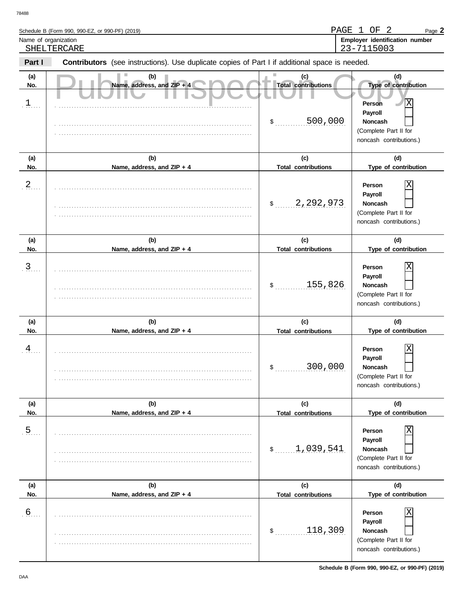|        | Schedule B (Form 990, 990-EZ, or 990-PF) (2019)                                                       | PAGE<br>OF<br>Page $2$                       |
|--------|-------------------------------------------------------------------------------------------------------|----------------------------------------------|
|        | Name of organization<br>SHELTERCARE                                                                   | Employer identification number<br>23-7115003 |
| Part I | <b>Contributors</b> (see instructions). Use duplicate copies of Part I if additional space is needed. |                                              |
| (a)    | (b)                                                                                                   |                                              |
| No.    | Name, address, and $ZIP + 4$<br><b>Total contributions</b>                                            | <b>Type of contribution</b>                  |
|        |                                                                                                       | lΧ<br>Persor                                 |

| $\frac{1}{2}$  |                                   | 500,000<br>\$                     | X<br>Person<br>Payroll<br><b>Noncash</b><br>(Complete Part II for<br>noncash contributions.)       |
|----------------|-----------------------------------|-----------------------------------|----------------------------------------------------------------------------------------------------|
| (a)<br>No.     | (b)<br>Name, address, and ZIP + 4 | (c)<br><b>Total contributions</b> | (d)<br>Type of contribution                                                                        |
| $\frac{2}{1}$  |                                   | 2,292,973<br>$\frac{1}{2}$        | Χ<br>Person<br>Payroll<br>Noncash<br>(Complete Part II for<br>noncash contributions.)              |
| (a)<br>No.     | (b)<br>Name, address, and ZIP + 4 | (c)<br><b>Total contributions</b> | (d)<br>Type of contribution                                                                        |
| $\frac{3}{2}$  |                                   | 155,826<br>$\mathfrak{S}$         | Χ<br>Person<br>Payroll<br>Noncash<br>(Complete Part II for<br>noncash contributions.)              |
| (a)<br>No.     | (b)<br>Name, address, and ZIP + 4 | (c)<br><b>Total contributions</b> | (d)<br>Type of contribution                                                                        |
| $\frac{4}{1}$  |                                   | 300,000<br>\$                     | Χ<br>Person<br>Payroll<br>Noncash<br>(Complete Part II for<br>noncash contributions.)              |
| (a)<br>No.     | (b)<br>Name, address, and ZIP + 4 | (c)<br><b>Total contributions</b> | (d)<br>Type of contribution                                                                        |
| $\overline{5}$ |                                   | 1,039,541<br>\$                   | $\overline{X}$<br>Person<br>Payroll<br>Noncash<br>(Complete Part II for<br>noncash contributions.) |
| (a)<br>No.     | (b)<br>Name, address, and ZIP + 4 | (c)<br><b>Total contributions</b> | (d)<br>Type of contribution                                                                        |
| $\frac{6}{2}$  |                                   | 118,309<br>$$^{\circ}$            | Person<br>Payroll<br>Noncash<br>(Complete Part II for<br>noncash contributions.)                   |

**Schedule B (Form 990, 990-EZ, or 990-PF) (2019)**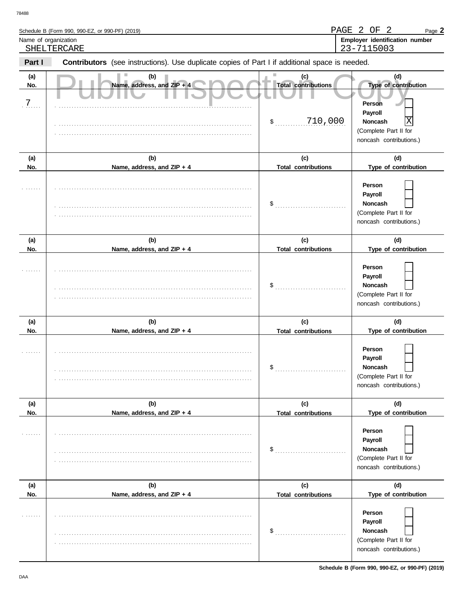| 78488      |                                                                                                       |                                   |                                                                                         |
|------------|-------------------------------------------------------------------------------------------------------|-----------------------------------|-----------------------------------------------------------------------------------------|
|            | Schedule B (Form 990, 990-EZ, or 990-PF) (2019)                                                       | PAGE 2                            | OF 2<br>Page $2$                                                                        |
|            | Name of organization                                                                                  |                                   | Employer identification number                                                          |
|            | SHELTERCARE                                                                                           |                                   | 23-7115003                                                                              |
| Part I     | <b>Contributors</b> (see instructions). Use duplicate copies of Part I if additional space is needed. |                                   |                                                                                         |
| (a)<br>No. | (b)<br>Name, address, and ZIP + 4                                                                     | (c)<br><b>Total contributions</b> | (d)<br>Type of contribution                                                             |
|            |                                                                                                       |                                   | <b>Person</b>                                                                           |
|            |                                                                                                       |                                   | Payroll                                                                                 |
|            |                                                                                                       | 710,000<br>\$                     | X<br><b>Noncash</b>                                                                     |
|            |                                                                                                       |                                   | (Complete Part II for                                                                   |
|            |                                                                                                       |                                   | noncash contributions.)                                                                 |
| (a)        | (b)                                                                                                   | (c)                               | (d)                                                                                     |
| No.        | Name, address, and ZIP + 4                                                                            | <b>Total contributions</b>        | Type of contribution                                                                    |
|            |                                                                                                       | \$                                | Person<br>Payroll<br><b>Noncash</b><br>(Complete Part II for<br>noncash contributions.) |
|            |                                                                                                       |                                   |                                                                                         |

| No.              | Name, address, and ZIP + 4        | <b>Total contributions</b>        | Type of contribution                                                                  |
|------------------|-----------------------------------|-----------------------------------|---------------------------------------------------------------------------------------|
| $\overline{7}$ . |                                   | 710,000<br>$$^{\circ}$            | Person<br>Payroll<br>Χ<br>Noncash<br>(Complete Part II for<br>noncash contributions.) |
| (a)<br>No.       | (b)<br>Name, address, and ZIP + 4 | (c)<br><b>Total contributions</b> | (d)<br>Type of contribution                                                           |
|                  |                                   | \$                                | Person<br>Payroll<br>Noncash<br>(Complete Part II for<br>noncash contributions.)      |
| (a)              | (b)                               | (c)                               | (d)                                                                                   |
| No.              | Name, address, and ZIP + 4        | <b>Total contributions</b>        | Type of contribution                                                                  |
|                  |                                   | \$                                | Person<br>Payroll<br>Noncash<br>(Complete Part II for<br>noncash contributions.)      |
|                  |                                   |                                   |                                                                                       |
| (a)              | (b)                               | (c)                               | (d)                                                                                   |
| No.              | Name, address, and ZIP + 4        | <b>Total contributions</b>        | Type of contribution                                                                  |
|                  |                                   | \$                                | Person<br>Payroll<br>Noncash<br>(Complete Part II for<br>noncash contributions.)      |
| (a)              | (b)                               | (c)                               | (d)                                                                                   |
| No.              | Name, address, and ZIP + 4        | <b>Total contributions</b>        | Type of contribution                                                                  |
|                  |                                   | \$                                | Person<br>Payroll<br>Noncash<br>(Complete Part II for<br>noncash contributions.)      |
| (a)              | (b)                               | (c)                               | (d)                                                                                   |
| No.              | Name, address, and ZIP + 4        | <b>Total contributions</b>        | Type of contribution                                                                  |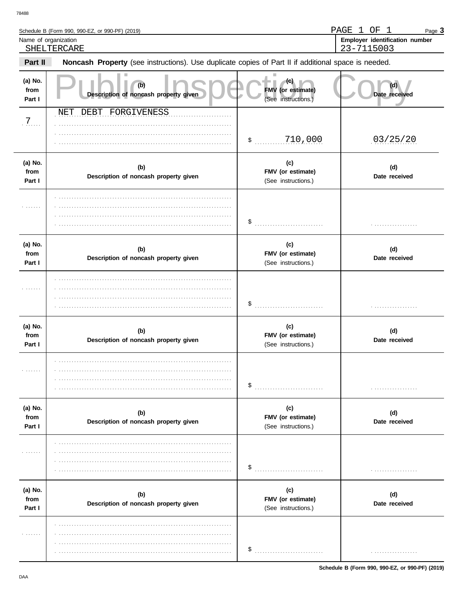$\overline{a}$ 

|                           | Schedule B (Form 990, 990-EZ, or 990-PF) (2019)                                                     |                                                 | PAGE<br>$\mathbf{1}$<br>$\mathbf{1}$<br>OF<br>Page $3$ |
|---------------------------|-----------------------------------------------------------------------------------------------------|-------------------------------------------------|--------------------------------------------------------|
| Name of organization      | SHELTERCARE                                                                                         |                                                 | Employer identification number<br>23-7115003           |
| Part II                   | Noncash Property (see instructions). Use duplicate copies of Part II if additional space is needed. |                                                 |                                                        |
| (a) No.<br>from<br>Part I | (b)<br>Description of noncash property given                                                        | FMV (or estimate)<br>(See instructions.)        | Date received                                          |
| 7.                        | DEBT FORGIVENESS<br>NET                                                                             |                                                 | 03/25/20                                               |
| (a) No.<br>from<br>Part I | (b)<br>Description of noncash property given                                                        | (c)<br>FMV (or estimate)<br>(See instructions.) | (d)<br>Date received                                   |
| .                         |                                                                                                     | \$                                              |                                                        |
| (a) No.<br>from<br>Part I | (b)<br>Description of noncash property given                                                        | (c)<br>FMV (or estimate)<br>(See instructions.) | (d)<br>Date received                                   |
|                           |                                                                                                     | \$                                              |                                                        |
| (a) No.<br>from<br>Part I | (b)<br>Description of noncash property given                                                        | (c)<br>FMV (or estimate)<br>(See instructions.) | (d)<br>Date received                                   |
|                           |                                                                                                     | \$                                              |                                                        |
| (a) No.<br>from<br>Part I | (b)<br>Description of noncash property given                                                        | (c)<br>FMV (or estimate)<br>(See instructions.) | (d)<br>Date received                                   |
|                           |                                                                                                     | \$                                              |                                                        |
| (a) No.<br>from<br>Part I | (b)<br>Description of noncash property given                                                        | (c)<br>FMV (or estimate)<br>(See instructions.) | (d)<br>Date received                                   |
|                           |                                                                                                     | \$                                              |                                                        |

PAGE 1 OF 1

Page 3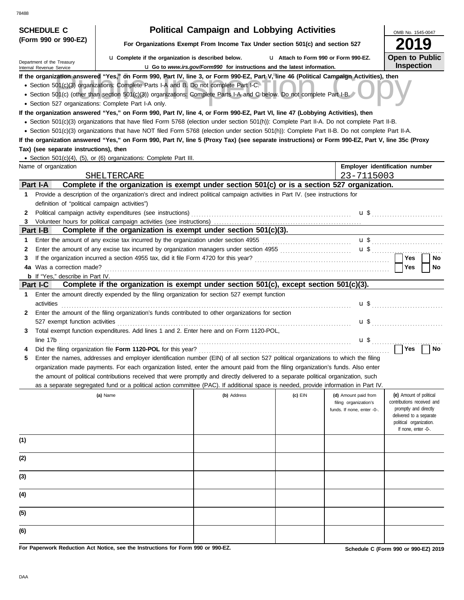| <b>SCHEDULE C</b>                              |                                                                                                                                                                                                                                                                                                                                                               | <b>Political Campaign and Lobbying Activities</b>                               |         |                                                     | OMB No. 1545-0047                                                                                         |  |  |  |  |
|------------------------------------------------|---------------------------------------------------------------------------------------------------------------------------------------------------------------------------------------------------------------------------------------------------------------------------------------------------------------------------------------------------------------|---------------------------------------------------------------------------------|---------|-----------------------------------------------------|-----------------------------------------------------------------------------------------------------------|--|--|--|--|
| (Form 990 or 990-EZ)                           | For Organizations Exempt From Income Tax Under section 501(c) and section 527                                                                                                                                                                                                                                                                                 |                                                                                 |         |                                                     |                                                                                                           |  |  |  |  |
| Department of the Treasury                     | La Complete if the organization is described below.<br>Lattach to Form 990 or Form 990-EZ.                                                                                                                                                                                                                                                                    |                                                                                 |         |                                                     |                                                                                                           |  |  |  |  |
| Internal Revenue Service                       |                                                                                                                                                                                                                                                                                                                                                               | <b>u</b> Go to www.irs.gov/Form990 for instructions and the latest information. |         |                                                     | <b>Inspection</b>                                                                                         |  |  |  |  |
|                                                | If the organization answered "Yes," on Form 990, Part IV, line 3, or Form 990-EZ, Part V, line 46 (Political Campaign Activities), then<br>• Section 501(c)(3) organizations: Complete Parts I-A and B. Do not complete Part I-C.<br>• Section 501(c) (other than section 501(c)(3)) organizations: Complete Parts I-A and C below. Do not complete Part I-B. |                                                                                 |         |                                                     |                                                                                                           |  |  |  |  |
|                                                | • Section 527 organizations: Complete Part I-A only.                                                                                                                                                                                                                                                                                                          |                                                                                 |         |                                                     |                                                                                                           |  |  |  |  |
|                                                | If the organization answered "Yes," on Form 990, Part IV, line 4, or Form 990-EZ, Part VI, line 47 (Lobbying Activities), then                                                                                                                                                                                                                                |                                                                                 |         |                                                     |                                                                                                           |  |  |  |  |
|                                                | • Section 501(c)(3) organizations that have filed Form 5768 (election under section 501(h)): Complete Part II-A. Do not complete Part II-B.                                                                                                                                                                                                                   |                                                                                 |         |                                                     |                                                                                                           |  |  |  |  |
|                                                | • Section 501(c)(3) organizations that have NOT filed Form 5768 (election under section 501(h)): Complete Part II-B. Do not complete Part II-A.<br>If the organization answered "Yes," on Form 990, Part IV, line 5 (Proxy Tax) (see separate instructions) or Form 990-EZ, Part V, line 35c (Proxy                                                           |                                                                                 |         |                                                     |                                                                                                           |  |  |  |  |
| Tax) (see separate instructions), then         |                                                                                                                                                                                                                                                                                                                                                               |                                                                                 |         |                                                     |                                                                                                           |  |  |  |  |
|                                                | • Section 501(c)(4), (5), or (6) organizations: Complete Part III.                                                                                                                                                                                                                                                                                            |                                                                                 |         |                                                     |                                                                                                           |  |  |  |  |
| Name of organization                           |                                                                                                                                                                                                                                                                                                                                                               |                                                                                 |         |                                                     | Employer identification number                                                                            |  |  |  |  |
|                                                | SHELTERCARE                                                                                                                                                                                                                                                                                                                                                   |                                                                                 |         | 23-7115003                                          |                                                                                                           |  |  |  |  |
| Part I-A                                       | Complete if the organization is exempt under section 501(c) or is a section 527 organization.                                                                                                                                                                                                                                                                 |                                                                                 |         |                                                     |                                                                                                           |  |  |  |  |
| 1                                              | Provide a description of the organization's direct and indirect political campaign activities in Part IV. (see instructions for                                                                                                                                                                                                                               |                                                                                 |         |                                                     |                                                                                                           |  |  |  |  |
| definition of "political campaign activities") |                                                                                                                                                                                                                                                                                                                                                               |                                                                                 |         |                                                     |                                                                                                           |  |  |  |  |
| 2                                              | Political campaign activity expenditures (see instructions) [11] content content content campaign activity expenditures (see instructions) [11] content content campaign activity expenditures (see instructions) [11] content                                                                                                                                |                                                                                 |         |                                                     | $\mathbf{u}$ \$                                                                                           |  |  |  |  |
| 3                                              |                                                                                                                                                                                                                                                                                                                                                               |                                                                                 |         |                                                     |                                                                                                           |  |  |  |  |
| Part I-B                                       | Complete if the organization is exempt under section 501(c)(3).                                                                                                                                                                                                                                                                                               |                                                                                 |         |                                                     |                                                                                                           |  |  |  |  |
| 1                                              |                                                                                                                                                                                                                                                                                                                                                               |                                                                                 |         |                                                     |                                                                                                           |  |  |  |  |
| 2<br>3                                         |                                                                                                                                                                                                                                                                                                                                                               |                                                                                 |         |                                                     | Yes<br>No                                                                                                 |  |  |  |  |
| 4a Was a correction made?                      |                                                                                                                                                                                                                                                                                                                                                               |                                                                                 |         |                                                     | Yes<br>No                                                                                                 |  |  |  |  |
| <b>b</b> If "Yes," describe in Part IV.        |                                                                                                                                                                                                                                                                                                                                                               |                                                                                 |         |                                                     |                                                                                                           |  |  |  |  |
| Part I-C                                       | Complete if the organization is exempt under section 501(c), except section 501(c)(3).                                                                                                                                                                                                                                                                        |                                                                                 |         |                                                     |                                                                                                           |  |  |  |  |
| 1                                              | Enter the amount directly expended by the filing organization for section 527 exempt function                                                                                                                                                                                                                                                                 |                                                                                 |         |                                                     |                                                                                                           |  |  |  |  |
| activities                                     |                                                                                                                                                                                                                                                                                                                                                               |                                                                                 |         |                                                     |                                                                                                           |  |  |  |  |
| $\mathbf{2}$                                   | Enter the amount of the filing organization's funds contributed to other organizations for section                                                                                                                                                                                                                                                            |                                                                                 |         |                                                     |                                                                                                           |  |  |  |  |
| 527 exempt function activities                 |                                                                                                                                                                                                                                                                                                                                                               |                                                                                 |         |                                                     | $\mathbf{u}$ \$                                                                                           |  |  |  |  |
| 3                                              | Total exempt function expenditures. Add lines 1 and 2. Enter here and on Form 1120-POL,                                                                                                                                                                                                                                                                       |                                                                                 |         |                                                     |                                                                                                           |  |  |  |  |
| line 17b                                       |                                                                                                                                                                                                                                                                                                                                                               |                                                                                 |         | $\mathbf{u}$ \$                                     |                                                                                                           |  |  |  |  |
|                                                |                                                                                                                                                                                                                                                                                                                                                               |                                                                                 |         |                                                     | Yes<br>No                                                                                                 |  |  |  |  |
|                                                | Enter the names, addresses and employer identification number (EIN) of all section 527 political organizations to which the filing<br>organization made payments. For each organization listed, enter the amount paid from the filing organization's funds. Also enter                                                                                        |                                                                                 |         |                                                     |                                                                                                           |  |  |  |  |
|                                                | the amount of political contributions received that were promptly and directly delivered to a separate political organization, such                                                                                                                                                                                                                           |                                                                                 |         |                                                     |                                                                                                           |  |  |  |  |
|                                                | as a separate segregated fund or a political action committee (PAC). If additional space is needed, provide information in Part IV.                                                                                                                                                                                                                           |                                                                                 |         |                                                     |                                                                                                           |  |  |  |  |
|                                                | (a) Name                                                                                                                                                                                                                                                                                                                                                      | (b) Address                                                                     | (c) EIN | (d) Amount paid from                                | (e) Amount of political                                                                                   |  |  |  |  |
|                                                |                                                                                                                                                                                                                                                                                                                                                               |                                                                                 |         | filing organization's<br>funds. If none, enter -0-. | contributions received and<br>promptly and directly<br>delivered to a separate<br>political organization. |  |  |  |  |
|                                                |                                                                                                                                                                                                                                                                                                                                                               |                                                                                 |         |                                                     | If none, enter -0-.                                                                                       |  |  |  |  |
| (1)                                            |                                                                                                                                                                                                                                                                                                                                                               |                                                                                 |         |                                                     |                                                                                                           |  |  |  |  |
| (2)                                            |                                                                                                                                                                                                                                                                                                                                                               |                                                                                 |         |                                                     |                                                                                                           |  |  |  |  |
| (3)                                            |                                                                                                                                                                                                                                                                                                                                                               |                                                                                 |         |                                                     |                                                                                                           |  |  |  |  |
| (4)                                            |                                                                                                                                                                                                                                                                                                                                                               |                                                                                 |         |                                                     |                                                                                                           |  |  |  |  |
| (5)                                            |                                                                                                                                                                                                                                                                                                                                                               |                                                                                 |         |                                                     |                                                                                                           |  |  |  |  |
| (6)                                            |                                                                                                                                                                                                                                                                                                                                                               |                                                                                 |         |                                                     |                                                                                                           |  |  |  |  |

**For Paperwork Reduction Act Notice, see the Instructions for Form 990 or 990-EZ.**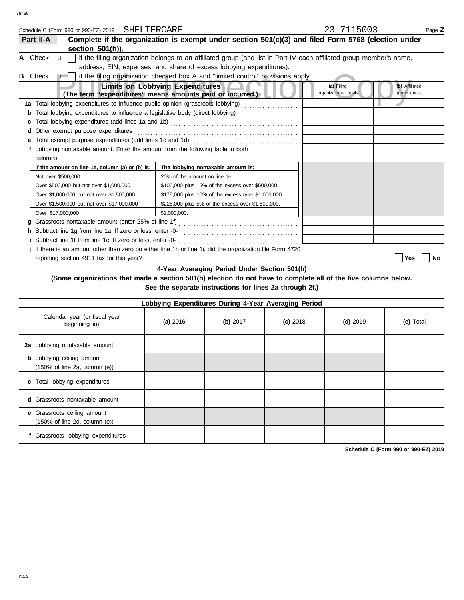| Schedule C (Form 990 or 990-EZ) 2019 SHELTERCARE                                |                                                                                                                     | 23-7115003                                                            | Page 2 |
|---------------------------------------------------------------------------------|---------------------------------------------------------------------------------------------------------------------|-----------------------------------------------------------------------|--------|
| Part II-A                                                                       | Complete if the organization is exempt under section 501(c)(3) and filed Form 5768 (election under                  |                                                                       |        |
| section 501(h)).                                                                |                                                                                                                     |                                                                       |        |
| A Check<br>$\mathbf{u}$                                                         | if the filing organization belongs to an affiliated group (and list in Part IV each affiliated group member's name, |                                                                       |        |
|                                                                                 | address, EIN, expenses, and share of excess lobbying expenditures).                                                 |                                                                       |        |
| <b>B</b> Check<br>$\mathbf{u}$                                                  | if the filing organization checked box A and "limited control" provisions apply.                                    |                                                                       |        |
|                                                                                 | <b>Limits on Lobbying Expenditures</b><br>(The term "expenditures" means amounts paid or incurred.)                 | (b) Affiliated<br>(a) Filing<br>organization's totals<br>group totals |        |
|                                                                                 | 1a Total lobbying expenditures to influence public opinion (grassroots lobbying) [[[[[[[[[[[[[[[[[[[[[[[[[[[[       |                                                                       |        |
| b                                                                               | Total lobbying expenditures to influence a legislative body (direct lobbying) [[[[[[[[[[[[[[[[[[[[[[[[[[[[[[[       |                                                                       |        |
|                                                                                 |                                                                                                                     |                                                                       |        |
| d Other exempt purpose expenditures                                             |                                                                                                                     |                                                                       |        |
|                                                                                 |                                                                                                                     |                                                                       |        |
| f Lobbying nontaxable amount. Enter the amount from the following table in both |                                                                                                                     |                                                                       |        |
| columns.                                                                        |                                                                                                                     |                                                                       |        |
| If the amount on line 1e, column (a) or (b) is:                                 | The lobbying nontaxable amount is:                                                                                  |                                                                       |        |
| Not over \$500,000                                                              | 20% of the amount on line 1e.                                                                                       |                                                                       |        |
| Over \$500,000 but not over \$1,000,000                                         | \$100,000 plus 15% of the excess over \$500,000.                                                                    |                                                                       |        |
| Over \$1,000,000 but not over \$1,500,000                                       | \$175,000 plus 10% of the excess over \$1,000,000.                                                                  |                                                                       |        |
| Over \$1,500,000 but not over \$17,000,000                                      | \$225,000 plus 5% of the excess over \$1,500,000.                                                                   |                                                                       |        |
| Over \$17,000,000                                                               | \$1.000.000.                                                                                                        |                                                                       |        |
|                                                                                 |                                                                                                                     |                                                                       |        |
|                                                                                 |                                                                                                                     |                                                                       |        |
| <i>i</i> Subtract line 1f from line 1c. If zero or less, enter -0-              |                                                                                                                     |                                                                       |        |
|                                                                                 | j If there is an amount other than zero on either line 1h or line 1i, did the organization file Form 4720           |                                                                       |        |
|                                                                                 |                                                                                                                     | Yes                                                                   | No     |
|                                                                                 |                                                                                                                     |                                                                       |        |

**4-Year Averaging Period Under Section 501(h)**

**(Some organizations that made a section 501(h) election do not have to complete all of the five columns below. See the separate instructions for lines 2a through 2f.)**

| Lobbying Expenditures During 4-Year Averaging Period                                   |            |          |            |            |           |  |  |
|----------------------------------------------------------------------------------------|------------|----------|------------|------------|-----------|--|--|
| Calendar year (or fiscal year<br>beginning in)                                         | (a) $2016$ | (b) 2017 | $(c)$ 2018 | $(d)$ 2019 | (e) Total |  |  |
| 2a Lobbying nontaxable amount                                                          |            |          |            |            |           |  |  |
| <b>b</b> Lobbying ceiling amount<br>$(150\% \text{ of line } 2a, \text{ column } (e))$ |            |          |            |            |           |  |  |
| c Total lobbying expenditures                                                          |            |          |            |            |           |  |  |
| <b>d</b> Grassroots nontaxable amount                                                  |            |          |            |            |           |  |  |
| e Grassroots ceiling amount<br>$(150\% \text{ of line } 2d, \text{ column } (e))$      |            |          |            |            |           |  |  |
| Grassroots lobbying expenditures                                                       |            |          |            |            |           |  |  |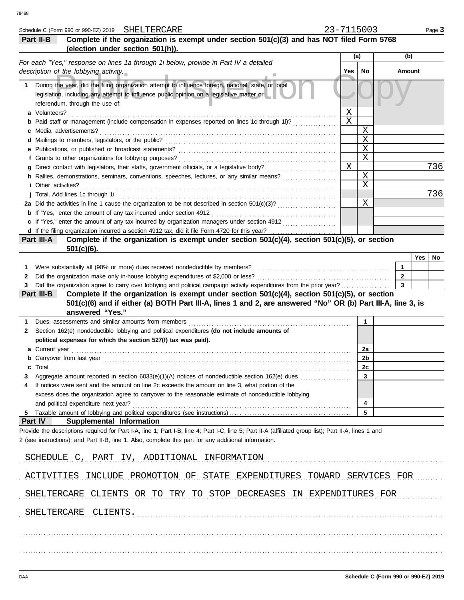|    | Schedule C (Form 990 or 990-EZ) 2019 SHELTERCARE                                                                                                                                                                                                               | 23-7115003 |             |              |        | Page 3 |
|----|----------------------------------------------------------------------------------------------------------------------------------------------------------------------------------------------------------------------------------------------------------------|------------|-------------|--------------|--------|--------|
|    | Complete if the organization is exempt under section 501(c)(3) and has NOT filed Form 5768<br>Part II-B                                                                                                                                                        |            |             |              |        |        |
|    | (election under section 501(h)).                                                                                                                                                                                                                               |            |             |              |        |        |
|    | For each "Yes," response on lines 1a through 1i below, provide in Part IV a detailed                                                                                                                                                                           |            | (a)         |              | (b)    |        |
|    | description of the lobbying activity.                                                                                                                                                                                                                          | Yes        | No          |              | Amount |        |
| 1. | During the year, did the filing organization attempt to influence foreign, national, state, or local<br>legislation, including any attempt to influence public opinion on a legislative matter or<br>referendum, through the use of:                           |            |             |              |        |        |
|    | a Volunteers?                                                                                                                                                                                                                                                  | Χ          |             |              |        |        |
|    | Paid staff or management (include compensation in expenses reported on lines 1c through 1i)?                                                                                                                                                                   | X          |             |              |        |        |
|    | Media advertisements?                                                                                                                                                                                                                                          |            | X           |              |        |        |
|    | d Mailings to members, legislators, or the public?                                                                                                                                                                                                             |            | $\mathbf X$ |              |        |        |
|    | e Publications, or published or broadcast statements?                                                                                                                                                                                                          |            | $\mathbf X$ |              |        |        |
|    | f Grants to other organizations for lobbying purposes?                                                                                                                                                                                                         |            | $\mathbf X$ |              |        |        |
|    | Direct contact with legislators, their staffs, government officials, or a legislative body?                                                                                                                                                                    | X          | $\mathbf X$ |              |        | 736    |
|    | h Rallies, demonstrations, seminars, conventions, speeches, lectures, or any similar means?<br><i>i</i> Other activities?                                                                                                                                      |            | X           |              |        |        |
|    | j Total. Add lines 1c through 1i                                                                                                                                                                                                                               |            |             |              |        | 736    |
|    |                                                                                                                                                                                                                                                                |            | Χ           |              |        |        |
|    | <b>b</b> If "Yes," enter the amount of any tax incurred under section 4912                                                                                                                                                                                     |            |             |              |        |        |
|    | c If "Yes," enter the amount of any tax incurred by organization managers under section 4912                                                                                                                                                                   |            |             |              |        |        |
|    |                                                                                                                                                                                                                                                                |            |             |              |        |        |
|    | Complete if the organization is exempt under section 501(c)(4), section 501(c)(5), or section<br>Part III-A<br>$501(c)(6)$ .                                                                                                                                   |            |             |              |        |        |
|    |                                                                                                                                                                                                                                                                |            |             |              | Yes    | No     |
| 1. | Were substantially all (90% or more) dues received nondeductible by members?                                                                                                                                                                                   |            |             | $\mathbf{1}$ |        |        |
| 2  | Did the organization make only in-house lobbying expenditures of \$2,000 or less?                                                                                                                                                                              |            |             | $\mathbf{2}$ |        |        |
| 3  | Did the organization agree to carry over lobbying and political campaign activity expenditures from the prior year?                                                                                                                                            |            |             | 3            |        |        |
|    | Complete if the organization is exempt under section 501(c)(4), section 501(c)(5), or section<br>Part III-B                                                                                                                                                    |            |             |              |        |        |
|    | 501(c)(6) and if either (a) BOTH Part III-A, lines 1 and 2, are answered "No" OR (b) Part III-A, line 3, is<br>answered "Yes."                                                                                                                                 |            |             |              |        |        |
|    | Dues, assessments and similar amounts from members                                                                                                                                                                                                             |            | 1           |              |        |        |
| 2  | Section 162(e) nondeductible lobbying and political expenditures (do not include amounts of                                                                                                                                                                    |            |             |              |        |        |
|    | political expenses for which the section 527(f) tax was paid).                                                                                                                                                                                                 |            |             |              |        |        |
|    | Current year                                                                                                                                                                                                                                                   |            | 2a          |              |        |        |
|    | <b>b</b> Carryover from last year <i>manufacture content of the care content of the care content of the care content of the content of the content of the content of the content of the content of the content of the content of the </i>                      |            | 2b          |              |        |        |
|    | Total                                                                                                                                                                                                                                                          |            | <u>zc</u>   |              |        |        |
| З  | Aggregate amount reported in section 6033(e)(1)(A) notices of nondeductible section 162(e) dues                                                                                                                                                                |            | 3           |              |        |        |
| 4  | If notices were sent and the amount on line 2c exceeds the amount on line 3, what portion of the                                                                                                                                                               |            |             |              |        |        |
|    | excess does the organization agree to carryover to the reasonable estimate of nondeductible lobbying                                                                                                                                                           |            |             |              |        |        |
|    | and political expenditure next year?                                                                                                                                                                                                                           |            | 4           |              |        |        |
| 5  | Part IV<br><b>Supplemental Information</b>                                                                                                                                                                                                                     |            | 5           |              |        |        |
|    | Provide the descriptions required for Part I-A, line 1; Part I-B, line 4; Part I-C, line 5; Part II-A (affiliated group list); Part II-A, lines 1 and<br>2 (see instructions); and Part II-B, line 1. Also, complete this part for any additional information. |            |             |              |        |        |
|    | SCHEDULE C, PART IV, ADDITIONAL INFORMATION                                                                                                                                                                                                                    |            |             |              |        |        |
|    | ACTIVITIES INCLUDE PROMOTION OF STATE EXPENDITURES TOWARD SERVICES FOR                                                                                                                                                                                         |            |             |              |        |        |
|    |                                                                                                                                                                                                                                                                |            |             |              |        |        |
|    | SHELTERCARE CLIENTS OR TO TRY TO STOP DECREASES IN EXPENDITURES FOR                                                                                                                                                                                            |            |             |              |        |        |
|    | SHELTERCARE CLIENTS.                                                                                                                                                                                                                                           |            |             |              |        |        |
|    |                                                                                                                                                                                                                                                                |            |             |              |        |        |
|    |                                                                                                                                                                                                                                                                |            |             |              |        |        |
|    |                                                                                                                                                                                                                                                                |            |             |              |        |        |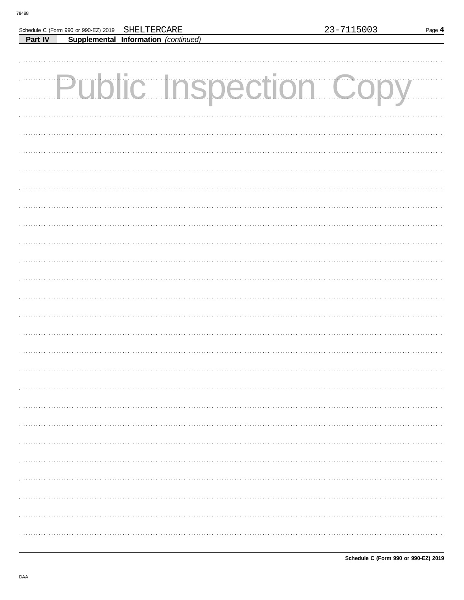Г

Part IV

Schedule C (Form 990 or 990-EZ) 2019

SHELTERCARE

Supplemental Information (continued)

| <b>Public Inspection Copy</b> |  |  |
|-------------------------------|--|--|
|                               |  |  |
|                               |  |  |
|                               |  |  |
|                               |  |  |
|                               |  |  |
|                               |  |  |
|                               |  |  |
|                               |  |  |
|                               |  |  |
|                               |  |  |
|                               |  |  |
|                               |  |  |
|                               |  |  |
|                               |  |  |
|                               |  |  |
|                               |  |  |
|                               |  |  |
|                               |  |  |
|                               |  |  |
|                               |  |  |
|                               |  |  |
|                               |  |  |
|                               |  |  |
|                               |  |  |
|                               |  |  |
|                               |  |  |
|                               |  |  |
|                               |  |  |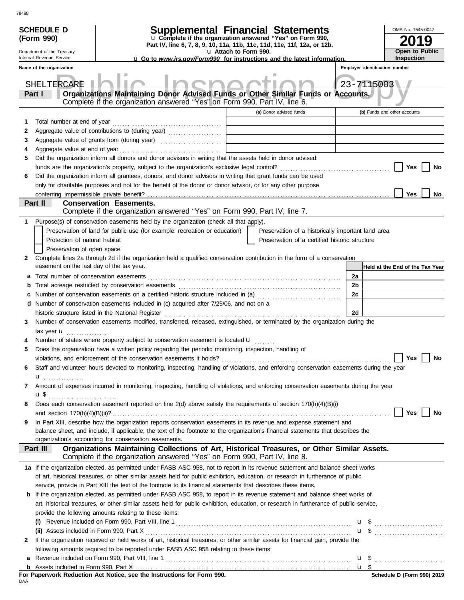| <b>u</b> Go to <i>www.irs.gov/Form990</i> for instructions and the latest information.<br>Employer identification number<br>Name of the organization<br>23-7115003<br>SHELTERCARE<br>Organizations Maintaining Donor Advised Funds or Other Similar Funds or Accounts.<br>Part I<br>Complete if the organization answered "Yes" on Form 990, Part IV, line 6.<br>(a) Donor advised funds<br>(b) Funds and other accounts<br>Total number at end of year<br>1<br>2<br>3<br>the control of the control of the control of the control of the control of<br>4<br>Did the organization inform all donors and donor advisors in writing that the assets held in donor advised<br>5<br>Yes<br>No<br>Did the organization inform all grantees, donors, and donor advisors in writing that grant funds can be used<br>6<br>only for charitable purposes and not for the benefit of the donor or donor advisor, or for any other purpose<br>conferring impermissible private benefit?<br>Yes<br>No<br>Part II<br><b>Conservation Easements.</b><br>Complete if the organization answered "Yes" on Form 990, Part IV, line 7.<br>Purpose(s) of conservation easements held by the organization (check all that apply).<br>1.<br>Preservation of land for public use (for example, recreation or education)<br>Preservation of a historically important land area<br>Protection of natural habitat<br>Preservation of a certified historic structure<br>Preservation of open space<br>Complete lines 2a through 2d if the organization held a qualified conservation contribution in the form of a conservation<br>2<br>easement on the last day of the tax year.<br>Held at the End of the Tax Year<br>2a<br>а<br>2b<br>b<br>Number of conservation easements on a certified historic structure included in (a) [[[[[ [ [ a]]]<br>2c<br>c<br>Number of conservation easements included in (c) acquired after 7/25/06, and not on a<br>d<br>2d<br>historic structure listed in the National Register<br>Number of conservation easements modified, transferred, released, extinguished, or terminated by the organization during the<br>3<br>tax year $\mathbf{u}$<br>Number of states where property subject to conservation easement is located u<br>4<br>Does the organization have a written policy regarding the periodic monitoring, inspection, handling of<br>5<br>Yes $\boxed{\phantom{a}}$<br>No<br>Staff and volunteer hours devoted to monitoring, inspecting, handling of violations, and enforcing conservation easements during the year<br>6<br>$\mathbf{u}$ <sub></sub><br>Amount of expenses incurred in monitoring, inspecting, handling of violations, and enforcing conservation easements during the year<br>7<br>Does each conservation easement reported on line 2(d) above satisfy the requirements of section 170(h)(4)(B)(i)<br>8<br>Yes<br>No<br>In Part XIII, describe how the organization reports conservation easements in its revenue and expense statement and<br>9<br>balance sheet, and include, if applicable, the text of the footnote to the organization's financial statements that describes the<br>organization's accounting for conservation easements.<br>Organizations Maintaining Collections of Art, Historical Treasures, or Other Similar Assets.<br>Part III<br>Complete if the organization answered "Yes" on Form 990, Part IV, line 8.<br>1a If the organization elected, as permitted under FASB ASC 958, not to report in its revenue statement and balance sheet works<br>of art, historical treasures, or other similar assets held for public exhibition, education, or research in furtherance of public<br>service, provide in Part XIII the text of the footnote to its financial statements that describes these items.<br>If the organization elected, as permitted under FASB ASC 958, to report in its revenue statement and balance sheet works of<br>b<br>art, historical treasures, or other similar assets held for public exhibition, education, or research in furtherance of public service,<br>provide the following amounts relating to these items:<br>$\mathbf{u}$ \$<br>(i)<br><b>u</b> \$<br>If the organization received or held works of art, historical treasures, or other similar assets for financial gain, provide the<br>2<br>following amounts required to be reported under FASB ASC 958 relating to these items:<br>$u \text{ }$<br>a<br>For Paperwork Reduction Act Notice, see the Instructions for Form 990.<br>Schedule D (Form 990) 2019 | <b>SCHEDULE D</b><br>(Form 990)<br>Department of the Treasury | <b>Supplemental Financial Statements</b><br>u Complete if the organization answered "Yes" on Form 990,<br>Part IV, line 6, 7, 8, 9, 10, 11a, 11b, 11c, 11d, 11e, 11f, 12a, or 12b. | u Attach to Form 990. |  | OMB No. 1545-0047<br><b>Open to Public</b> |
|-----------------------------------------------------------------------------------------------------------------------------------------------------------------------------------------------------------------------------------------------------------------------------------------------------------------------------------------------------------------------------------------------------------------------------------------------------------------------------------------------------------------------------------------------------------------------------------------------------------------------------------------------------------------------------------------------------------------------------------------------------------------------------------------------------------------------------------------------------------------------------------------------------------------------------------------------------------------------------------------------------------------------------------------------------------------------------------------------------------------------------------------------------------------------------------------------------------------------------------------------------------------------------------------------------------------------------------------------------------------------------------------------------------------------------------------------------------------------------------------------------------------------------------------------------------------------------------------------------------------------------------------------------------------------------------------------------------------------------------------------------------------------------------------------------------------------------------------------------------------------------------------------------------------------------------------------------------------------------------------------------------------------------------------------------------------------------------------------------------------------------------------------------------------------------------------------------------------------------------------------------------------------------------------------------------------------------------------------------------------------------------------------------------------------------------------------------------------------------------------------------------------------------------------------------------------------------------------------------------------------------------------------------------------------------------------------------------------------------------------------------------------------------------------------------------------------------------------------------------------------------------------------------------------------------------------------------------------------------------------------------------------------------------------------------------------------------------------------------------------------------------------------------------------------------------------------------------------------------------------------------------------------------------------------------------------------------------------------------------------------------------------------------------------------------------------------------------------------------------------------------------------------------------------------------------------------------------------------------------------------------------------------------------------------------------------------------------------------------------------------------------------------------------------------------------------------------------------------------------------------------------------------------------------------------------------------------------------------------------------------------------------------------------------------------------------------------------------------------------------------------------------------------------------------------------------------------------------------------------------------------------------------------------------------------------------------------------------------------------------------------------------------------------------------------------------------------------------------------------------------------------------------------|---------------------------------------------------------------|------------------------------------------------------------------------------------------------------------------------------------------------------------------------------------|-----------------------|--|--------------------------------------------|
|                                                                                                                                                                                                                                                                                                                                                                                                                                                                                                                                                                                                                                                                                                                                                                                                                                                                                                                                                                                                                                                                                                                                                                                                                                                                                                                                                                                                                                                                                                                                                                                                                                                                                                                                                                                                                                                                                                                                                                                                                                                                                                                                                                                                                                                                                                                                                                                                                                                                                                                                                                                                                                                                                                                                                                                                                                                                                                                                                                                                                                                                                                                                                                                                                                                                                                                                                                                                                                                                                                                                                                                                                                                                                                                                                                                                                                                                                                                                                                                                                                                                                                                                                                                                                                                                                                                                                                                                                                                                                                                             | Internal Revenue Service                                      |                                                                                                                                                                                    |                       |  | <b>Inspection</b>                          |
|                                                                                                                                                                                                                                                                                                                                                                                                                                                                                                                                                                                                                                                                                                                                                                                                                                                                                                                                                                                                                                                                                                                                                                                                                                                                                                                                                                                                                                                                                                                                                                                                                                                                                                                                                                                                                                                                                                                                                                                                                                                                                                                                                                                                                                                                                                                                                                                                                                                                                                                                                                                                                                                                                                                                                                                                                                                                                                                                                                                                                                                                                                                                                                                                                                                                                                                                                                                                                                                                                                                                                                                                                                                                                                                                                                                                                                                                                                                                                                                                                                                                                                                                                                                                                                                                                                                                                                                                                                                                                                                             |                                                               |                                                                                                                                                                                    |                       |  |                                            |
|                                                                                                                                                                                                                                                                                                                                                                                                                                                                                                                                                                                                                                                                                                                                                                                                                                                                                                                                                                                                                                                                                                                                                                                                                                                                                                                                                                                                                                                                                                                                                                                                                                                                                                                                                                                                                                                                                                                                                                                                                                                                                                                                                                                                                                                                                                                                                                                                                                                                                                                                                                                                                                                                                                                                                                                                                                                                                                                                                                                                                                                                                                                                                                                                                                                                                                                                                                                                                                                                                                                                                                                                                                                                                                                                                                                                                                                                                                                                                                                                                                                                                                                                                                                                                                                                                                                                                                                                                                                                                                                             |                                                               |                                                                                                                                                                                    |                       |  |                                            |
|                                                                                                                                                                                                                                                                                                                                                                                                                                                                                                                                                                                                                                                                                                                                                                                                                                                                                                                                                                                                                                                                                                                                                                                                                                                                                                                                                                                                                                                                                                                                                                                                                                                                                                                                                                                                                                                                                                                                                                                                                                                                                                                                                                                                                                                                                                                                                                                                                                                                                                                                                                                                                                                                                                                                                                                                                                                                                                                                                                                                                                                                                                                                                                                                                                                                                                                                                                                                                                                                                                                                                                                                                                                                                                                                                                                                                                                                                                                                                                                                                                                                                                                                                                                                                                                                                                                                                                                                                                                                                                                             |                                                               |                                                                                                                                                                                    |                       |  |                                            |
|                                                                                                                                                                                                                                                                                                                                                                                                                                                                                                                                                                                                                                                                                                                                                                                                                                                                                                                                                                                                                                                                                                                                                                                                                                                                                                                                                                                                                                                                                                                                                                                                                                                                                                                                                                                                                                                                                                                                                                                                                                                                                                                                                                                                                                                                                                                                                                                                                                                                                                                                                                                                                                                                                                                                                                                                                                                                                                                                                                                                                                                                                                                                                                                                                                                                                                                                                                                                                                                                                                                                                                                                                                                                                                                                                                                                                                                                                                                                                                                                                                                                                                                                                                                                                                                                                                                                                                                                                                                                                                                             |                                                               |                                                                                                                                                                                    |                       |  |                                            |
|                                                                                                                                                                                                                                                                                                                                                                                                                                                                                                                                                                                                                                                                                                                                                                                                                                                                                                                                                                                                                                                                                                                                                                                                                                                                                                                                                                                                                                                                                                                                                                                                                                                                                                                                                                                                                                                                                                                                                                                                                                                                                                                                                                                                                                                                                                                                                                                                                                                                                                                                                                                                                                                                                                                                                                                                                                                                                                                                                                                                                                                                                                                                                                                                                                                                                                                                                                                                                                                                                                                                                                                                                                                                                                                                                                                                                                                                                                                                                                                                                                                                                                                                                                                                                                                                                                                                                                                                                                                                                                                             |                                                               |                                                                                                                                                                                    |                       |  |                                            |
|                                                                                                                                                                                                                                                                                                                                                                                                                                                                                                                                                                                                                                                                                                                                                                                                                                                                                                                                                                                                                                                                                                                                                                                                                                                                                                                                                                                                                                                                                                                                                                                                                                                                                                                                                                                                                                                                                                                                                                                                                                                                                                                                                                                                                                                                                                                                                                                                                                                                                                                                                                                                                                                                                                                                                                                                                                                                                                                                                                                                                                                                                                                                                                                                                                                                                                                                                                                                                                                                                                                                                                                                                                                                                                                                                                                                                                                                                                                                                                                                                                                                                                                                                                                                                                                                                                                                                                                                                                                                                                                             |                                                               |                                                                                                                                                                                    |                       |  |                                            |
|                                                                                                                                                                                                                                                                                                                                                                                                                                                                                                                                                                                                                                                                                                                                                                                                                                                                                                                                                                                                                                                                                                                                                                                                                                                                                                                                                                                                                                                                                                                                                                                                                                                                                                                                                                                                                                                                                                                                                                                                                                                                                                                                                                                                                                                                                                                                                                                                                                                                                                                                                                                                                                                                                                                                                                                                                                                                                                                                                                                                                                                                                                                                                                                                                                                                                                                                                                                                                                                                                                                                                                                                                                                                                                                                                                                                                                                                                                                                                                                                                                                                                                                                                                                                                                                                                                                                                                                                                                                                                                                             |                                                               |                                                                                                                                                                                    |                       |  |                                            |
|                                                                                                                                                                                                                                                                                                                                                                                                                                                                                                                                                                                                                                                                                                                                                                                                                                                                                                                                                                                                                                                                                                                                                                                                                                                                                                                                                                                                                                                                                                                                                                                                                                                                                                                                                                                                                                                                                                                                                                                                                                                                                                                                                                                                                                                                                                                                                                                                                                                                                                                                                                                                                                                                                                                                                                                                                                                                                                                                                                                                                                                                                                                                                                                                                                                                                                                                                                                                                                                                                                                                                                                                                                                                                                                                                                                                                                                                                                                                                                                                                                                                                                                                                                                                                                                                                                                                                                                                                                                                                                                             |                                                               |                                                                                                                                                                                    |                       |  |                                            |
|                                                                                                                                                                                                                                                                                                                                                                                                                                                                                                                                                                                                                                                                                                                                                                                                                                                                                                                                                                                                                                                                                                                                                                                                                                                                                                                                                                                                                                                                                                                                                                                                                                                                                                                                                                                                                                                                                                                                                                                                                                                                                                                                                                                                                                                                                                                                                                                                                                                                                                                                                                                                                                                                                                                                                                                                                                                                                                                                                                                                                                                                                                                                                                                                                                                                                                                                                                                                                                                                                                                                                                                                                                                                                                                                                                                                                                                                                                                                                                                                                                                                                                                                                                                                                                                                                                                                                                                                                                                                                                                             |                                                               |                                                                                                                                                                                    |                       |  |                                            |
|                                                                                                                                                                                                                                                                                                                                                                                                                                                                                                                                                                                                                                                                                                                                                                                                                                                                                                                                                                                                                                                                                                                                                                                                                                                                                                                                                                                                                                                                                                                                                                                                                                                                                                                                                                                                                                                                                                                                                                                                                                                                                                                                                                                                                                                                                                                                                                                                                                                                                                                                                                                                                                                                                                                                                                                                                                                                                                                                                                                                                                                                                                                                                                                                                                                                                                                                                                                                                                                                                                                                                                                                                                                                                                                                                                                                                                                                                                                                                                                                                                                                                                                                                                                                                                                                                                                                                                                                                                                                                                                             |                                                               |                                                                                                                                                                                    |                       |  |                                            |
|                                                                                                                                                                                                                                                                                                                                                                                                                                                                                                                                                                                                                                                                                                                                                                                                                                                                                                                                                                                                                                                                                                                                                                                                                                                                                                                                                                                                                                                                                                                                                                                                                                                                                                                                                                                                                                                                                                                                                                                                                                                                                                                                                                                                                                                                                                                                                                                                                                                                                                                                                                                                                                                                                                                                                                                                                                                                                                                                                                                                                                                                                                                                                                                                                                                                                                                                                                                                                                                                                                                                                                                                                                                                                                                                                                                                                                                                                                                                                                                                                                                                                                                                                                                                                                                                                                                                                                                                                                                                                                                             |                                                               |                                                                                                                                                                                    |                       |  |                                            |
|                                                                                                                                                                                                                                                                                                                                                                                                                                                                                                                                                                                                                                                                                                                                                                                                                                                                                                                                                                                                                                                                                                                                                                                                                                                                                                                                                                                                                                                                                                                                                                                                                                                                                                                                                                                                                                                                                                                                                                                                                                                                                                                                                                                                                                                                                                                                                                                                                                                                                                                                                                                                                                                                                                                                                                                                                                                                                                                                                                                                                                                                                                                                                                                                                                                                                                                                                                                                                                                                                                                                                                                                                                                                                                                                                                                                                                                                                                                                                                                                                                                                                                                                                                                                                                                                                                                                                                                                                                                                                                                             |                                                               |                                                                                                                                                                                    |                       |  |                                            |
|                                                                                                                                                                                                                                                                                                                                                                                                                                                                                                                                                                                                                                                                                                                                                                                                                                                                                                                                                                                                                                                                                                                                                                                                                                                                                                                                                                                                                                                                                                                                                                                                                                                                                                                                                                                                                                                                                                                                                                                                                                                                                                                                                                                                                                                                                                                                                                                                                                                                                                                                                                                                                                                                                                                                                                                                                                                                                                                                                                                                                                                                                                                                                                                                                                                                                                                                                                                                                                                                                                                                                                                                                                                                                                                                                                                                                                                                                                                                                                                                                                                                                                                                                                                                                                                                                                                                                                                                                                                                                                                             |                                                               |                                                                                                                                                                                    |                       |  |                                            |
|                                                                                                                                                                                                                                                                                                                                                                                                                                                                                                                                                                                                                                                                                                                                                                                                                                                                                                                                                                                                                                                                                                                                                                                                                                                                                                                                                                                                                                                                                                                                                                                                                                                                                                                                                                                                                                                                                                                                                                                                                                                                                                                                                                                                                                                                                                                                                                                                                                                                                                                                                                                                                                                                                                                                                                                                                                                                                                                                                                                                                                                                                                                                                                                                                                                                                                                                                                                                                                                                                                                                                                                                                                                                                                                                                                                                                                                                                                                                                                                                                                                                                                                                                                                                                                                                                                                                                                                                                                                                                                                             |                                                               |                                                                                                                                                                                    |                       |  |                                            |
|                                                                                                                                                                                                                                                                                                                                                                                                                                                                                                                                                                                                                                                                                                                                                                                                                                                                                                                                                                                                                                                                                                                                                                                                                                                                                                                                                                                                                                                                                                                                                                                                                                                                                                                                                                                                                                                                                                                                                                                                                                                                                                                                                                                                                                                                                                                                                                                                                                                                                                                                                                                                                                                                                                                                                                                                                                                                                                                                                                                                                                                                                                                                                                                                                                                                                                                                                                                                                                                                                                                                                                                                                                                                                                                                                                                                                                                                                                                                                                                                                                                                                                                                                                                                                                                                                                                                                                                                                                                                                                                             |                                                               |                                                                                                                                                                                    |                       |  |                                            |
|                                                                                                                                                                                                                                                                                                                                                                                                                                                                                                                                                                                                                                                                                                                                                                                                                                                                                                                                                                                                                                                                                                                                                                                                                                                                                                                                                                                                                                                                                                                                                                                                                                                                                                                                                                                                                                                                                                                                                                                                                                                                                                                                                                                                                                                                                                                                                                                                                                                                                                                                                                                                                                                                                                                                                                                                                                                                                                                                                                                                                                                                                                                                                                                                                                                                                                                                                                                                                                                                                                                                                                                                                                                                                                                                                                                                                                                                                                                                                                                                                                                                                                                                                                                                                                                                                                                                                                                                                                                                                                                             |                                                               |                                                                                                                                                                                    |                       |  |                                            |
|                                                                                                                                                                                                                                                                                                                                                                                                                                                                                                                                                                                                                                                                                                                                                                                                                                                                                                                                                                                                                                                                                                                                                                                                                                                                                                                                                                                                                                                                                                                                                                                                                                                                                                                                                                                                                                                                                                                                                                                                                                                                                                                                                                                                                                                                                                                                                                                                                                                                                                                                                                                                                                                                                                                                                                                                                                                                                                                                                                                                                                                                                                                                                                                                                                                                                                                                                                                                                                                                                                                                                                                                                                                                                                                                                                                                                                                                                                                                                                                                                                                                                                                                                                                                                                                                                                                                                                                                                                                                                                                             |                                                               |                                                                                                                                                                                    |                       |  |                                            |
|                                                                                                                                                                                                                                                                                                                                                                                                                                                                                                                                                                                                                                                                                                                                                                                                                                                                                                                                                                                                                                                                                                                                                                                                                                                                                                                                                                                                                                                                                                                                                                                                                                                                                                                                                                                                                                                                                                                                                                                                                                                                                                                                                                                                                                                                                                                                                                                                                                                                                                                                                                                                                                                                                                                                                                                                                                                                                                                                                                                                                                                                                                                                                                                                                                                                                                                                                                                                                                                                                                                                                                                                                                                                                                                                                                                                                                                                                                                                                                                                                                                                                                                                                                                                                                                                                                                                                                                                                                                                                                                             |                                                               |                                                                                                                                                                                    |                       |  |                                            |
|                                                                                                                                                                                                                                                                                                                                                                                                                                                                                                                                                                                                                                                                                                                                                                                                                                                                                                                                                                                                                                                                                                                                                                                                                                                                                                                                                                                                                                                                                                                                                                                                                                                                                                                                                                                                                                                                                                                                                                                                                                                                                                                                                                                                                                                                                                                                                                                                                                                                                                                                                                                                                                                                                                                                                                                                                                                                                                                                                                                                                                                                                                                                                                                                                                                                                                                                                                                                                                                                                                                                                                                                                                                                                                                                                                                                                                                                                                                                                                                                                                                                                                                                                                                                                                                                                                                                                                                                                                                                                                                             |                                                               |                                                                                                                                                                                    |                       |  |                                            |
|                                                                                                                                                                                                                                                                                                                                                                                                                                                                                                                                                                                                                                                                                                                                                                                                                                                                                                                                                                                                                                                                                                                                                                                                                                                                                                                                                                                                                                                                                                                                                                                                                                                                                                                                                                                                                                                                                                                                                                                                                                                                                                                                                                                                                                                                                                                                                                                                                                                                                                                                                                                                                                                                                                                                                                                                                                                                                                                                                                                                                                                                                                                                                                                                                                                                                                                                                                                                                                                                                                                                                                                                                                                                                                                                                                                                                                                                                                                                                                                                                                                                                                                                                                                                                                                                                                                                                                                                                                                                                                                             |                                                               |                                                                                                                                                                                    |                       |  |                                            |
|                                                                                                                                                                                                                                                                                                                                                                                                                                                                                                                                                                                                                                                                                                                                                                                                                                                                                                                                                                                                                                                                                                                                                                                                                                                                                                                                                                                                                                                                                                                                                                                                                                                                                                                                                                                                                                                                                                                                                                                                                                                                                                                                                                                                                                                                                                                                                                                                                                                                                                                                                                                                                                                                                                                                                                                                                                                                                                                                                                                                                                                                                                                                                                                                                                                                                                                                                                                                                                                                                                                                                                                                                                                                                                                                                                                                                                                                                                                                                                                                                                                                                                                                                                                                                                                                                                                                                                                                                                                                                                                             |                                                               |                                                                                                                                                                                    |                       |  |                                            |
|                                                                                                                                                                                                                                                                                                                                                                                                                                                                                                                                                                                                                                                                                                                                                                                                                                                                                                                                                                                                                                                                                                                                                                                                                                                                                                                                                                                                                                                                                                                                                                                                                                                                                                                                                                                                                                                                                                                                                                                                                                                                                                                                                                                                                                                                                                                                                                                                                                                                                                                                                                                                                                                                                                                                                                                                                                                                                                                                                                                                                                                                                                                                                                                                                                                                                                                                                                                                                                                                                                                                                                                                                                                                                                                                                                                                                                                                                                                                                                                                                                                                                                                                                                                                                                                                                                                                                                                                                                                                                                                             |                                                               |                                                                                                                                                                                    |                       |  |                                            |
|                                                                                                                                                                                                                                                                                                                                                                                                                                                                                                                                                                                                                                                                                                                                                                                                                                                                                                                                                                                                                                                                                                                                                                                                                                                                                                                                                                                                                                                                                                                                                                                                                                                                                                                                                                                                                                                                                                                                                                                                                                                                                                                                                                                                                                                                                                                                                                                                                                                                                                                                                                                                                                                                                                                                                                                                                                                                                                                                                                                                                                                                                                                                                                                                                                                                                                                                                                                                                                                                                                                                                                                                                                                                                                                                                                                                                                                                                                                                                                                                                                                                                                                                                                                                                                                                                                                                                                                                                                                                                                                             |                                                               |                                                                                                                                                                                    |                       |  |                                            |
|                                                                                                                                                                                                                                                                                                                                                                                                                                                                                                                                                                                                                                                                                                                                                                                                                                                                                                                                                                                                                                                                                                                                                                                                                                                                                                                                                                                                                                                                                                                                                                                                                                                                                                                                                                                                                                                                                                                                                                                                                                                                                                                                                                                                                                                                                                                                                                                                                                                                                                                                                                                                                                                                                                                                                                                                                                                                                                                                                                                                                                                                                                                                                                                                                                                                                                                                                                                                                                                                                                                                                                                                                                                                                                                                                                                                                                                                                                                                                                                                                                                                                                                                                                                                                                                                                                                                                                                                                                                                                                                             |                                                               |                                                                                                                                                                                    |                       |  |                                            |
|                                                                                                                                                                                                                                                                                                                                                                                                                                                                                                                                                                                                                                                                                                                                                                                                                                                                                                                                                                                                                                                                                                                                                                                                                                                                                                                                                                                                                                                                                                                                                                                                                                                                                                                                                                                                                                                                                                                                                                                                                                                                                                                                                                                                                                                                                                                                                                                                                                                                                                                                                                                                                                                                                                                                                                                                                                                                                                                                                                                                                                                                                                                                                                                                                                                                                                                                                                                                                                                                                                                                                                                                                                                                                                                                                                                                                                                                                                                                                                                                                                                                                                                                                                                                                                                                                                                                                                                                                                                                                                                             |                                                               |                                                                                                                                                                                    |                       |  |                                            |
|                                                                                                                                                                                                                                                                                                                                                                                                                                                                                                                                                                                                                                                                                                                                                                                                                                                                                                                                                                                                                                                                                                                                                                                                                                                                                                                                                                                                                                                                                                                                                                                                                                                                                                                                                                                                                                                                                                                                                                                                                                                                                                                                                                                                                                                                                                                                                                                                                                                                                                                                                                                                                                                                                                                                                                                                                                                                                                                                                                                                                                                                                                                                                                                                                                                                                                                                                                                                                                                                                                                                                                                                                                                                                                                                                                                                                                                                                                                                                                                                                                                                                                                                                                                                                                                                                                                                                                                                                                                                                                                             |                                                               |                                                                                                                                                                                    |                       |  |                                            |
|                                                                                                                                                                                                                                                                                                                                                                                                                                                                                                                                                                                                                                                                                                                                                                                                                                                                                                                                                                                                                                                                                                                                                                                                                                                                                                                                                                                                                                                                                                                                                                                                                                                                                                                                                                                                                                                                                                                                                                                                                                                                                                                                                                                                                                                                                                                                                                                                                                                                                                                                                                                                                                                                                                                                                                                                                                                                                                                                                                                                                                                                                                                                                                                                                                                                                                                                                                                                                                                                                                                                                                                                                                                                                                                                                                                                                                                                                                                                                                                                                                                                                                                                                                                                                                                                                                                                                                                                                                                                                                                             |                                                               |                                                                                                                                                                                    |                       |  |                                            |
|                                                                                                                                                                                                                                                                                                                                                                                                                                                                                                                                                                                                                                                                                                                                                                                                                                                                                                                                                                                                                                                                                                                                                                                                                                                                                                                                                                                                                                                                                                                                                                                                                                                                                                                                                                                                                                                                                                                                                                                                                                                                                                                                                                                                                                                                                                                                                                                                                                                                                                                                                                                                                                                                                                                                                                                                                                                                                                                                                                                                                                                                                                                                                                                                                                                                                                                                                                                                                                                                                                                                                                                                                                                                                                                                                                                                                                                                                                                                                                                                                                                                                                                                                                                                                                                                                                                                                                                                                                                                                                                             |                                                               |                                                                                                                                                                                    |                       |  |                                            |
|                                                                                                                                                                                                                                                                                                                                                                                                                                                                                                                                                                                                                                                                                                                                                                                                                                                                                                                                                                                                                                                                                                                                                                                                                                                                                                                                                                                                                                                                                                                                                                                                                                                                                                                                                                                                                                                                                                                                                                                                                                                                                                                                                                                                                                                                                                                                                                                                                                                                                                                                                                                                                                                                                                                                                                                                                                                                                                                                                                                                                                                                                                                                                                                                                                                                                                                                                                                                                                                                                                                                                                                                                                                                                                                                                                                                                                                                                                                                                                                                                                                                                                                                                                                                                                                                                                                                                                                                                                                                                                                             |                                                               |                                                                                                                                                                                    |                       |  |                                            |
|                                                                                                                                                                                                                                                                                                                                                                                                                                                                                                                                                                                                                                                                                                                                                                                                                                                                                                                                                                                                                                                                                                                                                                                                                                                                                                                                                                                                                                                                                                                                                                                                                                                                                                                                                                                                                                                                                                                                                                                                                                                                                                                                                                                                                                                                                                                                                                                                                                                                                                                                                                                                                                                                                                                                                                                                                                                                                                                                                                                                                                                                                                                                                                                                                                                                                                                                                                                                                                                                                                                                                                                                                                                                                                                                                                                                                                                                                                                                                                                                                                                                                                                                                                                                                                                                                                                                                                                                                                                                                                                             |                                                               |                                                                                                                                                                                    |                       |  |                                            |
|                                                                                                                                                                                                                                                                                                                                                                                                                                                                                                                                                                                                                                                                                                                                                                                                                                                                                                                                                                                                                                                                                                                                                                                                                                                                                                                                                                                                                                                                                                                                                                                                                                                                                                                                                                                                                                                                                                                                                                                                                                                                                                                                                                                                                                                                                                                                                                                                                                                                                                                                                                                                                                                                                                                                                                                                                                                                                                                                                                                                                                                                                                                                                                                                                                                                                                                                                                                                                                                                                                                                                                                                                                                                                                                                                                                                                                                                                                                                                                                                                                                                                                                                                                                                                                                                                                                                                                                                                                                                                                                             |                                                               |                                                                                                                                                                                    |                       |  |                                            |
|                                                                                                                                                                                                                                                                                                                                                                                                                                                                                                                                                                                                                                                                                                                                                                                                                                                                                                                                                                                                                                                                                                                                                                                                                                                                                                                                                                                                                                                                                                                                                                                                                                                                                                                                                                                                                                                                                                                                                                                                                                                                                                                                                                                                                                                                                                                                                                                                                                                                                                                                                                                                                                                                                                                                                                                                                                                                                                                                                                                                                                                                                                                                                                                                                                                                                                                                                                                                                                                                                                                                                                                                                                                                                                                                                                                                                                                                                                                                                                                                                                                                                                                                                                                                                                                                                                                                                                                                                                                                                                                             |                                                               |                                                                                                                                                                                    |                       |  |                                            |
|                                                                                                                                                                                                                                                                                                                                                                                                                                                                                                                                                                                                                                                                                                                                                                                                                                                                                                                                                                                                                                                                                                                                                                                                                                                                                                                                                                                                                                                                                                                                                                                                                                                                                                                                                                                                                                                                                                                                                                                                                                                                                                                                                                                                                                                                                                                                                                                                                                                                                                                                                                                                                                                                                                                                                                                                                                                                                                                                                                                                                                                                                                                                                                                                                                                                                                                                                                                                                                                                                                                                                                                                                                                                                                                                                                                                                                                                                                                                                                                                                                                                                                                                                                                                                                                                                                                                                                                                                                                                                                                             |                                                               |                                                                                                                                                                                    |                       |  |                                            |
|                                                                                                                                                                                                                                                                                                                                                                                                                                                                                                                                                                                                                                                                                                                                                                                                                                                                                                                                                                                                                                                                                                                                                                                                                                                                                                                                                                                                                                                                                                                                                                                                                                                                                                                                                                                                                                                                                                                                                                                                                                                                                                                                                                                                                                                                                                                                                                                                                                                                                                                                                                                                                                                                                                                                                                                                                                                                                                                                                                                                                                                                                                                                                                                                                                                                                                                                                                                                                                                                                                                                                                                                                                                                                                                                                                                                                                                                                                                                                                                                                                                                                                                                                                                                                                                                                                                                                                                                                                                                                                                             |                                                               |                                                                                                                                                                                    |                       |  |                                            |
|                                                                                                                                                                                                                                                                                                                                                                                                                                                                                                                                                                                                                                                                                                                                                                                                                                                                                                                                                                                                                                                                                                                                                                                                                                                                                                                                                                                                                                                                                                                                                                                                                                                                                                                                                                                                                                                                                                                                                                                                                                                                                                                                                                                                                                                                                                                                                                                                                                                                                                                                                                                                                                                                                                                                                                                                                                                                                                                                                                                                                                                                                                                                                                                                                                                                                                                                                                                                                                                                                                                                                                                                                                                                                                                                                                                                                                                                                                                                                                                                                                                                                                                                                                                                                                                                                                                                                                                                                                                                                                                             |                                                               |                                                                                                                                                                                    |                       |  |                                            |
|                                                                                                                                                                                                                                                                                                                                                                                                                                                                                                                                                                                                                                                                                                                                                                                                                                                                                                                                                                                                                                                                                                                                                                                                                                                                                                                                                                                                                                                                                                                                                                                                                                                                                                                                                                                                                                                                                                                                                                                                                                                                                                                                                                                                                                                                                                                                                                                                                                                                                                                                                                                                                                                                                                                                                                                                                                                                                                                                                                                                                                                                                                                                                                                                                                                                                                                                                                                                                                                                                                                                                                                                                                                                                                                                                                                                                                                                                                                                                                                                                                                                                                                                                                                                                                                                                                                                                                                                                                                                                                                             |                                                               |                                                                                                                                                                                    |                       |  |                                            |
|                                                                                                                                                                                                                                                                                                                                                                                                                                                                                                                                                                                                                                                                                                                                                                                                                                                                                                                                                                                                                                                                                                                                                                                                                                                                                                                                                                                                                                                                                                                                                                                                                                                                                                                                                                                                                                                                                                                                                                                                                                                                                                                                                                                                                                                                                                                                                                                                                                                                                                                                                                                                                                                                                                                                                                                                                                                                                                                                                                                                                                                                                                                                                                                                                                                                                                                                                                                                                                                                                                                                                                                                                                                                                                                                                                                                                                                                                                                                                                                                                                                                                                                                                                                                                                                                                                                                                                                                                                                                                                                             |                                                               |                                                                                                                                                                                    |                       |  |                                            |
|                                                                                                                                                                                                                                                                                                                                                                                                                                                                                                                                                                                                                                                                                                                                                                                                                                                                                                                                                                                                                                                                                                                                                                                                                                                                                                                                                                                                                                                                                                                                                                                                                                                                                                                                                                                                                                                                                                                                                                                                                                                                                                                                                                                                                                                                                                                                                                                                                                                                                                                                                                                                                                                                                                                                                                                                                                                                                                                                                                                                                                                                                                                                                                                                                                                                                                                                                                                                                                                                                                                                                                                                                                                                                                                                                                                                                                                                                                                                                                                                                                                                                                                                                                                                                                                                                                                                                                                                                                                                                                                             |                                                               |                                                                                                                                                                                    |                       |  |                                            |
|                                                                                                                                                                                                                                                                                                                                                                                                                                                                                                                                                                                                                                                                                                                                                                                                                                                                                                                                                                                                                                                                                                                                                                                                                                                                                                                                                                                                                                                                                                                                                                                                                                                                                                                                                                                                                                                                                                                                                                                                                                                                                                                                                                                                                                                                                                                                                                                                                                                                                                                                                                                                                                                                                                                                                                                                                                                                                                                                                                                                                                                                                                                                                                                                                                                                                                                                                                                                                                                                                                                                                                                                                                                                                                                                                                                                                                                                                                                                                                                                                                                                                                                                                                                                                                                                                                                                                                                                                                                                                                                             |                                                               |                                                                                                                                                                                    |                       |  |                                            |
|                                                                                                                                                                                                                                                                                                                                                                                                                                                                                                                                                                                                                                                                                                                                                                                                                                                                                                                                                                                                                                                                                                                                                                                                                                                                                                                                                                                                                                                                                                                                                                                                                                                                                                                                                                                                                                                                                                                                                                                                                                                                                                                                                                                                                                                                                                                                                                                                                                                                                                                                                                                                                                                                                                                                                                                                                                                                                                                                                                                                                                                                                                                                                                                                                                                                                                                                                                                                                                                                                                                                                                                                                                                                                                                                                                                                                                                                                                                                                                                                                                                                                                                                                                                                                                                                                                                                                                                                                                                                                                                             |                                                               |                                                                                                                                                                                    |                       |  |                                            |
|                                                                                                                                                                                                                                                                                                                                                                                                                                                                                                                                                                                                                                                                                                                                                                                                                                                                                                                                                                                                                                                                                                                                                                                                                                                                                                                                                                                                                                                                                                                                                                                                                                                                                                                                                                                                                                                                                                                                                                                                                                                                                                                                                                                                                                                                                                                                                                                                                                                                                                                                                                                                                                                                                                                                                                                                                                                                                                                                                                                                                                                                                                                                                                                                                                                                                                                                                                                                                                                                                                                                                                                                                                                                                                                                                                                                                                                                                                                                                                                                                                                                                                                                                                                                                                                                                                                                                                                                                                                                                                                             |                                                               |                                                                                                                                                                                    |                       |  |                                            |
|                                                                                                                                                                                                                                                                                                                                                                                                                                                                                                                                                                                                                                                                                                                                                                                                                                                                                                                                                                                                                                                                                                                                                                                                                                                                                                                                                                                                                                                                                                                                                                                                                                                                                                                                                                                                                                                                                                                                                                                                                                                                                                                                                                                                                                                                                                                                                                                                                                                                                                                                                                                                                                                                                                                                                                                                                                                                                                                                                                                                                                                                                                                                                                                                                                                                                                                                                                                                                                                                                                                                                                                                                                                                                                                                                                                                                                                                                                                                                                                                                                                                                                                                                                                                                                                                                                                                                                                                                                                                                                                             |                                                               |                                                                                                                                                                                    |                       |  |                                            |
|                                                                                                                                                                                                                                                                                                                                                                                                                                                                                                                                                                                                                                                                                                                                                                                                                                                                                                                                                                                                                                                                                                                                                                                                                                                                                                                                                                                                                                                                                                                                                                                                                                                                                                                                                                                                                                                                                                                                                                                                                                                                                                                                                                                                                                                                                                                                                                                                                                                                                                                                                                                                                                                                                                                                                                                                                                                                                                                                                                                                                                                                                                                                                                                                                                                                                                                                                                                                                                                                                                                                                                                                                                                                                                                                                                                                                                                                                                                                                                                                                                                                                                                                                                                                                                                                                                                                                                                                                                                                                                                             |                                                               |                                                                                                                                                                                    |                       |  |                                            |
|                                                                                                                                                                                                                                                                                                                                                                                                                                                                                                                                                                                                                                                                                                                                                                                                                                                                                                                                                                                                                                                                                                                                                                                                                                                                                                                                                                                                                                                                                                                                                                                                                                                                                                                                                                                                                                                                                                                                                                                                                                                                                                                                                                                                                                                                                                                                                                                                                                                                                                                                                                                                                                                                                                                                                                                                                                                                                                                                                                                                                                                                                                                                                                                                                                                                                                                                                                                                                                                                                                                                                                                                                                                                                                                                                                                                                                                                                                                                                                                                                                                                                                                                                                                                                                                                                                                                                                                                                                                                                                                             |                                                               |                                                                                                                                                                                    |                       |  |                                            |
|                                                                                                                                                                                                                                                                                                                                                                                                                                                                                                                                                                                                                                                                                                                                                                                                                                                                                                                                                                                                                                                                                                                                                                                                                                                                                                                                                                                                                                                                                                                                                                                                                                                                                                                                                                                                                                                                                                                                                                                                                                                                                                                                                                                                                                                                                                                                                                                                                                                                                                                                                                                                                                                                                                                                                                                                                                                                                                                                                                                                                                                                                                                                                                                                                                                                                                                                                                                                                                                                                                                                                                                                                                                                                                                                                                                                                                                                                                                                                                                                                                                                                                                                                                                                                                                                                                                                                                                                                                                                                                                             |                                                               |                                                                                                                                                                                    |                       |  |                                            |
|                                                                                                                                                                                                                                                                                                                                                                                                                                                                                                                                                                                                                                                                                                                                                                                                                                                                                                                                                                                                                                                                                                                                                                                                                                                                                                                                                                                                                                                                                                                                                                                                                                                                                                                                                                                                                                                                                                                                                                                                                                                                                                                                                                                                                                                                                                                                                                                                                                                                                                                                                                                                                                                                                                                                                                                                                                                                                                                                                                                                                                                                                                                                                                                                                                                                                                                                                                                                                                                                                                                                                                                                                                                                                                                                                                                                                                                                                                                                                                                                                                                                                                                                                                                                                                                                                                                                                                                                                                                                                                                             |                                                               |                                                                                                                                                                                    |                       |  |                                            |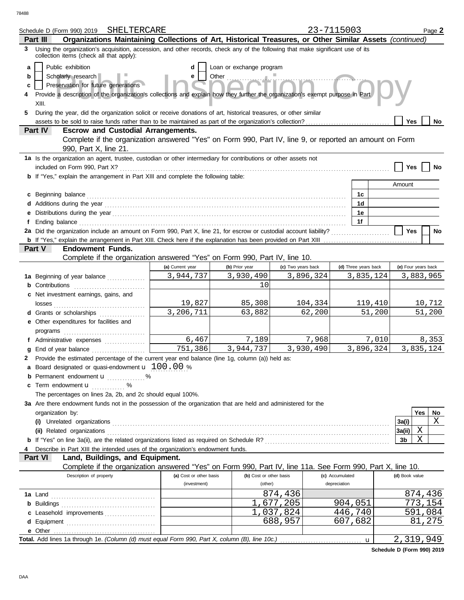|   | SHELTERCARE<br>Schedule D (Form 990) 2019                                                                                                                                                                                            |                         |                          |                    | 23-7115003           |           |                     |     | Page 2    |  |
|---|--------------------------------------------------------------------------------------------------------------------------------------------------------------------------------------------------------------------------------------|-------------------------|--------------------------|--------------------|----------------------|-----------|---------------------|-----|-----------|--|
|   | Organizations Maintaining Collections of Art, Historical Treasures, or Other Similar Assets (continued)<br>Part III                                                                                                                  |                         |                          |                    |                      |           |                     |     |           |  |
| 3 | Using the organization's acquisition, accession, and other records, check any of the following that make significant use of its<br>collection items (check all that apply):                                                          |                         |                          |                    |                      |           |                     |     |           |  |
| a | Public exhibition                                                                                                                                                                                                                    | d                       | Loan or exchange program |                    |                      |           |                     |     |           |  |
| b | Scholarly research                                                                                                                                                                                                                   | е                       | Other                    |                    |                      |           |                     |     |           |  |
| c | Preservation for future generations                                                                                                                                                                                                  |                         |                          |                    |                      |           |                     |     |           |  |
| 4 | Provide a description of the organization's collections and explain how they further the organization's exempt purpose in Part                                                                                                       |                         |                          |                    |                      |           |                     |     |           |  |
|   | XIII.                                                                                                                                                                                                                                |                         |                          |                    |                      |           |                     |     |           |  |
| 5 | During the year, did the organization solicit or receive donations of art, historical treasures, or other similar                                                                                                                    |                         |                          |                    |                      |           |                     |     |           |  |
|   | Yes<br>No.                                                                                                                                                                                                                           |                         |                          |                    |                      |           |                     |     |           |  |
|   | <b>Escrow and Custodial Arrangements.</b><br>Part IV                                                                                                                                                                                 |                         |                          |                    |                      |           |                     |     |           |  |
|   | Complete if the organization answered "Yes" on Form 990, Part IV, line 9, or reported an amount on Form<br>990, Part X, line 21.                                                                                                     |                         |                          |                    |                      |           |                     |     |           |  |
|   | 1a Is the organization an agent, trustee, custodian or other intermediary for contributions or other assets not                                                                                                                      |                         |                          |                    |                      |           |                     |     |           |  |
|   | included on Form 990, Part X?                                                                                                                                                                                                        |                         |                          |                    |                      |           | Yes                 |     | No        |  |
|   | b If "Yes," explain the arrangement in Part XIII and complete the following table:                                                                                                                                                   |                         |                          |                    |                      |           |                     |     |           |  |
|   |                                                                                                                                                                                                                                      |                         |                          |                    |                      |           | Amount              |     |           |  |
|   | c Beginning balance                                                                                                                                                                                                                  |                         |                          |                    | 1c                   |           |                     |     |           |  |
|   |                                                                                                                                                                                                                                      |                         |                          |                    | 1 <sub>d</sub>       |           |                     |     |           |  |
|   |                                                                                                                                                                                                                                      |                         |                          |                    | 1e                   |           |                     |     |           |  |
|   |                                                                                                                                                                                                                                      |                         |                          |                    | 1f                   |           |                     |     |           |  |
|   | 2a Did the organization include an amount on Form 990, Part X, line 21, for escrow or custodial account liability?<br>b If "Yes," explain the arrangement in Part XIII. Check here if the explanation has been provided on Part XIII |                         |                          |                    |                      |           | <b>Yes</b>          |     | No        |  |
|   | Part V<br><b>Endowment Funds.</b>                                                                                                                                                                                                    |                         |                          |                    |                      |           |                     |     |           |  |
|   | Complete if the organization answered "Yes" on Form 990, Part IV, line 10.                                                                                                                                                           |                         |                          |                    |                      |           |                     |     |           |  |
|   |                                                                                                                                                                                                                                      | (a) Current year        | (b) Prior year           | (c) Two years back | (d) Three years back |           | (e) Four years back |     |           |  |
|   | 1a Beginning of year balance                                                                                                                                                                                                         | 3,944,737               | 3,930,490                | 3,896,324          | 3,835,124            |           |                     |     | 3,883,965 |  |
|   | <b>b</b> Contributions                                                                                                                                                                                                               |                         | 10                       |                    |                      |           |                     |     |           |  |
|   | c Net investment earnings, gains, and                                                                                                                                                                                                |                         |                          |                    |                      |           |                     |     |           |  |
|   | losses                                                                                                                                                                                                                               | 19,827                  | 85,308                   | 104,334            |                      | 119,410   |                     |     | 10,712    |  |
|   | <b>d</b> Grants or scholarships                                                                                                                                                                                                      | $\overline{3,206,711}$  | 63,882                   | 62,200             |                      | 51,200    |                     |     | 51,200    |  |
|   | e Other expenditures for facilities and                                                                                                                                                                                              |                         |                          |                    |                      |           |                     |     |           |  |
|   |                                                                                                                                                                                                                                      |                         |                          |                    |                      |           |                     |     |           |  |
|   | f Administrative expenses                                                                                                                                                                                                            | 6,467                   | 7,189                    | 7,968              |                      | 7,010     |                     |     | 8,353     |  |
| q | End of year balance                                                                                                                                                                                                                  | 751,386                 | 3,944,737                | 3,930,490          |                      | 3,896,324 |                     |     | 3,835,124 |  |
|   | 2 Provide the estimated percentage of the current year end balance (line 1g, column (a)) held as:                                                                                                                                    |                         |                          |                    |                      |           |                     |     |           |  |
|   | <b>a</b> Board designated or quasi-endowment $\mathbf{u}$ 100.00 %                                                                                                                                                                   |                         |                          |                    |                      |           |                     |     |           |  |
|   | Permanent endowment <b>u</b> %                                                                                                                                                                                                       |                         |                          |                    |                      |           |                     |     |           |  |
|   | c Term endowment u<br>. %                                                                                                                                                                                                            |                         |                          |                    |                      |           |                     |     |           |  |
|   | The percentages on lines 2a, 2b, and 2c should equal 100%.                                                                                                                                                                           |                         |                          |                    |                      |           |                     |     |           |  |
|   | 3a Are there endowment funds not in the possession of the organization that are held and administered for the                                                                                                                        |                         |                          |                    |                      |           |                     | Yes |           |  |
|   | organization by:                                                                                                                                                                                                                     |                         |                          |                    |                      |           | 3a(i)               |     | No<br>X   |  |
|   | (ii) Related organizations                                                                                                                                                                                                           |                         |                          |                    |                      |           | 3a(ii)              | Χ   |           |  |
|   |                                                                                                                                                                                                                                      |                         |                          |                    |                      |           | 3b                  | X   |           |  |
|   | Describe in Part XIII the intended uses of the organization's endowment funds.                                                                                                                                                       |                         |                          |                    |                      |           |                     |     |           |  |
|   | Land, Buildings, and Equipment.<br>Part VI                                                                                                                                                                                           |                         |                          |                    |                      |           |                     |     |           |  |
|   | Complete if the organization answered "Yes" on Form 990, Part IV, line 11a. See Form 990, Part X, line 10.                                                                                                                           |                         |                          |                    |                      |           |                     |     |           |  |
|   | Description of property                                                                                                                                                                                                              | (a) Cost or other basis | (b) Cost or other basis  |                    | (c) Accumulated      |           | (d) Book value      |     |           |  |
|   |                                                                                                                                                                                                                                      | (investment)            | (other)                  |                    | depreciation         |           |                     |     |           |  |
|   |                                                                                                                                                                                                                                      |                         |                          | 874,436            |                      |           |                     |     | 874,436   |  |
|   |                                                                                                                                                                                                                                      |                         |                          | 1,677,205          | 904,051              |           |                     |     | 773,154   |  |
|   | c Leasehold improvements                                                                                                                                                                                                             |                         |                          | 1,037,824          | 446,740              |           |                     |     | 591,084   |  |
|   |                                                                                                                                                                                                                                      |                         |                          | 688,957            | 607,682              |           |                     |     | 81,275    |  |
|   |                                                                                                                                                                                                                                      |                         |                          |                    |                      |           |                     |     |           |  |
|   |                                                                                                                                                                                                                                      |                         |                          |                    |                      | u         | 2,319,949           |     |           |  |

**Schedule D (Form 990) 2019**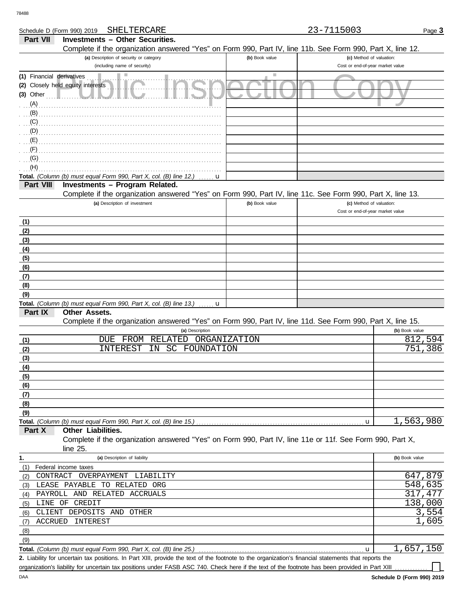DAA

| Schedule D (Form 990) 2019 | SHELTERCARE                                                                                                                                          |                             | 23-7115003                       | Page 3         |
|----------------------------|------------------------------------------------------------------------------------------------------------------------------------------------------|-----------------------------|----------------------------------|----------------|
| Part VII                   | <b>Investments - Other Securities.</b>                                                                                                               |                             |                                  |                |
|                            | Complete if the organization answered "Yes" on Form 990, Part IV, line 11b. See Form 990, Part X, line 12.                                           |                             |                                  |                |
|                            | (a) Description of security or category                                                                                                              | (b) Book value              | (c) Method of valuation:         |                |
|                            | (including name of security)                                                                                                                         |                             | Cost or end-of-year market value |                |
| (1) Financial derivatives  |                                                                                                                                                      | $\mathcal{L}_{\mathcal{A}}$ |                                  |                |
|                            | (2) Closely held equity interests                                                                                                                    |                             |                                  |                |
| $(3)$ Other                |                                                                                                                                                      |                             |                                  |                |
| (A)                        |                                                                                                                                                      |                             |                                  |                |
| (B)                        |                                                                                                                                                      |                             |                                  |                |
|                            |                                                                                                                                                      |                             |                                  |                |
| (C)                        |                                                                                                                                                      |                             |                                  |                |
| (D)                        |                                                                                                                                                      |                             |                                  |                |
| (E)                        |                                                                                                                                                      |                             |                                  |                |
| (F)                        |                                                                                                                                                      |                             |                                  |                |
| (G)                        |                                                                                                                                                      |                             |                                  |                |
| (H)                        |                                                                                                                                                      |                             |                                  |                |
|                            | Total. (Column (b) must equal Form 990, Part X, col. (B) line 12.)<br>u                                                                              |                             |                                  |                |
| Part VIII                  | Investments - Program Related.                                                                                                                       |                             |                                  |                |
|                            | Complete if the organization answered "Yes" on Form 990, Part IV, line 11c. See Form 990, Part X, line 13.                                           |                             |                                  |                |
|                            | (a) Description of investment                                                                                                                        | (b) Book value              | (c) Method of valuation:         |                |
|                            |                                                                                                                                                      |                             | Cost or end-of-year market value |                |
| (1)                        |                                                                                                                                                      |                             |                                  |                |
| (2)                        |                                                                                                                                                      |                             |                                  |                |
| (3)                        |                                                                                                                                                      |                             |                                  |                |
|                            |                                                                                                                                                      |                             |                                  |                |
| (4)                        |                                                                                                                                                      |                             |                                  |                |
| (5)                        |                                                                                                                                                      |                             |                                  |                |
| (6)                        |                                                                                                                                                      |                             |                                  |                |
| (7)                        |                                                                                                                                                      |                             |                                  |                |
| (8)                        |                                                                                                                                                      |                             |                                  |                |
| (9)                        |                                                                                                                                                      |                             |                                  |                |
|                            | Total. (Column (b) must equal Form 990, Part X, col. (B) line 13.)<br>u                                                                              |                             |                                  |                |
| Part IX                    | <b>Other Assets.</b>                                                                                                                                 |                             |                                  |                |
|                            | Complete if the organization answered "Yes" on Form 990, Part IV, line 11d. See Form 990, Part X, line 15.                                           |                             |                                  |                |
|                            | (a) Description                                                                                                                                      |                             |                                  | (b) Book value |
| (1)                        | FROM<br>RELATED<br><b>DUE</b>                                                                                                                        | <b>ORGANIZATION</b>         |                                  | 812,594        |
| (2)                        | INTEREST<br><b>SC</b><br>IN<br>FOUNDATION                                                                                                            |                             |                                  | 751<br>386     |
| (3)                        |                                                                                                                                                      |                             |                                  |                |
| (4)                        |                                                                                                                                                      |                             |                                  |                |
| (5)                        |                                                                                                                                                      |                             |                                  |                |
| (6)                        |                                                                                                                                                      |                             |                                  |                |
| (7)                        |                                                                                                                                                      |                             |                                  |                |
| (8)                        |                                                                                                                                                      |                             |                                  |                |
| (9)                        |                                                                                                                                                      |                             |                                  |                |
|                            |                                                                                                                                                      |                             | u                                | 1,563,980      |
| Part X                     | Other Liabilities.                                                                                                                                   |                             |                                  |                |
|                            | Complete if the organization answered "Yes" on Form 990, Part IV, line 11e or 11f. See Form 990, Part X,                                             |                             |                                  |                |
|                            | line 25.                                                                                                                                             |                             |                                  |                |
|                            |                                                                                                                                                      |                             |                                  |                |
| 1.                         | (a) Description of liability                                                                                                                         |                             |                                  | (b) Book value |
| (1)                        | Federal income taxes                                                                                                                                 |                             |                                  |                |
| (2)                        | CONTRACT OVERPAYMENT<br>LIABILITY                                                                                                                    |                             |                                  | 647,879        |
| (3)                        | LEASE PAYABLE TO RELATED ORG                                                                                                                         |                             |                                  | 548,635        |
| (4)                        | PAYROLL AND RELATED ACCRUALS                                                                                                                         |                             |                                  | 317,477        |
|                            | (5) LINE OF CREDIT                                                                                                                                   |                             |                                  | 138,000        |
| (6)                        | CLIENT DEPOSITS AND<br>OTHER                                                                                                                         |                             |                                  | 3,554          |
| ACCRUED<br>(7)             | INTEREST                                                                                                                                             |                             |                                  | 1,605          |
| (8)                        |                                                                                                                                                      |                             |                                  |                |
| (9)                        |                                                                                                                                                      |                             |                                  |                |
|                            | Total. (Column (b) must equal Form 990, Part X, col. (B) line 25.)                                                                                   |                             | u                                | 1,657,150      |
|                            | 2. Liability for uncertain tax positions. In Part XIII, provide the text of the footnote to the organization's financial statements that reports the |                             |                                  |                |

organization's liability for uncertain tax positions under FASB ASC 740. Check here if the text of the footnote has been provided in Part XIII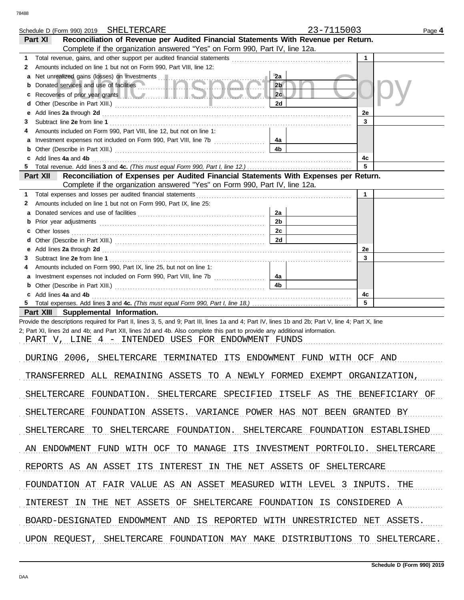|        | Schedule D (Form 990) 2019 SHELTERCARE                                                                                                                                                                                         | 23-7115003           |              | Page 4 |
|--------|--------------------------------------------------------------------------------------------------------------------------------------------------------------------------------------------------------------------------------|----------------------|--------------|--------|
|        | Reconciliation of Revenue per Audited Financial Statements With Revenue per Return.<br>Part XI                                                                                                                                 |                      |              |        |
|        | Complete if the organization answered "Yes" on Form 990, Part IV, line 12a.                                                                                                                                                    |                      |              |        |
| 1<br>2 | Amounts included on line 1 but not on Form 990, Part VIII, line 12:                                                                                                                                                            |                      | $\mathbf{1}$ |        |
| а      | Net unrealized gains (losses) on investments [11]                                                                                                                                                                              | 2a                   |              |        |
| b      | Donated services and use of facilities                                                                                                                                                                                         | 2 <sub>b</sub>       |              |        |
| c      | Recoveries of prior year grants <b>All Constitution and Constitution</b> Recoveries of prior year                                                                                                                              | 2c                   |              |        |
| d      |                                                                                                                                                                                                                                | 2d                   |              |        |
| е      | Add lines 2a through 2d [11] Add [12] Add [12] Add lines 2a through 2d [12] Add lines 2a through 2d                                                                                                                            |                      | 2e           |        |
| З      |                                                                                                                                                                                                                                |                      | 3            |        |
| 4      | Amounts included on Form 990, Part VIII, line 12, but not on line 1:                                                                                                                                                           | 4a                   |              |        |
| а<br>b |                                                                                                                                                                                                                                | 4 <sub>b</sub>       |              |        |
| c      | Add lines 4a and 4b                                                                                                                                                                                                            |                      | 4c           |        |
| 5      |                                                                                                                                                                                                                                |                      | 5            |        |
|        | Reconciliation of Expenses per Audited Financial Statements With Expenses per Return.<br>Part XII                                                                                                                              |                      |              |        |
|        | Complete if the organization answered "Yes" on Form 990, Part IV, line 12a.                                                                                                                                                    |                      |              |        |
| 1      | Total expenses and losses per audited financial statements                                                                                                                                                                     |                      | $\mathbf{1}$ |        |
| 2      | Amounts included on line 1 but not on Form 990, Part IX, line 25:                                                                                                                                                              |                      |              |        |
| a<br>b |                                                                                                                                                                                                                                | 2a<br>2 <sub>b</sub> |              |        |
| c.     |                                                                                                                                                                                                                                | 2c                   |              |        |
| d      |                                                                                                                                                                                                                                | 2d                   |              |        |
| е      | Add lines 2a through 2d [11] Additional Contract of Additional Contract of Additional Contract of Additional Contract of Additional Contract of Additional Contract of Additional Contract of Additional Contract of Additiona |                      | 2e           |        |
| З      |                                                                                                                                                                                                                                |                      | 3            |        |
| 4      | Amounts included on Form 990, Part IX, line 25, but not on line 1:                                                                                                                                                             |                      |              |        |
| а      |                                                                                                                                                                                                                                | 4a                   |              |        |
| b      |                                                                                                                                                                                                                                | 4 <sub>b</sub>       |              |        |
| 5.     | c Add lines 4a and 4b                                                                                                                                                                                                          |                      | 4c<br>5      |        |
|        | Part XIII Supplemental Information.                                                                                                                                                                                            |                      |              |        |
|        | Provide the descriptions required for Part II, lines 3, 5, and 9; Part III, lines 1a and 4; Part IV, lines 1b and 2b; Part V, line 4; Part X, line                                                                             |                      |              |        |
|        | 2; Part XI, lines 2d and 4b; and Part XII, lines 2d and 4b. Also complete this part to provide any additional information.                                                                                                     |                      |              |        |
|        | PART V, LINE 4 - INTENDED USES FOR ENDOWMENT FUNDS                                                                                                                                                                             |                      |              |        |
|        |                                                                                                                                                                                                                                |                      |              |        |
|        | DURING 2006, SHELTERCARE TERMINATED ITS ENDOWMENT FUND WITH OCF AND                                                                                                                                                            |                      |              |        |
|        | TRANSFERRED ALL REMAINING ASSETS TO A NEWLY FORMED EXEMPT ORGANIZATION,                                                                                                                                                        |                      |              |        |
|        | SHELTERCARE FOUNDATION. SHELTERCARE SPECIFIED ITSELF AS THE BENEFICIARY OF                                                                                                                                                     |                      |              |        |
|        | SHELTERCARE FOUNDATION ASSETS. VARIANCE POWER HAS NOT BEEN GRANTED BY                                                                                                                                                          |                      |              |        |
|        | SHELTERCARE TO SHELTERCARE FOUNDATION. SHELTERCARE FOUNDATION ESTABLISHED                                                                                                                                                      |                      |              |        |
|        | AN ENDOWMENT FUND WITH OCF TO MANAGE ITS INVESTMENT PORTFOLIO. SHELTERCARE                                                                                                                                                     |                      |              |        |
|        | REPORTS AS AN ASSET ITS INTEREST IN THE NET ASSETS OF SHELTERCARE                                                                                                                                                              |                      |              |        |
|        | FOUNDATION AT FAIR VALUE AS AN ASSET MEASURED WITH LEVEL 3 INPUTS. THE                                                                                                                                                         |                      |              |        |
|        | INTEREST IN THE NET ASSETS OF SHELTERCARE FOUNDATION IS CONSIDERED A                                                                                                                                                           |                      |              |        |
|        |                                                                                                                                                                                                                                |                      |              |        |
|        | BOARD-DESIGNATED ENDOWMENT AND IS REPORTED WITH UNRESTRICTED NET ASSETS.                                                                                                                                                       |                      |              |        |
|        | UPON REQUEST, SHELTERCARE FOUNDATION MAY MAKE DISTRIBUTIONS TO SHELTERCARE.                                                                                                                                                    |                      |              |        |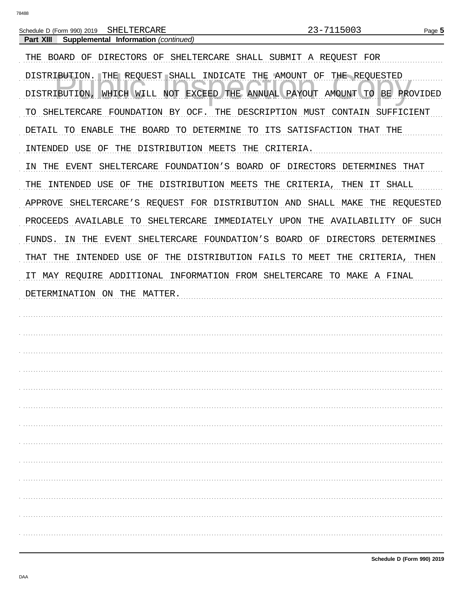Part XIII Supplemental Information (continued)

| THE BOARD OF DIRECTORS OF SHELTERCARE SHALL SUBMIT A REOUEST FOR                                 |
|--------------------------------------------------------------------------------------------------|
| DISTRIBUTION. THE REQUEST SHALL INDICATE THE AMOUNT OF THE REQUESTED                             |
| EXCEED THE ANNUAL PAYOUT AMOUNT TO<br><b>BE</b><br>DISTRIBUTION<br>WHICH WILL<br>NOT<br>PROVIDED |
| FOUNDATION BY OCF.<br>THE DESCRIPTION MUST CONTAIN<br>SHELTERCARE<br>SUFFICIENT<br>TO            |
| THE BOARD TO DETERMINE TO ITS SATISFACTION THAT THE<br>DETAIL TO ENABLE                          |
| OF THE DISTRIBUTION MEETS THE<br>CRITERIA.<br>INTENDED USE                                       |
| THE<br>EVENT<br>SHELTERCARE FOUNDATION'S BOARD OF DIRECTORS DETERMINES THAT<br>ΙN                |
| USE OF THE DISTRIBUTION MEETS THE CRITERIA, THEN<br>THE<br>IT SHALL<br>INTENDED                  |
| APPROVE<br>SHELTERCARE'S REQUEST FOR DISTRIBUTION AND SHALL MAKE<br>THE<br>REQUESTED             |
| PROCEEDS AVAILABLE<br>TO SHELTERCARE<br>IMMEDIATELY UPON THE AVAILABILITY OF SUCH                |
| IN THE EVENT<br>SHELTERCARE FOUNDATION'S BOARD OF DIRECTORS DETERMINES<br>FUNDS.                 |
| INTENDED USE OF THE DISTRIBUTION FAILS TO MEET<br>THE CRITERIA, THEN<br>THAT<br>THE              |
| IT MAY REQUIRE ADDITIONAL INFORMATION FROM SHELTERCARE TO MAKE A FINAL                           |
|                                                                                                  |
| DETERMINATION ON THE MATTER.                                                                     |
|                                                                                                  |
|                                                                                                  |
|                                                                                                  |
|                                                                                                  |
|                                                                                                  |
|                                                                                                  |
|                                                                                                  |
|                                                                                                  |
|                                                                                                  |
|                                                                                                  |
|                                                                                                  |
|                                                                                                  |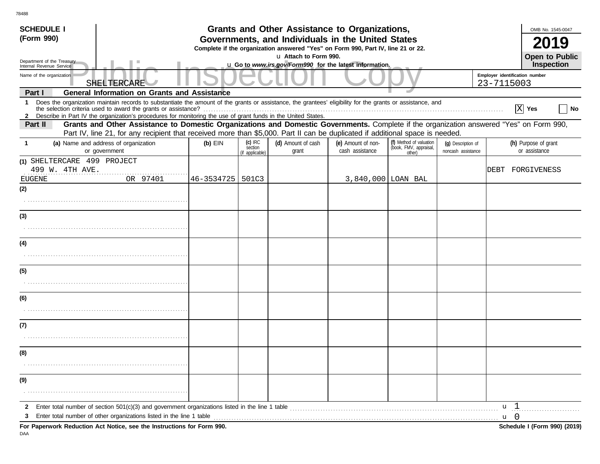| <b>SCHEDULE I</b><br>(Form 990)                      |                                                                                                                                                                                                                                                                                                                                                 | <b>Grants and Other Assistance to Organizations,</b><br>Governments, and Individuals in the United States<br>Complete if the organization answered "Yes" on Form 990, Part IV, line 21 or 22. |                                         | OMB No. 1545-0047                                                                |                                       |                                                             |                                          |                                              |                                       |  |  |
|------------------------------------------------------|-------------------------------------------------------------------------------------------------------------------------------------------------------------------------------------------------------------------------------------------------------------------------------------------------------------------------------------------------|-----------------------------------------------------------------------------------------------------------------------------------------------------------------------------------------------|-----------------------------------------|----------------------------------------------------------------------------------|---------------------------------------|-------------------------------------------------------------|------------------------------------------|----------------------------------------------|---------------------------------------|--|--|
|                                                      | Department of the Treasury                                                                                                                                                                                                                                                                                                                      |                                                                                                                                                                                               |                                         | u Attach to Form 990.<br>u Go to www.irs.gov/Form990 for the latest information. |                                       |                                                             |                                          |                                              | Open to Public<br>Inspection          |  |  |
| Internal Revenue Service<br>Name of the organization | SHELTERCARE                                                                                                                                                                                                                                                                                                                                     |                                                                                                                                                                                               |                                         |                                                                                  |                                       |                                                             |                                          | Employer identification number<br>23-7115003 |                                       |  |  |
| Part I                                               | <b>General Information on Grants and Assistance</b>                                                                                                                                                                                                                                                                                             |                                                                                                                                                                                               |                                         |                                                                                  |                                       |                                                             |                                          |                                              |                                       |  |  |
| $\mathbf{1}$                                         | Does the organization maintain records to substantiate the amount of the grants or assistance, the grantees' eligibility for the grants or assistance, and<br>the selection criteria used to award the grants or assistance?<br>2 Describe in Part IV the organization's procedures for monitoring the use of grant funds in the United States. |                                                                                                                                                                                               |                                         |                                                                                  |                                       |                                                             |                                          | <b>X</b>                                     | Yes<br>  No                           |  |  |
| Part II                                              | Grants and Other Assistance to Domestic Organizations and Domestic Governments. Complete if the organization answered "Yes" on Form 990,<br>Part IV, line 21, for any recipient that received more than \$5,000. Part II can be duplicated if additional space is needed.                                                                       |                                                                                                                                                                                               |                                         |                                                                                  |                                       |                                                             |                                          |                                              |                                       |  |  |
| $\mathbf 1$                                          | (a) Name and address of organization<br>or government                                                                                                                                                                                                                                                                                           | $(b)$ EIN                                                                                                                                                                                     | $(c)$ IRC<br>section<br>(if applicable) | (d) Amount of cash<br>grant                                                      | (e) Amount of non-<br>cash assistance | (f) Method of valuation<br>(book, FMV, appraisal,<br>other) | (q) Description of<br>noncash assistance |                                              | (h) Purpose of grant<br>or assistance |  |  |
|                                                      | (1) SHELTERCARE 499 PROJECT<br>499 W. 4TH AVE.                                                                                                                                                                                                                                                                                                  |                                                                                                                                                                                               |                                         |                                                                                  |                                       |                                                             |                                          |                                              | DEBT FORGIVENESS                      |  |  |
| EUGENE<br>(2)                                        | OR 97401                                                                                                                                                                                                                                                                                                                                        | 46-3534725   501C3                                                                                                                                                                            |                                         |                                                                                  | 3,840,000 LOAN BAL                    |                                                             |                                          |                                              |                                       |  |  |
|                                                      |                                                                                                                                                                                                                                                                                                                                                 |                                                                                                                                                                                               |                                         |                                                                                  |                                       |                                                             |                                          |                                              |                                       |  |  |
| (3)                                                  |                                                                                                                                                                                                                                                                                                                                                 |                                                                                                                                                                                               |                                         |                                                                                  |                                       |                                                             |                                          |                                              |                                       |  |  |
|                                                      |                                                                                                                                                                                                                                                                                                                                                 |                                                                                                                                                                                               |                                         |                                                                                  |                                       |                                                             |                                          |                                              |                                       |  |  |
| (4)                                                  |                                                                                                                                                                                                                                                                                                                                                 |                                                                                                                                                                                               |                                         |                                                                                  |                                       |                                                             |                                          |                                              |                                       |  |  |
|                                                      |                                                                                                                                                                                                                                                                                                                                                 |                                                                                                                                                                                               |                                         |                                                                                  |                                       |                                                             |                                          |                                              |                                       |  |  |
| (5)                                                  |                                                                                                                                                                                                                                                                                                                                                 |                                                                                                                                                                                               |                                         |                                                                                  |                                       |                                                             |                                          |                                              |                                       |  |  |
|                                                      |                                                                                                                                                                                                                                                                                                                                                 |                                                                                                                                                                                               |                                         |                                                                                  |                                       |                                                             |                                          |                                              |                                       |  |  |
| (6)                                                  |                                                                                                                                                                                                                                                                                                                                                 |                                                                                                                                                                                               |                                         |                                                                                  |                                       |                                                             |                                          |                                              |                                       |  |  |
|                                                      |                                                                                                                                                                                                                                                                                                                                                 |                                                                                                                                                                                               |                                         |                                                                                  |                                       |                                                             |                                          |                                              |                                       |  |  |
| (7)                                                  |                                                                                                                                                                                                                                                                                                                                                 |                                                                                                                                                                                               |                                         |                                                                                  |                                       |                                                             |                                          |                                              |                                       |  |  |
|                                                      |                                                                                                                                                                                                                                                                                                                                                 |                                                                                                                                                                                               |                                         |                                                                                  |                                       |                                                             |                                          |                                              |                                       |  |  |
| (8)                                                  |                                                                                                                                                                                                                                                                                                                                                 |                                                                                                                                                                                               |                                         |                                                                                  |                                       |                                                             |                                          |                                              |                                       |  |  |
|                                                      |                                                                                                                                                                                                                                                                                                                                                 |                                                                                                                                                                                               |                                         |                                                                                  |                                       |                                                             |                                          |                                              |                                       |  |  |
| (9)                                                  |                                                                                                                                                                                                                                                                                                                                                 |                                                                                                                                                                                               |                                         |                                                                                  |                                       |                                                             |                                          |                                              |                                       |  |  |
|                                                      |                                                                                                                                                                                                                                                                                                                                                 |                                                                                                                                                                                               |                                         |                                                                                  |                                       |                                                             |                                          |                                              |                                       |  |  |
| $\mathbf{2}$<br>3                                    | Enter total number of section 501(c)(3) and government organizations listed in the line 1 table enterpresent content to the section of the line 1 table                                                                                                                                                                                         |                                                                                                                                                                                               |                                         |                                                                                  |                                       |                                                             |                                          | u <sub>1</sub><br>$\mathbf{u}$ 0             |                                       |  |  |
|                                                      | For Paperwork Reduction Act Notice, see the Instructions for Form 990.                                                                                                                                                                                                                                                                          |                                                                                                                                                                                               |                                         |                                                                                  |                                       |                                                             |                                          |                                              | Schedule I (Form 990) (2019)          |  |  |

DAA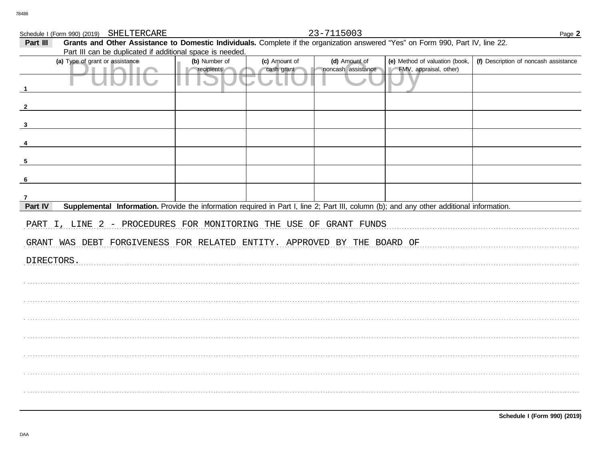Schedule I (Form 990) (2019) SHELTERCARE

23-7115003

| Part III<br>Grants and Other Assistance to Domestic Individuals. Complete if the organization answered "Yes" on Form 990, Part IV, line 22.<br>Part III can be duplicated if additional space is needed. |                                                                                                                                           |               |               |                    |                                |                                       |  |  |  |
|----------------------------------------------------------------------------------------------------------------------------------------------------------------------------------------------------------|-------------------------------------------------------------------------------------------------------------------------------------------|---------------|---------------|--------------------|--------------------------------|---------------------------------------|--|--|--|
|                                                                                                                                                                                                          | (a) Type of grant or assistance                                                                                                           | (b) Number of | (c) Amount of | (d) Amount of      | (e) Method of valuation (book, | (f) Description of noncash assistance |  |  |  |
|                                                                                                                                                                                                          |                                                                                                                                           | recipients    | cash grant    | noncash assistance | FMV, appraisal, other)         |                                       |  |  |  |
|                                                                                                                                                                                                          |                                                                                                                                           |               |               |                    |                                |                                       |  |  |  |
|                                                                                                                                                                                                          |                                                                                                                                           |               |               |                    |                                |                                       |  |  |  |
|                                                                                                                                                                                                          |                                                                                                                                           |               |               |                    |                                |                                       |  |  |  |
|                                                                                                                                                                                                          |                                                                                                                                           |               |               |                    |                                |                                       |  |  |  |
| -5                                                                                                                                                                                                       |                                                                                                                                           |               |               |                    |                                |                                       |  |  |  |
| -6                                                                                                                                                                                                       |                                                                                                                                           |               |               |                    |                                |                                       |  |  |  |
| 7                                                                                                                                                                                                        |                                                                                                                                           |               |               |                    |                                |                                       |  |  |  |
| Part IV                                                                                                                                                                                                  | Supplemental Information. Provide the information required in Part I, line 2; Part III, column (b); and any other additional information. |               |               |                    |                                |                                       |  |  |  |
|                                                                                                                                                                                                          | PART I, LINE 2 - PROCEDURES FOR MONITORING THE USE OF GRANT FUNDS                                                                         |               |               |                    |                                |                                       |  |  |  |
|                                                                                                                                                                                                          | GRANT WAS DEBT FORGIVENESS FOR RELATED ENTITY. APPROVED BY THE BOARD OF                                                                   |               |               |                    |                                |                                       |  |  |  |
| DIRECTORS.                                                                                                                                                                                               |                                                                                                                                           |               |               |                    |                                |                                       |  |  |  |
|                                                                                                                                                                                                          |                                                                                                                                           |               |               |                    |                                |                                       |  |  |  |
|                                                                                                                                                                                                          |                                                                                                                                           |               |               |                    |                                |                                       |  |  |  |
|                                                                                                                                                                                                          |                                                                                                                                           |               |               |                    |                                |                                       |  |  |  |
|                                                                                                                                                                                                          |                                                                                                                                           |               |               |                    |                                |                                       |  |  |  |
|                                                                                                                                                                                                          |                                                                                                                                           |               |               |                    |                                |                                       |  |  |  |
|                                                                                                                                                                                                          |                                                                                                                                           |               |               |                    |                                |                                       |  |  |  |
|                                                                                                                                                                                                          |                                                                                                                                           |               |               |                    |                                |                                       |  |  |  |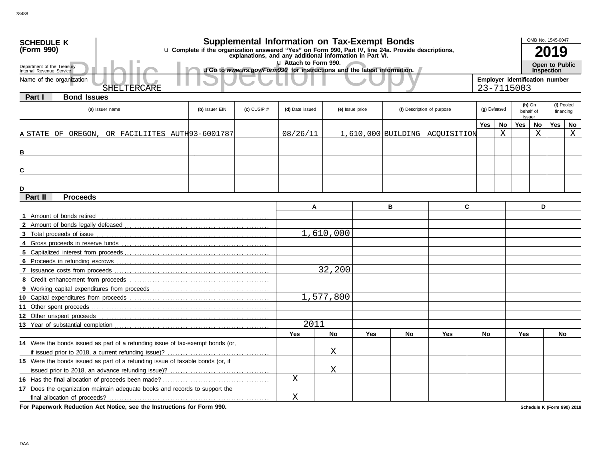| <b>SCHEDULE K</b>                                                                                                                                                             |                |                 | <b>Supplemental Information on Tax-Exempt Bonds</b>                     |                 |     |    |                                |                                              |    |               | OMB No. 1545-0047 |                |            |
|-------------------------------------------------------------------------------------------------------------------------------------------------------------------------------|----------------|-----------------|-------------------------------------------------------------------------|-----------------|-----|----|--------------------------------|----------------------------------------------|----|---------------|-------------------|----------------|------------|
| u Complete if the organization answered "Yes" on Form 990, Part IV, line 24a. Provide descriptions,<br>(Form 990)<br>explanations, and any additional information in Part VI. |                |                 |                                                                         |                 |     |    |                                |                                              |    |               |                   | 2019           |            |
|                                                                                                                                                                               |                |                 | Lu Attach to Form 990.                                                  |                 |     |    |                                |                                              |    |               |                   | Open to Public |            |
| Department of the Treasury<br>Internal Revenue Service                                                                                                                        |                |                 | uGo to www.irs.gov/Form990 for instructions and the latest information. |                 |     |    |                                | <b>Inspection</b>                            |    |               |                   |                |            |
| Name of the organization                                                                                                                                                      |                |                 |                                                                         |                 |     |    |                                | Employer identification number<br>23-7115003 |    |               |                   |                |            |
| SHELTERCARE                                                                                                                                                                   |                |                 |                                                                         |                 |     |    |                                |                                              |    |               |                   |                |            |
| <b>Bond Issues</b><br>Part I                                                                                                                                                  |                |                 |                                                                         |                 |     |    |                                |                                              |    | $(h)$ On      |                   |                | (i) Pooled |
| (a) Issuer name                                                                                                                                                               | (b) Issuer EIN | $(c)$ CUSIP $#$ | (d) Date issued                                                         | (e) Issue price |     |    | (f) Description of purpose     | (g) Defeased                                 |    |               | behalf of         |                | financing  |
|                                                                                                                                                                               |                |                 |                                                                         |                 |     |    |                                | Yes                                          | No | issuer<br>Yes | No                | Yes            | No         |
| A STATE OF OREGON, OR FACILIITES AUTH93-6001787                                                                                                                               |                |                 | 08/26/11                                                                |                 |     |    | 1,610,000 BUILDING ACQUISITION |                                              | X  |               | $\rm X$           |                | X          |
|                                                                                                                                                                               |                |                 |                                                                         |                 |     |    |                                |                                              |    |               |                   |                |            |
| В                                                                                                                                                                             |                |                 |                                                                         |                 |     |    |                                |                                              |    |               |                   |                |            |
|                                                                                                                                                                               |                |                 |                                                                         |                 |     |    |                                |                                              |    |               |                   |                |            |
| C                                                                                                                                                                             |                |                 |                                                                         |                 |     |    |                                |                                              |    |               |                   |                |            |
|                                                                                                                                                                               |                |                 |                                                                         |                 |     |    |                                |                                              |    |               |                   |                |            |
| D                                                                                                                                                                             |                |                 |                                                                         |                 |     |    |                                |                                              |    |               |                   |                |            |
| Part II<br><b>Proceeds</b>                                                                                                                                                    |                |                 |                                                                         |                 |     |    |                                |                                              |    |               |                   |                |            |
|                                                                                                                                                                               |                |                 | A                                                                       |                 |     | в  | C                              |                                              |    |               | D                 |                |            |
| 1 Amount of bonds retired                                                                                                                                                     |                |                 |                                                                         |                 |     |    |                                |                                              |    |               |                   |                |            |
|                                                                                                                                                                               |                |                 |                                                                         |                 |     |    |                                |                                              |    |               |                   |                |            |
|                                                                                                                                                                               |                |                 |                                                                         | 1,610,000       |     |    |                                |                                              |    |               |                   |                |            |
|                                                                                                                                                                               |                |                 |                                                                         |                 |     |    |                                |                                              |    |               |                   |                |            |
|                                                                                                                                                                               |                |                 |                                                                         |                 |     |    |                                |                                              |    |               |                   |                |            |
|                                                                                                                                                                               |                |                 |                                                                         | 32,200          |     |    |                                |                                              |    |               |                   |                |            |
|                                                                                                                                                                               |                |                 |                                                                         |                 |     |    |                                |                                              |    |               |                   |                |            |
|                                                                                                                                                                               |                |                 |                                                                         |                 |     |    |                                |                                              |    |               |                   |                |            |
|                                                                                                                                                                               |                |                 |                                                                         | 1,577,800       |     |    |                                |                                              |    |               |                   |                |            |
|                                                                                                                                                                               |                |                 |                                                                         |                 |     |    |                                |                                              |    |               |                   |                |            |
| 12 Other unspent proceeds                                                                                                                                                     |                |                 |                                                                         |                 |     |    |                                |                                              |    |               |                   |                |            |
|                                                                                                                                                                               |                |                 | 2011                                                                    |                 |     |    |                                |                                              |    |               |                   |                |            |
|                                                                                                                                                                               |                |                 | Yes                                                                     | <b>No</b>       | Yes | No | Yes                            | No                                           |    | <b>Yes</b>    |                   | No             |            |
| 14 Were the bonds issued as part of a refunding issue of tax-exempt bonds (or,                                                                                                |                |                 |                                                                         |                 |     |    |                                |                                              |    |               |                   |                |            |
|                                                                                                                                                                               |                |                 |                                                                         | Χ               |     |    |                                |                                              |    |               |                   |                |            |
| 15 Were the bonds issued as part of a refunding issue of taxable bonds (or, if                                                                                                |                |                 |                                                                         |                 |     |    |                                |                                              |    |               |                   |                |            |
|                                                                                                                                                                               |                |                 |                                                                         | Χ               |     |    |                                |                                              |    |               |                   |                |            |
|                                                                                                                                                                               |                |                 | Χ                                                                       |                 |     |    |                                |                                              |    |               |                   |                |            |
| 17 Does the organization maintain adequate books and records to support the                                                                                                   |                |                 |                                                                         |                 |     |    |                                |                                              |    |               |                   |                |            |
|                                                                                                                                                                               |                |                 | Χ                                                                       |                 |     |    |                                |                                              |    |               |                   |                |            |

**For Paperwork Reduction Act Notice, see the Instructions for Form 990.**

**Schedule K (Form 990) 2019**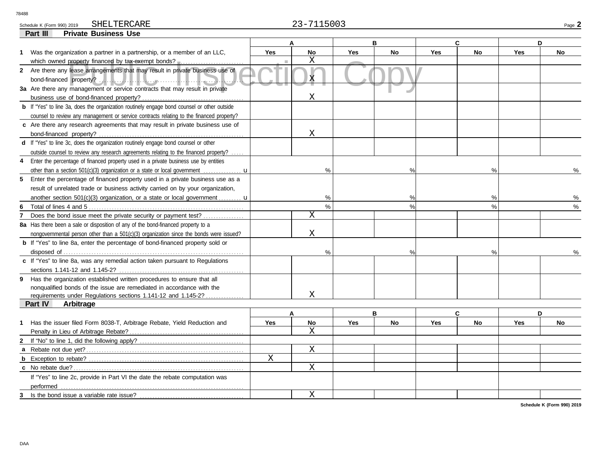Schedule K (Form 990) 2019 Page **2** SHELTERCARE 23-7115003

|                | <b>Private Business Use</b><br>Part III                                                                |             |                |            |               |            |           |            |               |
|----------------|--------------------------------------------------------------------------------------------------------|-------------|----------------|------------|---------------|------------|-----------|------------|---------------|
|                |                                                                                                        | C<br>B<br>D |                |            |               |            |           |            |               |
|                | 1 Was the organization a partner in a partnership, or a member of an LLC,                              | <b>Yes</b>  | <b>No</b>      | <b>Yes</b> | <b>No</b>     | <b>Yes</b> | <b>No</b> | <b>Yes</b> | <b>No</b>     |
|                | which owned property financed by tax-exempt bonds?                                                     |             | X              |            |               |            |           |            |               |
|                | 2 Are there any lease arrangements that may result in private business use of                          |             |                |            |               |            |           |            |               |
|                |                                                                                                        |             | X              |            |               |            |           |            |               |
|                | 3a Are there any management or service contracts that may result in private                            |             |                |            |               |            |           |            |               |
|                |                                                                                                        |             | Χ              |            |               |            |           |            |               |
|                | <b>b</b> If "Yes" to line 3a, does the organization routinely engage bond counsel or other outside     |             |                |            |               |            |           |            |               |
|                | counsel to review any management or service contracts relating to the financed property?               |             |                |            |               |            |           |            |               |
|                | c Are there any research agreements that may result in private business use of                         |             |                |            |               |            |           |            |               |
|                |                                                                                                        |             | X              |            |               |            |           |            |               |
|                | d If "Yes" to line 3c, does the organization routinely engage bond counsel or other                    |             |                |            |               |            |           |            |               |
|                | outside counsel to review any research agreements relating to the financed property?                   |             |                |            |               |            |           |            |               |
| 4              | Enter the percentage of financed property used in a private business use by entities                   |             |                |            |               |            |           |            |               |
|                | other than a section 501(c)(3) organization or a state or local government $\dots\dots\dots\dots\dots$ |             | %              |            | $\frac{0}{0}$ |            | %         |            | $\frac{0}{6}$ |
|                | 5 Enter the percentage of financed property used in a private business use as a                        |             |                |            |               |            |           |            |               |
|                | result of unrelated trade or business activity carried on by your organization,                        |             |                |            |               |            |           |            |               |
|                | another section 501(c)(3) organization, or a state or local government <b>u</b>                        |             | %              |            | $\%$          |            | %         |            |               |
| 6              |                                                                                                        |             | $\%$           |            | $\frac{0}{0}$ |            | $\%$      |            | %             |
| $\overline{7}$ | Does the bond issue meet the private security or payment test?                                         |             | X              |            |               |            |           |            |               |
|                | 8a Has there been a sale or disposition of any of the bond-financed property to a                      |             |                |            |               |            |           |            |               |
|                | nongovernmental person other than a 501(c)(3) organization since the bonds were issued?                |             | X              |            |               |            |           |            |               |
|                | <b>b</b> If "Yes" to line 8a, enter the percentage of bond-financed property sold or                   |             |                |            |               |            |           |            |               |
|                |                                                                                                        |             | %              |            | $\frac{0}{0}$ |            | %         |            |               |
|                | c If "Yes" to line 8a, was any remedial action taken pursuant to Regulations                           |             |                |            |               |            |           |            |               |
|                |                                                                                                        |             |                |            |               |            |           |            |               |
|                | 9 Has the organization established written procedures to ensure that all                               |             |                |            |               |            |           |            |               |
|                | nonqualified bonds of the issue are remediated in accordance with the                                  |             |                |            |               |            |           |            |               |
|                | requirements under Requlations sections 1.141-12 and 1.145-2?                                          |             | X              |            |               |            |           |            |               |
|                | Part IV<br>Arbitrage                                                                                   |             |                |            |               |            |           |            |               |
|                |                                                                                                        |             | A              | в          |               |            | C         |            | D             |
| $\mathbf{1}$   | Has the issuer filed Form 8038-T, Arbitrage Rebate, Yield Reduction and                                | <b>Yes</b>  | No             | Yes        | No            | Yes        | <b>No</b> | Yes        | <b>No</b>     |
|                | Penalty in Lieu of Arbitrage Rebate?                                                                   |             | $\overline{X}$ |            |               |            |           |            |               |
| 2              |                                                                                                        |             |                |            |               |            |           |            |               |
|                |                                                                                                        |             | $\mathbf X$    |            |               |            |           |            |               |
|                |                                                                                                        | $\mathbf X$ |                |            |               |            |           |            |               |
|                |                                                                                                        |             | $\mathbf X$    |            |               |            |           |            |               |
|                | If "Yes" to line 2c, provide in Part VI the date the rebate computation was                            |             |                |            |               |            |           |            |               |
|                | performed                                                                                              |             |                |            |               |            |           |            |               |
| 3              | Is the bond issue a variable rate issue?                                                               |             | X              |            |               |            |           |            |               |

**Schedule K (Form 990) 2019**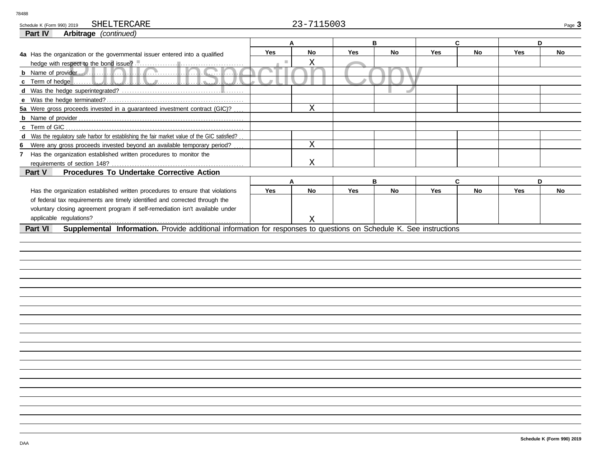Schedule K (Form 990) 2019 SHELTERCARE 23-7115003 SHELTERCARE

**A B C D**

| Part IV | <b>Arbitrage</b> (continued)                                         |  |
|---------|----------------------------------------------------------------------|--|
|         |                                                                      |  |
|         | 4a Has the organization or the governmental issuer entered into a gu |  |

| 4a Has the organization or the governmental issuer entered into a qualified                                                                                                                                                                                                                                                                | Yes        | <b>No</b> | Yes | <b>No</b> | Yes        | <b>No</b> | <b>Yes</b> | <b>No</b> |
|--------------------------------------------------------------------------------------------------------------------------------------------------------------------------------------------------------------------------------------------------------------------------------------------------------------------------------------------|------------|-----------|-----|-----------|------------|-----------|------------|-----------|
|                                                                                                                                                                                                                                                                                                                                            |            | Х         |     |           |            |           |            |           |
|                                                                                                                                                                                                                                                                                                                                            |            |           |     |           |            |           |            |           |
| c Term of hedge $\begin{bmatrix} 1 & 1 \\ 1 & 1 \\ 1 & 1 \\ 1 & 1 \\ 1 & 1 \\ 1 & 1 \\ 1 & 1 \\ 1 & 1 \\ 1 & 1 \\ 1 & 1 \\ 1 & 1 \\ 1 & 1 \\ 1 & 1 \\ 1 & 1 \\ 1 & 1 \\ 1 & 1 \\ 1 & 1 \\ 1 & 1 \\ 1 & 1 \\ 1 & 1 \\ 1 & 1 \\ 1 & 1 \\ 1 & 1 \\ 1 & 1 \\ 1 & 1 \\ 1 & 1 \\ 1 & 1 \\ 1 & 1 \\ 1 & 1 \\ 1 & 1 \\ 1 & 1 \\ 1 & 1 \\ 1 & 1 \\$ |            |           |     |           |            |           |            |           |
|                                                                                                                                                                                                                                                                                                                                            |            |           |     |           |            |           |            |           |
|                                                                                                                                                                                                                                                                                                                                            |            |           |     |           |            |           |            |           |
| 5a Were gross proceeds invested in a guaranteed investment contract (GIC)?                                                                                                                                                                                                                                                                 |            | Χ         |     |           |            |           |            |           |
|                                                                                                                                                                                                                                                                                                                                            |            |           |     |           |            |           |            |           |
|                                                                                                                                                                                                                                                                                                                                            |            |           |     |           |            |           |            |           |
| d Was the regulatory safe harbor for establishing the fair market value of the GIC satisfied?                                                                                                                                                                                                                                              |            |           |     |           |            |           |            |           |
| 6 Were any gross proceeds invested beyond an available temporary period?                                                                                                                                                                                                                                                                   |            | Χ         |     |           |            |           |            |           |
| Has the organization established written procedures to monitor the                                                                                                                                                                                                                                                                         |            |           |     |           |            |           |            |           |
|                                                                                                                                                                                                                                                                                                                                            |            | Χ         |     |           |            |           |            |           |
|                                                                                                                                                                                                                                                                                                                                            |            |           |     |           |            |           |            |           |
| Procedures To Undertake Corrective Action<br>Part V                                                                                                                                                                                                                                                                                        |            |           |     |           |            |           |            |           |
|                                                                                                                                                                                                                                                                                                                                            |            | А         |     | в         |            | C         |            | D         |
| Has the organization established written procedures to ensure that violations                                                                                                                                                                                                                                                              | <b>Yes</b> | No        | Yes | <b>No</b> | <b>Yes</b> | No        | <b>Yes</b> | No        |
| of federal tax requirements are timely identified and corrected through the                                                                                                                                                                                                                                                                |            |           |     |           |            |           |            |           |
| voluntary closing agreement program if self-remediation isn't available under                                                                                                                                                                                                                                                              |            |           |     |           |            |           |            |           |
| applicable regulations?                                                                                                                                                                                                                                                                                                                    |            | Χ         |     |           |            |           |            |           |
| Part VI                                                                                                                                                                                                                                                                                                                                    |            |           |     |           |            |           |            |           |
| Supplemental Information. Provide additional information for responses to questions on Schedule K. See instructions                                                                                                                                                                                                                        |            |           |     |           |            |           |            |           |
|                                                                                                                                                                                                                                                                                                                                            |            |           |     |           |            |           |            |           |
|                                                                                                                                                                                                                                                                                                                                            |            |           |     |           |            |           |            |           |
|                                                                                                                                                                                                                                                                                                                                            |            |           |     |           |            |           |            |           |
|                                                                                                                                                                                                                                                                                                                                            |            |           |     |           |            |           |            |           |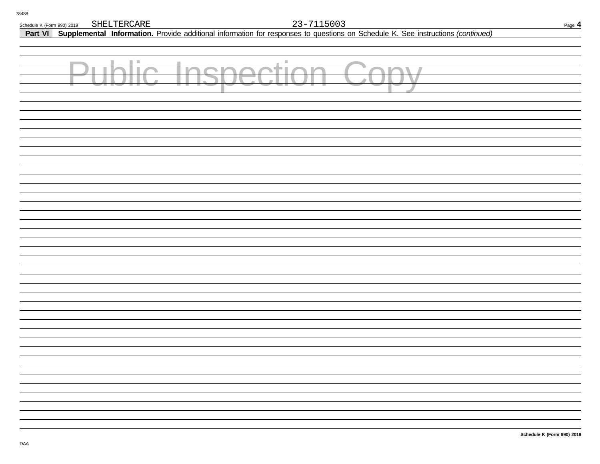**Part VI Supplemental Information.** Provide additional information for responses to questions on Schedule K. See instructions *(continued)*

| <b>Public Inspection Copy</b> |  |
|-------------------------------|--|
|                               |  |
|                               |  |
|                               |  |
|                               |  |
|                               |  |
|                               |  |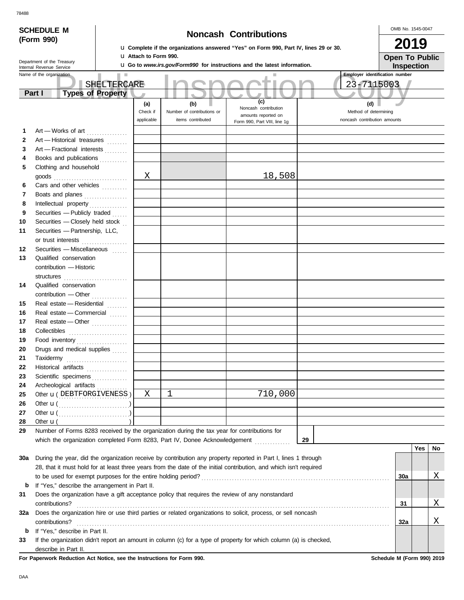|              | <b>SCHEDULE M</b>                                     |             |                                                                                                                             |                                                                                             |                                                                                                                    |    | OMB No. 1545-0047                                     |     |    |  |  |
|--------------|-------------------------------------------------------|-------------|-----------------------------------------------------------------------------------------------------------------------------|---------------------------------------------------------------------------------------------|--------------------------------------------------------------------------------------------------------------------|----|-------------------------------------------------------|-----|----|--|--|
|              | (Form 990)                                            |             | <b>Noncash Contributions</b><br><b>u</b> Complete if the organizations answered "Yes" on Form 990, Part IV, lines 29 or 30. |                                                                                             |                                                                                                                    |    |                                                       |     |    |  |  |
|              |                                                       |             | <b>u</b> Attach to Form 990.                                                                                                |                                                                                             |                                                                                                                    |    | 2019                                                  |     |    |  |  |
|              | Department of the Treasury                            |             |                                                                                                                             |                                                                                             | <b>u</b> Go to <i>www.irs.gov/Form990</i> for instructions and the latest information.                             |    | <b>Open To Public</b><br>Inspection                   |     |    |  |  |
|              | Internal Revenue Service<br>Name of the organization  |             |                                                                                                                             |                                                                                             |                                                                                                                    |    | <b>Employer identification number</b>                 |     |    |  |  |
|              |                                                       | SHELTERCARE |                                                                                                                             |                                                                                             |                                                                                                                    |    | 23-7115003                                            |     |    |  |  |
|              | <b>Types of Property</b><br>Part I                    |             |                                                                                                                             |                                                                                             |                                                                                                                    |    |                                                       |     |    |  |  |
|              |                                                       |             | (a)                                                                                                                         | (b)                                                                                         | (c)                                                                                                                |    | (d)                                                   |     |    |  |  |
|              |                                                       |             | Check if<br>applicable                                                                                                      | Number of contributions or<br>items contributed                                             | Noncash contribution<br>amounts reported on<br>Form 990, Part VIII, line 1g                                        |    | Method of determining<br>noncash contribution amounts |     |    |  |  |
| 1            | Art - Works of art                                    |             |                                                                                                                             |                                                                                             |                                                                                                                    |    |                                                       |     |    |  |  |
| $\mathbf{2}$ | Art - Historical treasures                            |             |                                                                                                                             |                                                                                             |                                                                                                                    |    |                                                       |     |    |  |  |
| 3            | Art - Fractional interests                            |             |                                                                                                                             |                                                                                             |                                                                                                                    |    |                                                       |     |    |  |  |
| 4            | Books and publications                                |             |                                                                                                                             |                                                                                             |                                                                                                                    |    |                                                       |     |    |  |  |
| 5            | Clothing and household                                |             |                                                                                                                             |                                                                                             |                                                                                                                    |    |                                                       |     |    |  |  |
|              |                                                       |             | Χ                                                                                                                           |                                                                                             | 18,508                                                                                                             |    |                                                       |     |    |  |  |
| 6            | Cars and other vehicles                               |             |                                                                                                                             |                                                                                             |                                                                                                                    |    |                                                       |     |    |  |  |
| 7            | Boats and planes                                      |             |                                                                                                                             |                                                                                             |                                                                                                                    |    |                                                       |     |    |  |  |
| 8            |                                                       |             |                                                                                                                             |                                                                                             |                                                                                                                    |    |                                                       |     |    |  |  |
| 9            | Securities - Publicly traded                          |             |                                                                                                                             |                                                                                             |                                                                                                                    |    |                                                       |     |    |  |  |
| 10           | Securities - Closely held stock                       |             |                                                                                                                             |                                                                                             |                                                                                                                    |    |                                                       |     |    |  |  |
| 11           | Securities - Partnership, LLC,                        |             |                                                                                                                             |                                                                                             |                                                                                                                    |    |                                                       |     |    |  |  |
|              | or trust interests                                    |             |                                                                                                                             |                                                                                             |                                                                                                                    |    |                                                       |     |    |  |  |
| 12           | Securities - Miscellaneous                            |             |                                                                                                                             |                                                                                             |                                                                                                                    |    |                                                       |     |    |  |  |
| 13           | Qualified conservation                                |             |                                                                                                                             |                                                                                             |                                                                                                                    |    |                                                       |     |    |  |  |
|              | contribution - Historic                               |             |                                                                                                                             |                                                                                             |                                                                                                                    |    |                                                       |     |    |  |  |
|              | structures                                            |             |                                                                                                                             |                                                                                             |                                                                                                                    |    |                                                       |     |    |  |  |
| 14           | Qualified conservation                                |             |                                                                                                                             |                                                                                             |                                                                                                                    |    |                                                       |     |    |  |  |
|              | contribution - Other                                  |             |                                                                                                                             |                                                                                             |                                                                                                                    |    |                                                       |     |    |  |  |
| 15           | Real estate - Residential                             |             |                                                                                                                             |                                                                                             |                                                                                                                    |    |                                                       |     |    |  |  |
| 16           | Real estate - Commercial                              |             |                                                                                                                             |                                                                                             |                                                                                                                    |    |                                                       |     |    |  |  |
| 17           | Real estate - Other                                   |             |                                                                                                                             |                                                                                             |                                                                                                                    |    |                                                       |     |    |  |  |
| 18           |                                                       |             |                                                                                                                             |                                                                                             |                                                                                                                    |    |                                                       |     |    |  |  |
| 19           | Food inventory                                        |             |                                                                                                                             |                                                                                             |                                                                                                                    |    |                                                       |     |    |  |  |
| 20           | Drugs and medical supplies                            |             |                                                                                                                             |                                                                                             |                                                                                                                    |    |                                                       |     |    |  |  |
| 21           | Taxidermy                                             |             |                                                                                                                             |                                                                                             |                                                                                                                    |    |                                                       |     |    |  |  |
| 22           | Historical artifacts                                  |             |                                                                                                                             |                                                                                             |                                                                                                                    |    |                                                       |     |    |  |  |
| 23           | Scientific specimens                                  |             |                                                                                                                             |                                                                                             |                                                                                                                    |    |                                                       |     |    |  |  |
| 24           | Archeological artifacts                               |             |                                                                                                                             |                                                                                             |                                                                                                                    |    |                                                       |     |    |  |  |
| 25           | Other <b>u</b> (DEBTFORGIVENESS)                      |             | $\mathbf X$                                                                                                                 | $\mathbf 1$                                                                                 | 710,000                                                                                                            |    |                                                       |     |    |  |  |
| 26           |                                                       |             |                                                                                                                             |                                                                                             |                                                                                                                    |    |                                                       |     |    |  |  |
| 27           | Other $\mathbf{u}(\dots, \dots, \dots, \dots, \dots)$ |             |                                                                                                                             |                                                                                             |                                                                                                                    |    |                                                       |     |    |  |  |
| 28           | Other $\mathbf{u}$ (                                  |             |                                                                                                                             |                                                                                             |                                                                                                                    |    |                                                       |     |    |  |  |
| 29           |                                                       |             |                                                                                                                             | Number of Forms 8283 received by the organization during the tax year for contributions for | which the organization completed Form 8283, Part IV, Donee Acknowledgement                                         | 29 |                                                       |     |    |  |  |
|              |                                                       |             |                                                                                                                             |                                                                                             |                                                                                                                    |    |                                                       | Yes | No |  |  |
|              |                                                       |             |                                                                                                                             |                                                                                             |                                                                                                                    |    |                                                       |     |    |  |  |
| 30a          |                                                       |             |                                                                                                                             |                                                                                             | During the year, did the organization receive by contribution any property reported in Part I, lines 1 through     |    |                                                       |     |    |  |  |
|              |                                                       |             |                                                                                                                             |                                                                                             | 28, that it must hold for at least three years from the date of the initial contribution, and which isn't required |    |                                                       |     | Χ  |  |  |
|              |                                                       |             |                                                                                                                             |                                                                                             |                                                                                                                    |    | 30a                                                   |     |    |  |  |
| b            | If "Yes," describe the arrangement in Part II.        |             |                                                                                                                             |                                                                                             |                                                                                                                    |    |                                                       |     |    |  |  |
| 31           |                                                       |             |                                                                                                                             |                                                                                             | Does the organization have a gift acceptance policy that requires the review of any nonstandard                    |    |                                                       |     | Χ  |  |  |
|              | contributions?                                        |             |                                                                                                                             |                                                                                             |                                                                                                                    |    | 31                                                    |     |    |  |  |
| 32a          |                                                       |             |                                                                                                                             |                                                                                             | Does the organization hire or use third parties or related organizations to solicit, process, or sell noncash      |    |                                                       |     | Χ  |  |  |
|              | contributions?                                        |             |                                                                                                                             |                                                                                             |                                                                                                                    |    | 32a                                                   |     |    |  |  |
| b<br>33      | If "Yes," describe in Part II.                        |             |                                                                                                                             |                                                                                             | If the organization didn't report an amount in column (c) for a type of property for which column (a) is checked,  |    |                                                       |     |    |  |  |
|              |                                                       |             |                                                                                                                             |                                                                                             |                                                                                                                    |    |                                                       |     |    |  |  |

describe in Part II. **For Paperwork Reduction Act Notice, see the Instructions for Form 990. Schedule M (Form 990) 2019**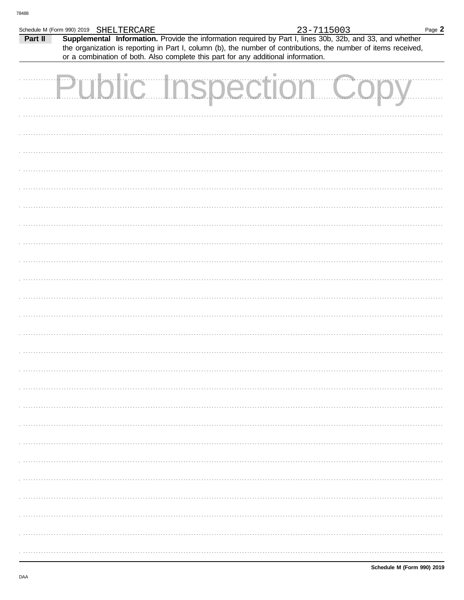|         | Schedule M (Form 990) 2019 SHELTERCARE |                                                                                   |  | 23-7115003 |                                                                                                                 | Page 2 |
|---------|----------------------------------------|-----------------------------------------------------------------------------------|--|------------|-----------------------------------------------------------------------------------------------------------------|--------|
| Part II |                                        |                                                                                   |  |            | Supplemental Information. Provide the information required by Part I, lines 30b, 32b, and 33, and whether       |        |
|         |                                        |                                                                                   |  |            | the organization is reporting in Part I, column (b), the number of contributions, the number of items received, |        |
|         |                                        | or a combination of both. Also complete this part for any additional information. |  |            |                                                                                                                 |        |
|         |                                        |                                                                                   |  |            |                                                                                                                 |        |
|         |                                        |                                                                                   |  |            | Public Inspection Cop                                                                                           |        |
|         |                                        |                                                                                   |  |            |                                                                                                                 |        |
|         |                                        |                                                                                   |  |            |                                                                                                                 |        |
|         |                                        |                                                                                   |  |            |                                                                                                                 |        |
|         |                                        |                                                                                   |  |            |                                                                                                                 |        |
|         |                                        |                                                                                   |  |            |                                                                                                                 |        |
|         |                                        |                                                                                   |  |            |                                                                                                                 |        |
|         |                                        |                                                                                   |  |            |                                                                                                                 |        |
|         |                                        |                                                                                   |  |            |                                                                                                                 |        |
|         |                                        |                                                                                   |  |            |                                                                                                                 |        |
|         |                                        |                                                                                   |  |            |                                                                                                                 |        |
|         |                                        |                                                                                   |  |            |                                                                                                                 |        |
|         |                                        |                                                                                   |  |            |                                                                                                                 |        |
|         |                                        |                                                                                   |  |            |                                                                                                                 |        |
|         |                                        |                                                                                   |  |            |                                                                                                                 |        |
|         |                                        |                                                                                   |  |            |                                                                                                                 |        |
|         |                                        |                                                                                   |  |            |                                                                                                                 |        |
|         |                                        |                                                                                   |  |            |                                                                                                                 |        |
|         |                                        |                                                                                   |  |            |                                                                                                                 |        |
|         |                                        |                                                                                   |  |            |                                                                                                                 |        |
|         |                                        |                                                                                   |  |            |                                                                                                                 |        |
|         |                                        |                                                                                   |  |            |                                                                                                                 |        |
|         |                                        |                                                                                   |  |            |                                                                                                                 |        |
|         |                                        |                                                                                   |  |            |                                                                                                                 |        |
|         |                                        |                                                                                   |  |            |                                                                                                                 |        |
|         |                                        |                                                                                   |  |            |                                                                                                                 |        |
|         |                                        |                                                                                   |  |            |                                                                                                                 |        |
|         |                                        |                                                                                   |  |            |                                                                                                                 |        |
|         |                                        |                                                                                   |  |            |                                                                                                                 |        |
|         |                                        |                                                                                   |  |            |                                                                                                                 |        |
|         |                                        |                                                                                   |  |            |                                                                                                                 |        |
|         |                                        |                                                                                   |  |            |                                                                                                                 |        |
|         |                                        |                                                                                   |  |            |                                                                                                                 |        |
|         |                                        |                                                                                   |  |            |                                                                                                                 |        |
|         |                                        |                                                                                   |  |            |                                                                                                                 |        |
|         |                                        |                                                                                   |  |            |                                                                                                                 |        |
|         |                                        |                                                                                   |  |            |                                                                                                                 |        |
|         |                                        |                                                                                   |  |            |                                                                                                                 |        |
|         |                                        |                                                                                   |  |            |                                                                                                                 |        |
|         |                                        |                                                                                   |  |            |                                                                                                                 |        |
|         |                                        |                                                                                   |  |            |                                                                                                                 |        |
|         |                                        |                                                                                   |  |            |                                                                                                                 |        |
|         |                                        |                                                                                   |  |            |                                                                                                                 |        |
|         |                                        |                                                                                   |  |            |                                                                                                                 |        |
|         |                                        |                                                                                   |  |            |                                                                                                                 |        |
|         |                                        |                                                                                   |  |            |                                                                                                                 |        |
|         |                                        |                                                                                   |  |            |                                                                                                                 |        |
|         |                                        |                                                                                   |  |            |                                                                                                                 |        |
|         |                                        |                                                                                   |  |            |                                                                                                                 |        |
|         |                                        |                                                                                   |  |            |                                                                                                                 |        |
|         |                                        |                                                                                   |  |            |                                                                                                                 |        |
|         |                                        |                                                                                   |  |            |                                                                                                                 |        |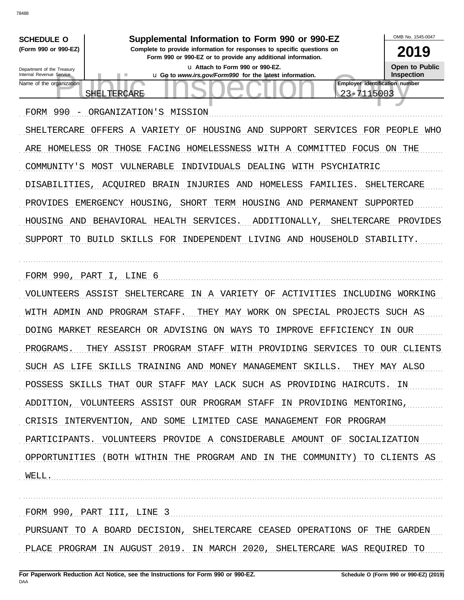OMB No 1545-0047 **SCHEDULE O** Supplemental Information to Form 990 or 990-EZ (Form 990 or 990-EZ) Complete to provide information for responses to specific questions on 2019 Form 990 or 990-EZ or to provide any additional information. **Open to Public** u Attach to Form 990 or 990-EZ. Department of the Treasury Internal Revenue Service u Go to www.irs.gov/Form990 for the latest information. Inspection Employer identification number Name of the organization 23-7115003 SHELTERCARE FORM 990 - ORGANIZATION'S MISSION SHELTERCARE OFFERS A VARIETY OF HOUSING AND SUPPORT SERVICES FOR PEOPLE WHO ARE HOMELESS OR THOSE FACING HOMELESSNESS WITH A COMMITTED FOCUS ON THE COMMUNITY'S MOST VULNERABLE INDIVIDUALS DEALING WITH PSYCHIATRIC DISABILITIES, ACOUIRED BRAIN INJURIES AND HOMELESS FAMILIES. SHELTERCARE PROVIDES EMERGENCY HOUSING, SHORT TERM HOUSING AND PERMANENT SUPPORTED HOUSING AND BEHAVIORAL HEALTH SERVICES. ADDITIONALLY, SHELTERCARE PROVIDES SUPPORT TO BUILD SKILLS FOR INDEPENDENT LIVING AND HOUSEHOLD STABILITY. FORM 990, PART I, LINE 6 VOLUNTEERS ASSIST SHELTERCARE IN A VARIETY OF ACTIVITIES INCLUDING WORKING WITH ADMIN AND PROGRAM STAFF. THEY MAY WORK ON SPECIAL PROJECTS SUCH AS DOING MARKET RESEARCH OR ADVISING ON WAYS TO IMPROVE EFFICIENCY IN OUR PROGRAMS. THEY ASSIST PROGRAM STAFF WITH PROVIDING SERVICES TO OUR CLIENTS SUCH AS LIFE SKILLS TRAINING AND MONEY MANAGEMENT SKILLS. THEY MAY ALSO POSSESS SKILLS THAT OUR STAFF MAY LACK SUCH AS PROVIDING HAIRCUTS. IN ADDITION, VOLUNTEERS ASSIST OUR PROGRAM STAFF IN PROVIDING MENTORING, CRISIS INTERVENTION, AND SOME LIMITED CASE MANAGEMENT FOR PROGRAM PARTICIPANTS. VOLUNTEERS PROVIDE A CONSIDERABLE AMOUNT OF SOCIALIZATION OPPORTUNITIES (BOTH WITHIN THE PROGRAM AND IN THE COMMUNITY) TO CLIENTS AS WELL.

FORM 990, PART III, LINE 3

PURSUANT TO A BOARD DECISION, SHELTERCARE CEASED OPERATIONS OF THE GARDEN PLACE PROGRAM IN AUGUST 2019. IN MARCH 2020, SHELTERCARE WAS REQUIRED TO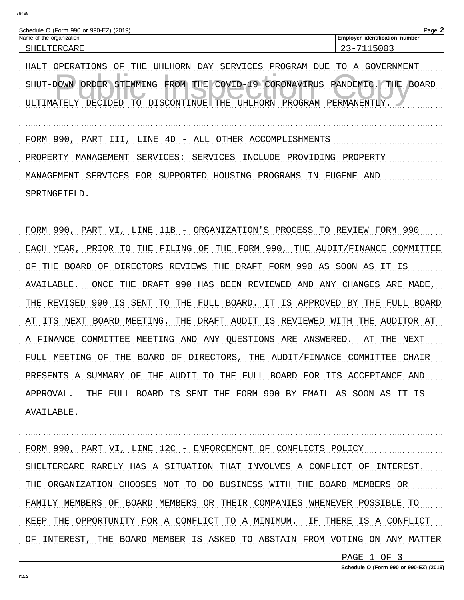| Schedule O (Form 990 or 990-EZ) (2019) |                                       | $Page$ . |
|----------------------------------------|---------------------------------------|----------|
| Name of the organization               | <b>Employer identification number</b> |          |
| 'LTERCARE<br>SHEL                      | 5003                                  |          |

HALT OPERATIONS OF THE UHLHORN DAY SERVICES PROGRAM DUE TO A GOVERNMENT SHUT-DOWN ORDER STEMMING FROM THE COVID-19 CORONAVIRUS PANDEMIC. THE BOARD ULTIMATELY DECIDED TO DISCONTINUE THE UHLHORN PROGRAM PERMANENTIY. FORM 990, PART III, LINE 4D - ALL OTHER ACCOMPLISHMENTS PROPERTY MANAGEMENT SERVICES: SERVICES INCLUDE PROVIDING PROPERTY MANAGEMENT SERVICES FOR SUPPORTED HOUSING PROGRAMS IN EUGENE AND SPRINGFIELD.

FORM 990, PART VI, LINE 11B - ORGANIZATION'S PROCESS TO REVIEW FORM 990 EACH YEAR, PRIOR TO THE FILING OF THE FORM 990, THE AUDIT/FINANCE COMMITTEE OF THE BOARD OF DIRECTORS REVIEWS THE DRAFT FORM 990 AS SOON AS IT IS AVAILABLE. ONCE THE DRAFT 990 HAS BEEN REVIEWED AND ANY CHANGES ARE MADE, THE REVISED 990 IS SENT TO THE FULL BOARD. IT IS APPROVED BY THE FULL BOARD AT ITS NEXT BOARD MEETING. THE DRAFT AUDIT IS REVIEWED WITH THE AUDITOR AT A FINANCE COMMITTEE MEETING AND ANY QUESTIONS ARE ANSWERED. AT THE NEXT FULL MEETING OF THE BOARD OF DIRECTORS, THE AUDIT/FINANCE COMMITTEE CHAIR PRESENTS A SUMMARY OF THE AUDIT TO THE FULL BOARD FOR ITS ACCEPTANCE AND APPROVAL. THE FULL BOARD IS SENT THE FORM 990 BY EMAIL AS SOON AS IT IS AVAILABLE.

FORM 990, PART VI, LINE 12C - ENFORCEMENT OF CONFLICTS POLICY SHELTERCARE RARELY HAS A SITUATION THAT INVOLVES A CONFLICT OF INTEREST. THE ORGANIZATION CHOOSES NOT TO DO BUSINESS WITH THE BOARD MEMBERS OR FAMILY MEMBERS OF BOARD MEMBERS OR THEIR COMPANIES WHENEVER POSSIBLE TO KEEP THE OPPORTUNITY FOR A CONFLICT TO A MINIMUM. IF THERE IS A CONFLICT OF INTEREST, THE BOARD MEMBER IS ASKED TO ABSTAIN FROM VOTING ON ANY MATTER

PAGE 1 OF 3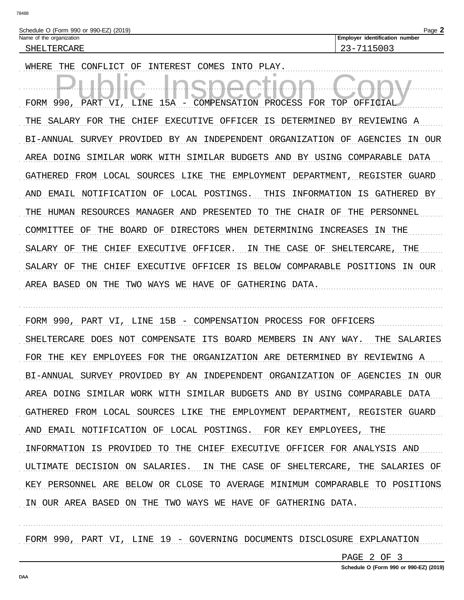| æ | ı |
|---|---|

| Schedule O (Form 990 or 990-EZ) (2019) |  |
|----------------------------------------|--|
| Name of the organization               |  |
| CHEI TERCARE                           |  |

Employer identification number 23-7115003

WHERE THE CONFLICT OF INTEREST COMES INTO PLAY. FORM 990, PART VI, LINE 15A COMPENSATION PROCESS FOR TOP OFFICIAL THE SALARY FOR THE CHIEF EXECUTIVE OFFICER IS DETERMINED BY REVIEWING A BI-ANNUAL SURVEY PROVIDED BY AN INDEPENDENT ORGANIZATION OF AGENCIES IN OUR AREA DOING SIMILAR WORK WITH SIMILAR BUDGETS AND BY USING COMPARABLE DATA GATHERED FROM LOCAL SOURCES LIKE THE EMPLOYMENT DEPARTMENT, REGISTER GUARD AND EMAIL NOTIFICATION OF LOCAL POSTINGS. THIS INFORMATION IS GATHERED BY THE HUMAN RESOURCES MANAGER AND PRESENTED TO THE CHAIR OF THE PERSONNEL COMMITTEE OF THE BOARD OF DIRECTORS WHEN DETERMINING INCREASES IN THE SALARY OF THE CHIEF EXECUTIVE OFFICER. IN THE CASE OF SHELTERCARE, THE SALARY OF THE CHIEF EXECUTIVE OFFICER IS BELOW COMPARABLE POSITIONS IN OUR AREA BASED ON THE TWO WAYS WE HAVE OF GATHERING DATA.

FORM 990, PART VI, LINE 15B - COMPENSATION PROCESS FOR OFFICERS SHELTERCARE DOES NOT COMPENSATE ITS BOARD MEMBERS IN ANY WAY. THE SALARIES FOR THE KEY EMPLOYEES FOR THE ORGANIZATION ARE DETERMINED BY REVIEWING A BI-ANNUAL SURVEY PROVIDED BY AN INDEPENDENT ORGANIZATION OF AGENCIES IN OUR AREA DOING SIMILAR WORK WITH SIMILAR BUDGETS AND BY USING COMPARABLE DATA GATHERED FROM LOCAL SOURCES LIKE THE EMPLOYMENT DEPARTMENT, REGISTER GUARD AND EMAIL NOTIFICATION OF LOCAL POSTINGS. FOR KEY EMPLOYEES, THE INFORMATION IS PROVIDED TO THE CHIEF EXECUTIVE OFFICER FOR ANALYSIS AND ULTIMATE DECISION ON SALARIES. IN THE CASE OF SHELTERCARE, THE SALARIES OF KEY PERSONNEL ARE BELOW OR CLOSE TO AVERAGE MINIMUM COMPARABLE TO POSITIONS IN OUR AREA BASED ON THE TWO WAYS WE HAVE OF GATHERING DATA.

FORM 990, PART VI, LINE 19 - GOVERNING DOCUMENTS DISCLOSURE EXPLANATION

PAGE 2 OF 3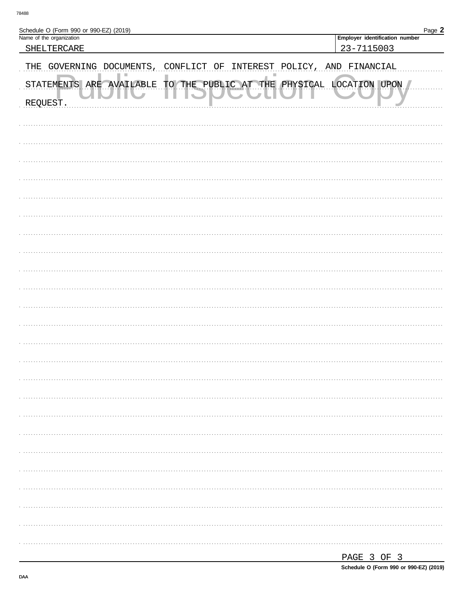| Schedule O (Form 990 or 990-EZ) (2019)                                  | Page 2                         |
|-------------------------------------------------------------------------|--------------------------------|
| Name of the organization                                                | Employer identification number |
| SHELTERCARE                                                             | 23-7115003                     |
| THE GOVERNING DOCUMENTS,<br>ΟF<br>INTEREST<br>CONFLICT                  | POLICY, AND FINANCIAL          |
| TO THE PUBLIC AT THE PHYSICAL LOCATION UPON<br>STATEMENTS ARE AVAILABLE |                                |
| REQUEST.                                                                |                                |
|                                                                         |                                |
|                                                                         |                                |
|                                                                         |                                |
|                                                                         |                                |
|                                                                         |                                |
|                                                                         |                                |
|                                                                         |                                |
|                                                                         |                                |
|                                                                         |                                |
|                                                                         |                                |
|                                                                         |                                |
|                                                                         |                                |
|                                                                         |                                |
|                                                                         |                                |
|                                                                         |                                |
|                                                                         |                                |
|                                                                         |                                |
|                                                                         |                                |
|                                                                         |                                |
|                                                                         |                                |
|                                                                         |                                |
|                                                                         |                                |
|                                                                         |                                |

| . .<br>.<br>---- |  |  |
|------------------|--|--|
|                  |  |  |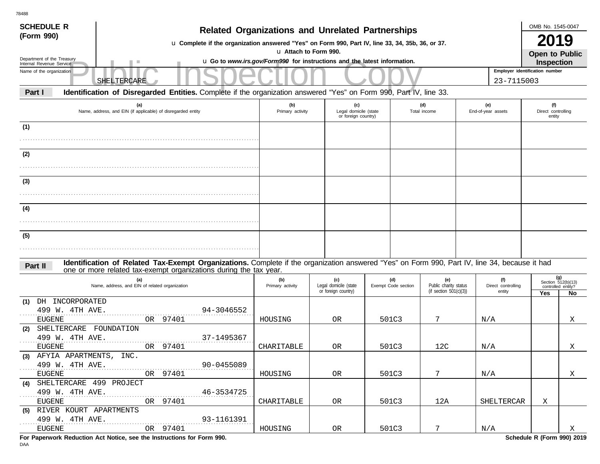| <b>SCHEDULE R</b>                                                                                                                                                         |                                                                                                                                                                                                                    |                         |                                                     |  |                            |                                                           |                           |                                     | OMB No. 1545-0047                   |                                                         |  |
|---------------------------------------------------------------------------------------------------------------------------------------------------------------------------|--------------------------------------------------------------------------------------------------------------------------------------------------------------------------------------------------------------------|-------------------------|-----------------------------------------------------|--|----------------------------|-----------------------------------------------------------|---------------------------|-------------------------------------|-------------------------------------|---------------------------------------------------------|--|
| <b>Related Organizations and Unrelated Partnerships</b><br>(Form 990)<br>u Complete if the organization answered "Yes" on Form 990, Part IV, line 33, 34, 35b, 36, or 37. |                                                                                                                                                                                                                    |                         |                                                     |  |                            |                                                           |                           |                                     |                                     | <b>2019</b>                                             |  |
|                                                                                                                                                                           | u Attach to Form 990.<br>Open to Public<br>Department of the Treasury<br>u Go to www.irs.gov/Form990 for instructions and the latest information.                                                                  |                         |                                                     |  |                            |                                                           |                           |                                     |                                     |                                                         |  |
| Internal Revenue Service                                                                                                                                                  |                                                                                                                                                                                                                    |                         |                                                     |  |                            |                                                           |                           |                                     | <b>Inspection</b>                   |                                                         |  |
| Name of the organization                                                                                                                                                  |                                                                                                                                                                                                                    |                         |                                                     |  |                            |                                                           |                           | Employer identification number      |                                     |                                                         |  |
|                                                                                                                                                                           | SHELTERCARE                                                                                                                                                                                                        |                         |                                                     |  |                            |                                                           |                           | 23-7115003                          |                                     |                                                         |  |
| Part I                                                                                                                                                                    | Identification of Disregarded Entities. Complete if the organization answered "Yes" on Form 990, Part IV, line 33.                                                                                                 |                         |                                                     |  |                            |                                                           |                           |                                     |                                     |                                                         |  |
|                                                                                                                                                                           | (a)<br>Name, address, and EIN (if applicable) of disregarded entity                                                                                                                                                | (b)<br>Primary activity | (c)<br>Legal domicile (state<br>or foreign country) |  |                            | (d)<br>Total income                                       | (e)<br>End-of-year assets |                                     | (f)<br>Direct controlling<br>entity |                                                         |  |
| (1)                                                                                                                                                                       |                                                                                                                                                                                                                    |                         |                                                     |  |                            |                                                           |                           |                                     |                                     |                                                         |  |
|                                                                                                                                                                           |                                                                                                                                                                                                                    |                         |                                                     |  |                            |                                                           |                           |                                     |                                     |                                                         |  |
| (2)                                                                                                                                                                       |                                                                                                                                                                                                                    |                         |                                                     |  |                            |                                                           |                           |                                     |                                     |                                                         |  |
|                                                                                                                                                                           |                                                                                                                                                                                                                    |                         |                                                     |  |                            |                                                           |                           |                                     |                                     |                                                         |  |
| (3)                                                                                                                                                                       |                                                                                                                                                                                                                    |                         |                                                     |  |                            |                                                           |                           |                                     |                                     |                                                         |  |
|                                                                                                                                                                           |                                                                                                                                                                                                                    |                         |                                                     |  |                            |                                                           |                           |                                     |                                     |                                                         |  |
| (4)                                                                                                                                                                       |                                                                                                                                                                                                                    |                         |                                                     |  |                            |                                                           |                           |                                     |                                     |                                                         |  |
|                                                                                                                                                                           |                                                                                                                                                                                                                    |                         |                                                     |  |                            |                                                           |                           |                                     |                                     |                                                         |  |
| (5)                                                                                                                                                                       |                                                                                                                                                                                                                    |                         |                                                     |  |                            |                                                           |                           |                                     |                                     |                                                         |  |
|                                                                                                                                                                           |                                                                                                                                                                                                                    |                         |                                                     |  |                            |                                                           |                           |                                     |                                     |                                                         |  |
| Part II                                                                                                                                                                   | Identification of Related Tax-Exempt Organizations. Complete if the organization answered "Yes" on Form 990, Part IV, line 34, because it had<br>one or more related tax-exempt organizations during the tax year. |                         |                                                     |  |                            |                                                           |                           |                                     |                                     |                                                         |  |
|                                                                                                                                                                           | (a)<br>Name, address, and EIN of related organization                                                                                                                                                              | (b)<br>Primary activity | (c)<br>Legal domicile (state<br>or foreign country) |  | (d)<br>Exempt Code section | (e)<br>Public charity status<br>(if section $501(c)(3)$ ) |                           | (f)<br>Direct controlling<br>entity | Yes                                 | (g)<br>Section $512(b)(13)$<br>controlled entity?<br>No |  |
| DH INCORPORATED<br>(1)                                                                                                                                                    |                                                                                                                                                                                                                    |                         |                                                     |  |                            |                                                           |                           |                                     |                                     |                                                         |  |
| 499 W. 4TH AVE.<br><b>EUGENE</b>                                                                                                                                          | 94-3046552<br>97401<br>OR                                                                                                                                                                                          | HOUSING                 | 0 <sub>R</sub>                                      |  | 501C3                      | 7                                                         | N/A                       |                                     |                                     | Χ                                                       |  |
| SHELTERCARE FOUNDATION<br>(2)                                                                                                                                             |                                                                                                                                                                                                                    |                         |                                                     |  |                            |                                                           |                           |                                     |                                     |                                                         |  |
| 499 W. 4TH AVE.<br><b>EUGENE</b>                                                                                                                                          | 37-1495367<br>97401<br>OR                                                                                                                                                                                          | CHARITABLE              | 0R                                                  |  | 501C3                      | 12C                                                       | N/A                       |                                     |                                     | Χ                                                       |  |
| (3) AFYIA APARTMENTS, INC.                                                                                                                                                |                                                                                                                                                                                                                    |                         |                                                     |  |                            |                                                           |                           |                                     |                                     |                                                         |  |
| 499 W. 4TH AVE.<br>.                                                                                                                                                      | 90-0455089                                                                                                                                                                                                         |                         |                                                     |  |                            |                                                           |                           |                                     |                                     |                                                         |  |
| EUGENE                                                                                                                                                                    | OR 97401                                                                                                                                                                                                           | HOUSING                 | OR                                                  |  | 501C3                      | $7^{\circ}$                                               | $\mathrm{N}/\mathrm{A}$   |                                     |                                     | X                                                       |  |
| (4) SHELTERCARE 499 PROJECT<br>499 W. 4TH AVE.                                                                                                                            | 46-3534725                                                                                                                                                                                                         |                         |                                                     |  |                            |                                                           |                           |                                     |                                     |                                                         |  |
| $\alpha$ , $\alpha$ , $\alpha$ , $\alpha$ , $\alpha$<br>EUGENE                                                                                                            | OR 97401                                                                                                                                                                                                           | CHARITABLE              | OR                                                  |  | 501C3                      | 12A                                                       |                           | SHELTERCAR                          | X                                   |                                                         |  |
| (5) RIVER KOURT APARTMENTS                                                                                                                                                |                                                                                                                                                                                                                    |                         |                                                     |  |                            |                                                           |                           |                                     |                                     |                                                         |  |
| 499 W. 4TH AVE.                                                                                                                                                           | $93-1161391$                                                                                                                                                                                                       |                         |                                                     |  |                            |                                                           |                           |                                     |                                     |                                                         |  |
| EUGENE                                                                                                                                                                    | OR 97401                                                                                                                                                                                                           | HOUSING                 | OR                                                  |  | 501C3                      | 7                                                         | N/A                       |                                     |                                     | $\boldsymbol{\mathrm{X}}$                               |  |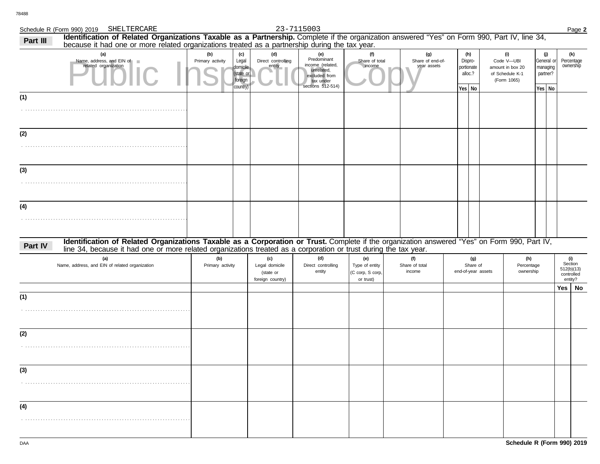# Schedule R (Form 990) 2019 SHELTERCARE 23-7115003 Page 2

## SHELTERCARE 23-7115003

| Part III | Identification of Related Organizations Taxable as a Partnership. Complete if the organization answered "Yes" on Form 990, Part IV, line 34,<br>because it had one or more related organizations treated as a partnership during the tax year.                   |                         |                                                              |                                                        |                                                                                                         |                                                        |                                        |                                 |                                       |                                                                         |                                |                                                       |                                                       |
|----------|------------------------------------------------------------------------------------------------------------------------------------------------------------------------------------------------------------------------------------------------------------------|-------------------------|--------------------------------------------------------------|--------------------------------------------------------|---------------------------------------------------------------------------------------------------------|--------------------------------------------------------|----------------------------------------|---------------------------------|---------------------------------------|-------------------------------------------------------------------------|--------------------------------|-------------------------------------------------------|-------------------------------------------------------|
|          | (a)<br>Name, address, and EIN of<br><b>In</b><br>related organization                                                                                                                                                                                            | (b)<br>Primary activity | (c)<br>Legal<br>domicile<br>(state or<br>foreign<br>country) | (d)<br>Direct controlling<br>entity                    | (e)<br>Predominant<br>income (related,<br>unrelated,<br>excluded from<br>tax under<br>sections 512-514) | (f)<br>Share of total<br>income                        | (g)<br>Share of end-of-<br>year assets | Dispro-<br>portionate<br>Yes No | (h)<br>alloc.?                        | (i)<br>Code V-UBI<br>amount in box 20<br>of Schedule K-1<br>(Form 1065) |                                | (j)<br>General or<br>managing<br>partner?<br>Yes   No | (k)<br>Percentage<br>ownership                        |
| (1)      |                                                                                                                                                                                                                                                                  |                         |                                                              |                                                        |                                                                                                         |                                                        |                                        |                                 |                                       |                                                                         |                                |                                                       |                                                       |
| (2)      |                                                                                                                                                                                                                                                                  |                         |                                                              |                                                        |                                                                                                         |                                                        |                                        |                                 |                                       |                                                                         |                                |                                                       |                                                       |
| (3)      |                                                                                                                                                                                                                                                                  |                         |                                                              |                                                        |                                                                                                         |                                                        |                                        |                                 |                                       |                                                                         |                                |                                                       |                                                       |
| (4)      |                                                                                                                                                                                                                                                                  |                         |                                                              |                                                        |                                                                                                         |                                                        |                                        |                                 |                                       |                                                                         |                                |                                                       |                                                       |
| Part IV  | Identification of Related Organizations Taxable as a Corporation or Trust. Complete if the organization answered "Yes" on Form 990, Part IV,<br>line 34, because it had one or more related organizations treated as a corporation or trust during the tax year. |                         |                                                              |                                                        |                                                                                                         |                                                        |                                        |                                 |                                       |                                                                         |                                |                                                       |                                                       |
|          | (a)<br>Name, address, and EIN of related organization                                                                                                                                                                                                            | (b)<br>Primary activity |                                                              | (c)<br>Legal domicile<br>(state or<br>foreign country) | (d)<br>Direct controlling<br>entity                                                                     | (e)<br>Type of entity<br>(C corp, S corp,<br>or trust) | (f)<br>Share of total<br>income        |                                 | (g)<br>Share of<br>end-of-year assets |                                                                         | (h)<br>Percentage<br>ownership |                                                       | (i)<br>Section<br>512(b)(13)<br>controlled<br>entity? |
| (1)      |                                                                                                                                                                                                                                                                  |                         |                                                              |                                                        |                                                                                                         |                                                        |                                        |                                 |                                       |                                                                         |                                |                                                       | $Yes \mid No$                                         |
| (2)      |                                                                                                                                                                                                                                                                  |                         |                                                              |                                                        |                                                                                                         |                                                        |                                        |                                 |                                       |                                                                         |                                |                                                       |                                                       |
| (3)      |                                                                                                                                                                                                                                                                  |                         |                                                              |                                                        |                                                                                                         |                                                        |                                        |                                 |                                       |                                                                         |                                |                                                       |                                                       |
| (4)      |                                                                                                                                                                                                                                                                  |                         |                                                              |                                                        |                                                                                                         |                                                        |                                        |                                 |                                       |                                                                         |                                |                                                       |                                                       |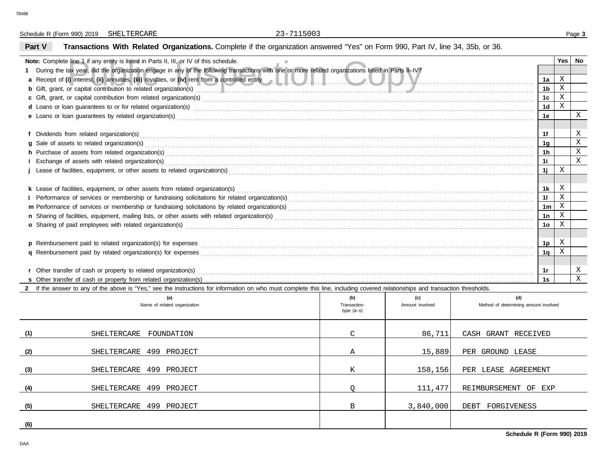Schedule R (Form 990) 2019 Page **3** SHELTERCARE 23-7115003

## **Part V Transactions With Related Organizations.** Complete if the organization answered "Yes" on Form 990, Part IV, line 34, 35b, or 36.

| <b>Note:</b> Complete line 1 if any entity is listed in Parts II, III, or IV of this schedule.                                                                                                                                 |                                                                                                                                                                                                                               |                 |                                       |                |              |             |  |  |  |  |
|--------------------------------------------------------------------------------------------------------------------------------------------------------------------------------------------------------------------------------|-------------------------------------------------------------------------------------------------------------------------------------------------------------------------------------------------------------------------------|-----------------|---------------------------------------|----------------|--------------|-------------|--|--|--|--|
| During the tax year, did the organization engage in any of the following transactions with one or more related organizations listed in Parts II-IV?                                                                            |                                                                                                                                                                                                                               |                 |                                       |                |              |             |  |  |  |  |
| a Receipt of (i) interest, (ii) annuities, (iii) royalties, or (iv) rent from a controlled entity and such a such a such a such a such as a such a such as a such a such a such a such a such a such as a such a such as a suc |                                                                                                                                                                                                                               |                 |                                       |                |              |             |  |  |  |  |
| b Gift, grant, or capital contribution to related organization(s) entertainment and contribution to related organization(s)                                                                                                    |                                                                                                                                                                                                                               |                 |                                       |                |              |             |  |  |  |  |
|                                                                                                                                                                                                                                |                                                                                                                                                                                                                               |                 |                                       |                |              |             |  |  |  |  |
|                                                                                                                                                                                                                                | d Loans or loan guarantees to or for related organization(s) encourance contained and contained a contained and contained a contained a contained and contained a contact or for related organization(s) encourance contained |                 |                                       |                |              |             |  |  |  |  |
|                                                                                                                                                                                                                                |                                                                                                                                                                                                                               |                 |                                       | 1e             |              | $\mathbf X$ |  |  |  |  |
|                                                                                                                                                                                                                                |                                                                                                                                                                                                                               |                 |                                       |                |              |             |  |  |  |  |
|                                                                                                                                                                                                                                |                                                                                                                                                                                                                               |                 |                                       | 1f             |              | X           |  |  |  |  |
|                                                                                                                                                                                                                                |                                                                                                                                                                                                                               |                 |                                       | 1g             |              | $\mathbf X$ |  |  |  |  |
|                                                                                                                                                                                                                                |                                                                                                                                                                                                                               |                 |                                       | 1h             |              | X           |  |  |  |  |
|                                                                                                                                                                                                                                |                                                                                                                                                                                                                               |                 |                                       | 1i             |              | X           |  |  |  |  |
|                                                                                                                                                                                                                                |                                                                                                                                                                                                                               |                 |                                       | 1j             | X            |             |  |  |  |  |
|                                                                                                                                                                                                                                |                                                                                                                                                                                                                               |                 |                                       |                |              |             |  |  |  |  |
| k Lease of facilities, equipment, or other assets from related organization(s)                                                                                                                                                 |                                                                                                                                                                                                                               |                 |                                       | 1k             | Χ            |             |  |  |  |  |
|                                                                                                                                                                                                                                |                                                                                                                                                                                                                               |                 |                                       | 11             | $\mathbf{X}$ |             |  |  |  |  |
|                                                                                                                                                                                                                                |                                                                                                                                                                                                                               |                 |                                       | 1 <sub>m</sub> | X            |             |  |  |  |  |
|                                                                                                                                                                                                                                |                                                                                                                                                                                                                               |                 |                                       | 1n             | X            |             |  |  |  |  |
| o Sharing of paid employees with related organization(s) encourance contains an accommodal container and starting of paid employees with related organization(s) encourance and container and container and container and star |                                                                                                                                                                                                                               |                 |                                       | 1 <sub>o</sub> | X            |             |  |  |  |  |
|                                                                                                                                                                                                                                |                                                                                                                                                                                                                               |                 |                                       |                |              |             |  |  |  |  |
|                                                                                                                                                                                                                                |                                                                                                                                                                                                                               |                 |                                       | 1 <sub>p</sub> | X            |             |  |  |  |  |
|                                                                                                                                                                                                                                |                                                                                                                                                                                                                               |                 |                                       | 1q             | X            |             |  |  |  |  |
|                                                                                                                                                                                                                                |                                                                                                                                                                                                                               |                 |                                       |                |              |             |  |  |  |  |
|                                                                                                                                                                                                                                |                                                                                                                                                                                                                               |                 |                                       | 1r             |              | Χ           |  |  |  |  |
|                                                                                                                                                                                                                                |                                                                                                                                                                                                                               |                 |                                       |                |              |             |  |  |  |  |
| 2 If the answer to any of the above is "Yes," see the instructions for information on who must complete this line, including covered relationships and transaction thresholds.                                                 |                                                                                                                                                                                                                               |                 |                                       |                |              |             |  |  |  |  |
| (a)                                                                                                                                                                                                                            | (b)                                                                                                                                                                                                                           | (c)             | (d)                                   |                |              |             |  |  |  |  |
| Name of related organization                                                                                                                                                                                                   | Transaction                                                                                                                                                                                                                   | Amount involved | Method of determining amount involved |                |              |             |  |  |  |  |
|                                                                                                                                                                                                                                | type $(a-s)$                                                                                                                                                                                                                  |                 |                                       |                |              |             |  |  |  |  |

|                   | Name of related organization  | Transaction<br>$type(a-s)$ | Amount involved | Method of determining amount involved |
|-------------------|-------------------------------|----------------------------|-----------------|---------------------------------------|
|                   |                               |                            |                 |                                       |
| (1)               | SHELTERCARE<br>FOUNDATION     | C                          | 86,711          | CASH GRANT RECEIVED                   |
| (2)               | 499 PROJECT<br>SHELTERCARE    | Α                          | 15,889          | PER GROUND LEASE                      |
| (3)               | 499 PROJECT<br>SHELTERCARE    | Κ                          | 158,156         | PER LEASE AGREEMENT                   |
| (4)               | 499<br>SHELTERCARE<br>PROJECT |                            | 111,477         | REIMBURSEMENT OF EXP                  |
| (5)               | 499 PROJECT<br>SHELTERCARE    | B                          | 3,840,000       | FORGIVENESS<br>DEBT                   |
| $\underline{(6)}$ |                               |                            |                 |                                       |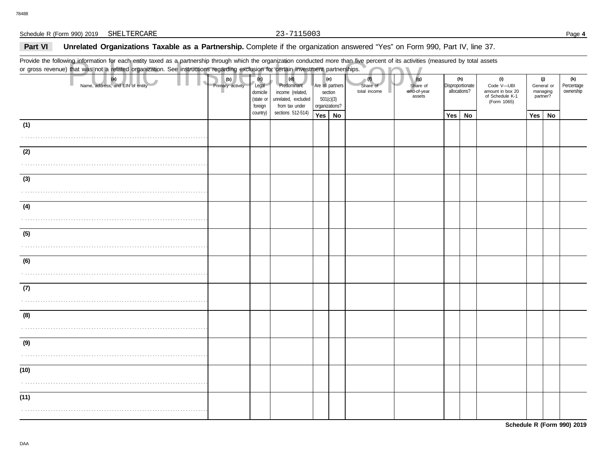## Part VI **Unrelated Organizations Taxable as a Partnership.** Complete if the organization answered "Yes" on Form 990, Part IV, line 37.

Provide the following information for each entity taxed as a partnership through which the organization conducted more than five percent of its activities (measured by total assets or gross revenue) that was not a related organization. See instructions regarding exclusion for certain investment partnerships.

|      | Provide the following information for each entity taxed as a partnership through which the organization conducted more than five percent of its activities (measured by total assets<br>or gross revenue) that was not a related organization. See instructions regarding exclusion for certain investment partnerships. |                         |                                                  |                                                                                 |                                                            |     |                                 |                                          |     |                                         |                                                                         |                                           |    |                                |
|------|--------------------------------------------------------------------------------------------------------------------------------------------------------------------------------------------------------------------------------------------------------------------------------------------------------------------------|-------------------------|--------------------------------------------------|---------------------------------------------------------------------------------|------------------------------------------------------------|-----|---------------------------------|------------------------------------------|-----|-----------------------------------------|-------------------------------------------------------------------------|-------------------------------------------|----|--------------------------------|
|      | (a)<br>Name, address, and EIN of entity                                                                                                                                                                                                                                                                                  | (b)<br>Primary activity | (c)<br>Legal<br>domicile<br>(state or<br>foreign | (d)<br>Predominant<br>income (related,<br>unrelated, excluded<br>from tax under | Are all partners<br>section<br>501(c)(3)<br>organizations? | (e) | (1)<br>Share of<br>total income | (g)<br>Share of<br>end-of-year<br>assets |     | (h)<br>Disproportionate<br>allocations? | (i)<br>Code V-UBI<br>amount in box 20<br>of Schedule K-1<br>(Form 1065) | (j)<br>General or<br>managing<br>partner? |    | (k)<br>Percentage<br>ownership |
|      |                                                                                                                                                                                                                                                                                                                          |                         | country)                                         | sections 512-514)                                                               | Yes   No                                                   |     |                                 |                                          | Yes | No                                      |                                                                         | Yes                                       | No |                                |
| (1)  |                                                                                                                                                                                                                                                                                                                          |                         |                                                  |                                                                                 |                                                            |     |                                 |                                          |     |                                         |                                                                         |                                           |    |                                |
| (2)  |                                                                                                                                                                                                                                                                                                                          |                         |                                                  |                                                                                 |                                                            |     |                                 |                                          |     |                                         |                                                                         |                                           |    |                                |
|      |                                                                                                                                                                                                                                                                                                                          |                         |                                                  |                                                                                 |                                                            |     |                                 |                                          |     |                                         |                                                                         |                                           |    |                                |
| (3)  |                                                                                                                                                                                                                                                                                                                          |                         |                                                  |                                                                                 |                                                            |     |                                 |                                          |     |                                         |                                                                         |                                           |    |                                |
|      |                                                                                                                                                                                                                                                                                                                          |                         |                                                  |                                                                                 |                                                            |     |                                 |                                          |     |                                         |                                                                         |                                           |    |                                |
| (4)  |                                                                                                                                                                                                                                                                                                                          |                         |                                                  |                                                                                 |                                                            |     |                                 |                                          |     |                                         |                                                                         |                                           |    |                                |
|      |                                                                                                                                                                                                                                                                                                                          |                         |                                                  |                                                                                 |                                                            |     |                                 |                                          |     |                                         |                                                                         |                                           |    |                                |
| (5)  |                                                                                                                                                                                                                                                                                                                          |                         |                                                  |                                                                                 |                                                            |     |                                 |                                          |     |                                         |                                                                         |                                           |    |                                |
|      |                                                                                                                                                                                                                                                                                                                          |                         |                                                  |                                                                                 |                                                            |     |                                 |                                          |     |                                         |                                                                         |                                           |    |                                |
| (6)  |                                                                                                                                                                                                                                                                                                                          |                         |                                                  |                                                                                 |                                                            |     |                                 |                                          |     |                                         |                                                                         |                                           |    |                                |
|      |                                                                                                                                                                                                                                                                                                                          |                         |                                                  |                                                                                 |                                                            |     |                                 |                                          |     |                                         |                                                                         |                                           |    |                                |
| (7)  |                                                                                                                                                                                                                                                                                                                          |                         |                                                  |                                                                                 |                                                            |     |                                 |                                          |     |                                         |                                                                         |                                           |    |                                |
|      |                                                                                                                                                                                                                                                                                                                          |                         |                                                  |                                                                                 |                                                            |     |                                 |                                          |     |                                         |                                                                         |                                           |    |                                |
| (8)  |                                                                                                                                                                                                                                                                                                                          |                         |                                                  |                                                                                 |                                                            |     |                                 |                                          |     |                                         |                                                                         |                                           |    |                                |
| (9)  |                                                                                                                                                                                                                                                                                                                          |                         |                                                  |                                                                                 |                                                            |     |                                 |                                          |     |                                         |                                                                         |                                           |    |                                |
|      |                                                                                                                                                                                                                                                                                                                          |                         |                                                  |                                                                                 |                                                            |     |                                 |                                          |     |                                         |                                                                         |                                           |    |                                |
| (10) |                                                                                                                                                                                                                                                                                                                          |                         |                                                  |                                                                                 |                                                            |     |                                 |                                          |     |                                         |                                                                         |                                           |    |                                |
|      |                                                                                                                                                                                                                                                                                                                          |                         |                                                  |                                                                                 |                                                            |     |                                 |                                          |     |                                         |                                                                         |                                           |    |                                |
| (11) |                                                                                                                                                                                                                                                                                                                          |                         |                                                  |                                                                                 |                                                            |     |                                 |                                          |     |                                         |                                                                         |                                           |    |                                |
|      |                                                                                                                                                                                                                                                                                                                          |                         |                                                  |                                                                                 |                                                            |     |                                 |                                          |     |                                         |                                                                         |                                           |    |                                |
|      |                                                                                                                                                                                                                                                                                                                          |                         |                                                  |                                                                                 |                                                            |     |                                 |                                          |     |                                         |                                                                         |                                           |    |                                |

**Schedule R (Form 990) 2019**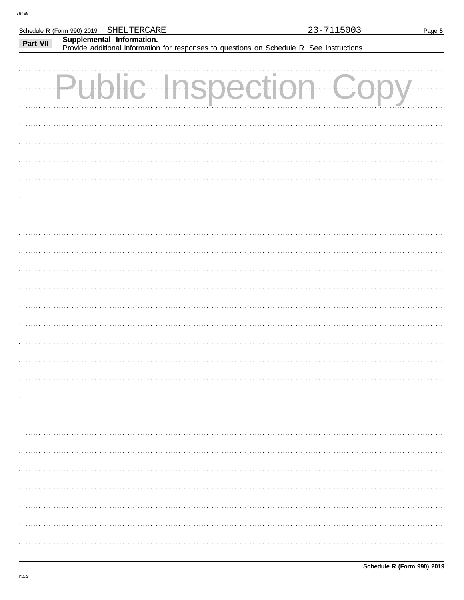|          | SHELTERCARE<br>Schedule R (Form 990) 2019 |                                                                                            | 23-7115003 | Page 5 |
|----------|-------------------------------------------|--------------------------------------------------------------------------------------------|------------|--------|
| Part VII | Supplemental Information.                 | Provide additional information for responses to questions on Schedule R. See Instructions. |            |        |
|          |                                           |                                                                                            |            |        |
|          | H.                                        | $\mathbf{r}$<br><b>ISDECTI</b>                                                             |            |        |
|          |                                           |                                                                                            |            |        |
|          |                                           |                                                                                            |            |        |
|          |                                           |                                                                                            |            |        |
|          |                                           |                                                                                            |            |        |
|          |                                           |                                                                                            |            |        |
|          |                                           |                                                                                            |            |        |
|          |                                           |                                                                                            |            |        |
|          |                                           |                                                                                            |            |        |
|          |                                           |                                                                                            |            |        |
|          |                                           |                                                                                            |            |        |
|          |                                           |                                                                                            |            |        |
|          |                                           |                                                                                            |            |        |
|          |                                           |                                                                                            |            |        |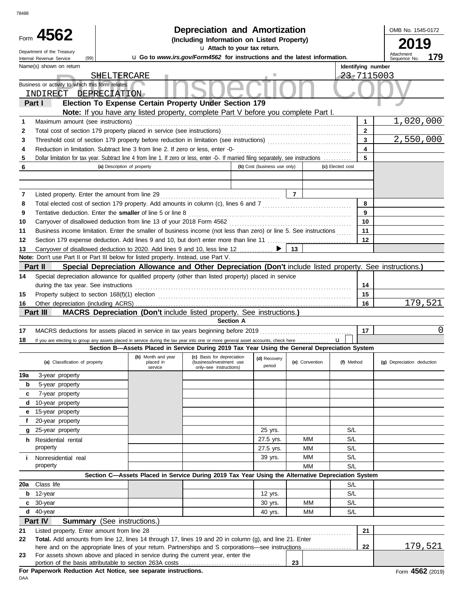| 78488    |                                                                                                     |                                                                                                                                         | <b>Depreciation and Amortization</b>                                             |                              |                |                  |                    |                            |          |
|----------|-----------------------------------------------------------------------------------------------------|-----------------------------------------------------------------------------------------------------------------------------------------|----------------------------------------------------------------------------------|------------------------------|----------------|------------------|--------------------|----------------------------|----------|
|          | Form 4562                                                                                           | OMB No. 1545-0172<br>2019                                                                                                               |                                                                                  |                              |                |                  |                    |                            |          |
|          | Department of the Treasury<br>(99)<br>Internal Revenue Service                                      | u Go to www.irs.gov/Form4562 for instructions and the latest information.                                                               |                                                                                  | Attachment<br>Sequence No.   | 179            |                  |                    |                            |          |
|          | Name(s) shown on return<br>Business or activity to which this form relates<br>INDIRECT DEPRECIATION | SHELTERCARE                                                                                                                             |                                                                                  |                              |                |                  | Identifying number | 23-7115003                 |          |
|          | Part I                                                                                              | Election To Expense Certain Property Under Section 179                                                                                  |                                                                                  |                              |                |                  |                    |                            |          |
|          | Maximum amount (see instructions)                                                                   | Note: If you have any listed property, complete Part V before you complete Part I.                                                      |                                                                                  |                              |                |                  | 1                  | 1,020,000                  |          |
| 1<br>2   |                                                                                                     | Total cost of section 179 property placed in service (see instructions)                                                                 |                                                                                  |                              |                |                  | $\mathbf{2}$       |                            |          |
| 3        |                                                                                                     |                                                                                                                                         |                                                                                  |                              |                |                  | 3                  | 2,550,000                  |          |
| 4        |                                                                                                     | Reduction in limitation. Subtract line 3 from line 2. If zero or less, enter -0-                                                        |                                                                                  |                              |                |                  | 4                  |                            |          |
| 5        |                                                                                                     | Dollar limitation for tax year. Subtract line 4 from line 1. If zero or less, enter -0-. If married filing separately, see instructions |                                                                                  |                              |                |                  | 5                  |                            |          |
| 6        |                                                                                                     | (a) Description of property                                                                                                             |                                                                                  | (b) Cost (business use only) |                | (c) Elected cost |                    |                            |          |
|          |                                                                                                     |                                                                                                                                         |                                                                                  |                              |                |                  |                    |                            |          |
| 7        | Listed property. Enter the amount from line 29                                                      |                                                                                                                                         |                                                                                  |                              | $\overline{7}$ |                  |                    |                            |          |
| 8        |                                                                                                     | Total elected cost of section 179 property. Add amounts in column (c), lines 6 and 7 [[[[[[[[[[[[[[[[[[[[[[[[[                          |                                                                                  |                              |                |                  | 8                  |                            |          |
| 9        |                                                                                                     | Tentative deduction. Enter the smaller of line 5 or line 8                                                                              |                                                                                  |                              |                |                  | 9                  |                            |          |
| 10<br>11 |                                                                                                     | Business income limitation. Enter the smaller of business income (not less than zero) or line 5. See instructions                       |                                                                                  |                              |                |                  | 10<br>11           |                            |          |
| 12       |                                                                                                     | Section 179 expense deduction. Add lines 9 and 10, but don't enter more than line 11                                                    |                                                                                  |                              |                |                  | 12                 |                            |          |
| 13       |                                                                                                     | Carryover of disallowed deduction to 2020. Add lines 9 and 10, less line 12 ▶                                                           |                                                                                  |                              | 13             |                  |                    |                            |          |
|          | Note: Don't use Part II or Part III below for listed property. Instead, use Part V.                 |                                                                                                                                         |                                                                                  |                              |                |                  |                    |                            |          |
|          | Part II                                                                                             | Special Depreciation Allowance and Other Depreciation (Don't include listed property. See instructions.)                                |                                                                                  |                              |                |                  |                    |                            |          |
| 14       |                                                                                                     | Special depreciation allowance for qualified property (other than listed property) placed in service                                    |                                                                                  |                              |                |                  |                    |                            |          |
|          | during the tax year. See instructions                                                               |                                                                                                                                         |                                                                                  |                              |                |                  | 14                 |                            |          |
| 15       |                                                                                                     |                                                                                                                                         |                                                                                  |                              |                |                  | 15                 |                            |          |
| 16       |                                                                                                     |                                                                                                                                         |                                                                                  |                              |                |                  | 16                 |                            | 179,521  |
|          | Part III                                                                                            | <b>MACRS Depreciation (Don't include listed property. See instructions.)</b>                                                            | <b>Section A</b>                                                                 |                              |                |                  |                    |                            |          |
|          |                                                                                                     |                                                                                                                                         |                                                                                  |                              |                |                  | 17                 |                            | $\Omega$ |
| 17<br>18 |                                                                                                     | If you are electing to group any assets placed in service during the tax year into one or more general asset accounts, check here       |                                                                                  |                              |                | $\mathbf{u}$     |                    |                            |          |
|          |                                                                                                     | Section B-Assets Placed in Service During 2019 Tax Year Using the General Depreciation System                                           |                                                                                  |                              |                |                  |                    |                            |          |
|          | (a) Classification of property                                                                      | (b) Month and year<br>placed in<br>service                                                                                              | (c) Basis for depreciation<br>(business/investment use<br>only-see instructions) | (d) Recovery<br>period       | (e) Convention | (f) Method       |                    | (g) Depreciation deduction |          |
| 19a      | 3-year property                                                                                     |                                                                                                                                         |                                                                                  |                              |                |                  |                    |                            |          |
| b        | 5-year property                                                                                     |                                                                                                                                         |                                                                                  |                              |                |                  |                    |                            |          |
| c        | 7-year property                                                                                     |                                                                                                                                         |                                                                                  |                              |                |                  |                    |                            |          |
| d        | 10-year property                                                                                    |                                                                                                                                         |                                                                                  |                              |                |                  |                    |                            |          |
| е        | 15-year property                                                                                    |                                                                                                                                         |                                                                                  |                              |                |                  |                    |                            |          |
| f        | 20-year property<br>25-year property                                                                |                                                                                                                                         |                                                                                  |                              |                | S/L              |                    |                            |          |
| g        | h Residential rental                                                                                |                                                                                                                                         |                                                                                  | 25 yrs.<br>27.5 yrs.         | MМ             | S/L              |                    |                            |          |
|          | property                                                                                            |                                                                                                                                         |                                                                                  | 27.5 yrs.                    | MМ             | S/L              |                    |                            |          |
| i.       | Nonresidential real                                                                                 |                                                                                                                                         |                                                                                  | 39 yrs.                      | MМ             | S/L              |                    |                            |          |
|          | property                                                                                            |                                                                                                                                         |                                                                                  |                              | <b>MM</b>      | S/L              |                    |                            |          |
|          |                                                                                                     | Section C-Assets Placed in Service During 2019 Tax Year Using the Alternative Depreciation System                                       |                                                                                  |                              |                |                  |                    |                            |          |
| 20a      | Class life                                                                                          |                                                                                                                                         |                                                                                  |                              |                | S/L              |                    |                            |          |
| b        | 12-year                                                                                             |                                                                                                                                         |                                                                                  | 12 yrs.                      |                | S/L              |                    |                            |          |
| c        | 30-year                                                                                             |                                                                                                                                         |                                                                                  | 30 yrs.                      | МM             | S/L              |                    |                            |          |
| d        | 40-year                                                                                             |                                                                                                                                         |                                                                                  | 40 yrs.                      | МM             | S/L              |                    |                            |          |
|          | Part IV                                                                                             | <b>Summary</b> (See instructions.)                                                                                                      |                                                                                  |                              |                |                  |                    |                            |          |
| 21<br>22 | Listed property. Enter amount from line 28                                                          | Total. Add amounts from line 12, lines 14 through 17, lines 19 and 20 in column (g), and line 21. Enter                                 |                                                                                  |                              |                |                  | 21                 |                            |          |
|          |                                                                                                     | here and on the appropriate lines of your return. Partnerships and S corporations—see instructions                                      |                                                                                  |                              |                |                  | 22                 |                            | 179,521  |
| 23       |                                                                                                     | For assets shown above and placed in service during the current year, enter the                                                         |                                                                                  |                              |                |                  |                    |                            |          |
|          |                                                                                                     |                                                                                                                                         |                                                                                  |                              | 23             |                  |                    |                            |          |
|          |                                                                                                     | For Paperwork Reduction Act Notice, see separate instructions.                                                                          |                                                                                  |                              |                |                  |                    | Form 4562 (2019            |          |